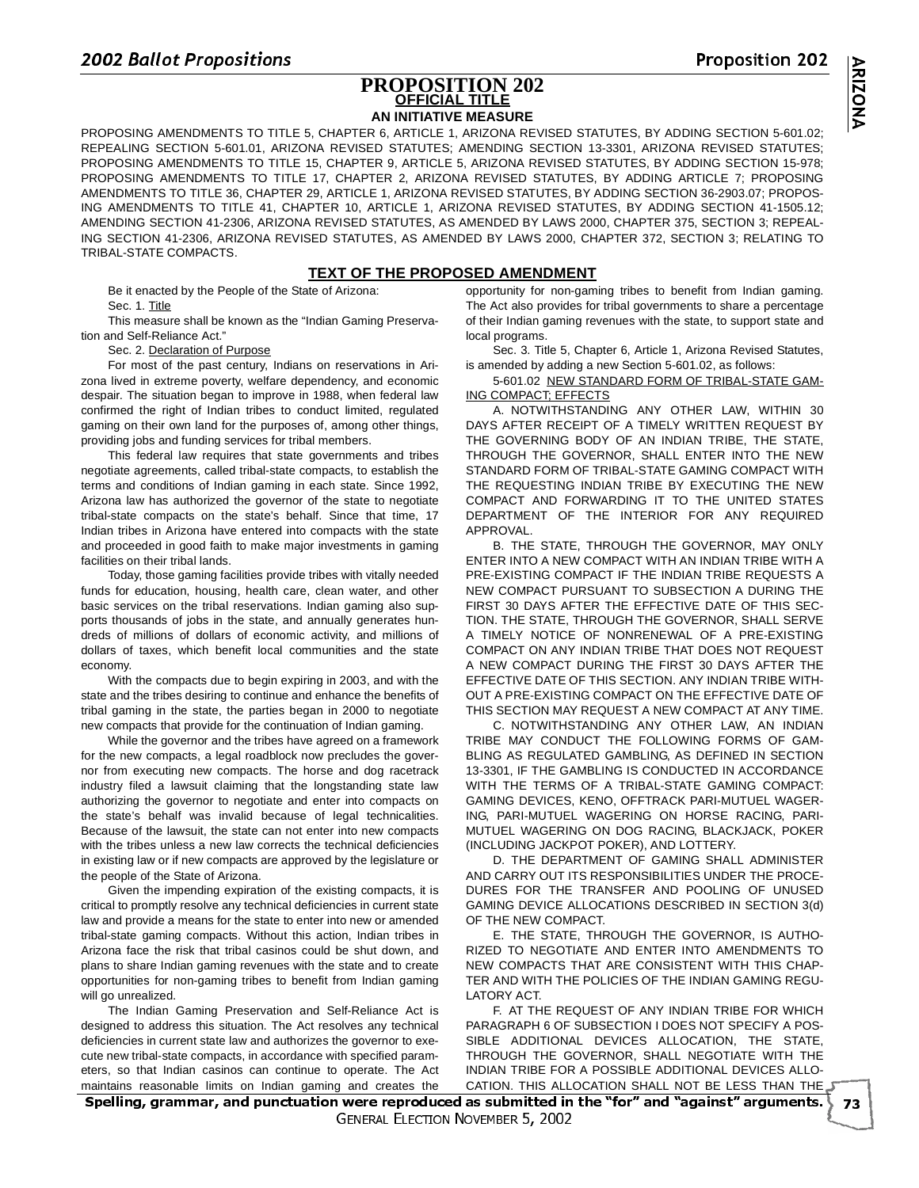### <u>opositions</u> **PROPOSITION 202 OFFICIAL TITLE AN INITIATIVE MEASURE**

PROPOSING AMENDMENTS TO TITLE 5, CHAPTER 6, ARTICLE 1, ARIZONA REVISED STATUTES, BY ADDING SECTION 5-601.02; REPEALING SECTION 5-601.01, ARIZONA REVISED STATUTES; AMENDING SECTION 13-3301, ARIZONA REVISED STATUTES; PROPOSING AMENDMENTS TO TITLE 15, CHAPTER 9, ARTICLE 5, ARIZONA REVISED STATUTES, BY ADDING SECTION 15-978; PROPOSING AMENDMENTS TO TITLE 17, CHAPTER 2, ARIZONA REVISED STATUTES, BY ADDING ARTICLE 7; PROPOSING AMENDMENTS TO TITLE 36, CHAPTER 29, ARTICLE 1, ARIZONA REVISED STATUTES, BY ADDING SECTION 36-2903.07; PROPOS-ING AMENDMENTS TO TITLE 41, CHAPTER 10, ARTICLE 1, ARIZONA REVISED STATUTES, BY ADDING SECTION 41-1505.12; AMENDING SECTION 41-2306, ARIZONA REVISED STATUTES, AS AMENDED BY LAWS 2000, CHAPTER 375, SECTION 3; REPEAL-ING SECTION 41-2306, ARIZONA REVISED STATUTES, AS AMENDED BY LAWS 2000, CHAPTER 372, SECTION 3; RELATING TO TRIBAL-STATE COMPACTS.

## **TEXT OF THE PROPOSED AMENDMENT**

Be it enacted by the People of the State of Arizona: Sec. 1. Title

This measure shall be known as the "Indian Gaming Preservation and Self-Reliance Act."

Sec. 2. Declaration of Purpose

For most of the past century, Indians on reservations in Arizona lived in extreme poverty, welfare dependency, and economic despair. The situation began to improve in 1988, when federal law confirmed the right of Indian tribes to conduct limited, regulated gaming on their own land for the purposes of, among other things, providing jobs and funding services for tribal members.

This federal law requires that state governments and tribes negotiate agreements, called tribal-state compacts, to establish the terms and conditions of Indian gaming in each state. Since 1992, Arizona law has authorized the governor of the state to negotiate tribal-state compacts on the state's behalf. Since that time, 17 Indian tribes in Arizona have entered into compacts with the state and proceeded in good faith to make major investments in gaming facilities on their tribal lands.

Today, those gaming facilities provide tribes with vitally needed funds for education, housing, health care, clean water, and other basic services on the tribal reservations. Indian gaming also supports thousands of jobs in the state, and annually generates hundreds of millions of dollars of economic activity, and millions of dollars of taxes, which benefit local communities and the state economy.

With the compacts due to begin expiring in 2003, and with the state and the tribes desiring to continue and enhance the benefits of tribal gaming in the state, the parties began in 2000 to negotiate new compacts that provide for the continuation of Indian gaming.

While the governor and the tribes have agreed on a framework for the new compacts, a legal roadblock now precludes the governor from executing new compacts. The horse and dog racetrack industry filed a lawsuit claiming that the longstanding state law authorizing the governor to negotiate and enter into compacts on the state's behalf was invalid because of legal technicalities. Because of the lawsuit, the state can not enter into new compacts with the tribes unless a new law corrects the technical deficiencies in existing law or if new compacts are approved by the legislature or the people of the State of Arizona.

Given the impending expiration of the existing compacts, it is critical to promptly resolve any technical deficiencies in current state law and provide a means for the state to enter into new or amended tribal-state gaming compacts. Without this action, Indian tribes in Arizona face the risk that tribal casinos could be shut down, and plans to share Indian gaming revenues with the state and to create opportunities for non-gaming tribes to benefit from Indian gaming will go unrealized.

The Indian Gaming Preservation and Self-Reliance Act is designed to address this situation. The Act resolves any technical deficiencies in current state law and authorizes the governor to execute new tribal-state compacts, in accordance with specified parameters, so that Indian casinos can continue to operate. The Act maintains reasonable limits on Indian gaming and creates the opportunity for non-gaming tribes to benefit from Indian gaming. The Act also provides for tribal governments to share a percentage of their Indian gaming revenues with the state, to support state and local programs.

Sec. 3. Title 5, Chapter 6, Article 1, Arizona Revised Statutes, is amended by adding a new Section 5-601.02, as follows:

5-601.02 NEW STANDARD FORM OF TRIBAL-STATE GAM-ING COMPACT; EFFECTS

A. NOTWITHSTANDING ANY OTHER LAW, WITHIN 30 DAYS AFTER RECEIPT OF A TIMELY WRITTEN REQUEST BY THE GOVERNING BODY OF AN INDIAN TRIBE, THE STATE, THROUGH THE GOVERNOR, SHALL ENTER INTO THE NEW STANDARD FORM OF TRIBAL-STATE GAMING COMPACT WITH THE REQUESTING INDIAN TRIBE BY EXECUTING THE NEW COMPACT AND FORWARDING IT TO THE UNITED STATES DEPARTMENT OF THE INTERIOR FOR ANY REQUIRED APPROVAL.

B. THE STATE, THROUGH THE GOVERNOR, MAY ONLY ENTER INTO A NEW COMPACT WITH AN INDIAN TRIBE WITH A PRE-EXISTING COMPACT IF THE INDIAN TRIBE REQUESTS A NEW COMPACT PURSUANT TO SUBSECTION A DURING THE FIRST 30 DAYS AFTER THE EFFECTIVE DATE OF THIS SEC-TION. THE STATE, THROUGH THE GOVERNOR, SHALL SERVE A TIMELY NOTICE OF NONRENEWAL OF A PRE-EXISTING COMPACT ON ANY INDIAN TRIBE THAT DOES NOT REQUEST A NEW COMPACT DURING THE FIRST 30 DAYS AFTER THE EFFECTIVE DATE OF THIS SECTION. ANY INDIAN TRIBE WITH-OUT A PRE-EXISTING COMPACT ON THE EFFECTIVE DATE OF THIS SECTION MAY REQUEST A NEW COMPACT AT ANY TIME.

C. NOTWITHSTANDING ANY OTHER LAW, AN INDIAN TRIBE MAY CONDUCT THE FOLLOWING FORMS OF GAM-BLING AS REGULATED GAMBLING, AS DEFINED IN SECTION 13-3301, IF THE GAMBLING IS CONDUCTED IN ACCORDANCE WITH THE TERMS OF A TRIBAL-STATE GAMING COMPACT: GAMING DEVICES, KENO, OFFTRACK PARI-MUTUEL WAGER-ING, PARI-MUTUEL WAGERING ON HORSE RACING, PARI-MUTUEL WAGERING ON DOG RACING, BLACKJACK, POKER (INCLUDING JACKPOT POKER), AND LOTTERY.

D. THE DEPARTMENT OF GAMING SHALL ADMINISTER AND CARRY OUT ITS RESPONSIBILITIES UNDER THE PROCE-DURES FOR THE TRANSFER AND POOLING OF UNUSED GAMING DEVICE ALLOCATIONS DESCRIBED IN SECTION 3(d) OF THE NEW COMPACT.

E. THE STATE, THROUGH THE GOVERNOR, IS AUTHO-RIZED TO NEGOTIATE AND ENTER INTO AMENDMENTS TO NEW COMPACTS THAT ARE CONSISTENT WITH THIS CHAP-TER AND WITH THE POLICIES OF THE INDIAN GAMING REGU-LATORY ACT.

F. AT THE REQUEST OF ANY INDIAN TRIBE FOR WHICH PARAGRAPH 6 OF SUBSECTION I DOES NOT SPECIFY A POS-SIBLE ADDITIONAL DEVICES ALLOCATION, THE STATE, THROUGH THE GOVERNOR, SHALL NEGOTIATE WITH THE INDIAN TRIBE FOR A POSSIBLE ADDITIONAL DEVICES ALLO-CATION. THIS ALLOCATION SHALL NOT BE LESS THAN THE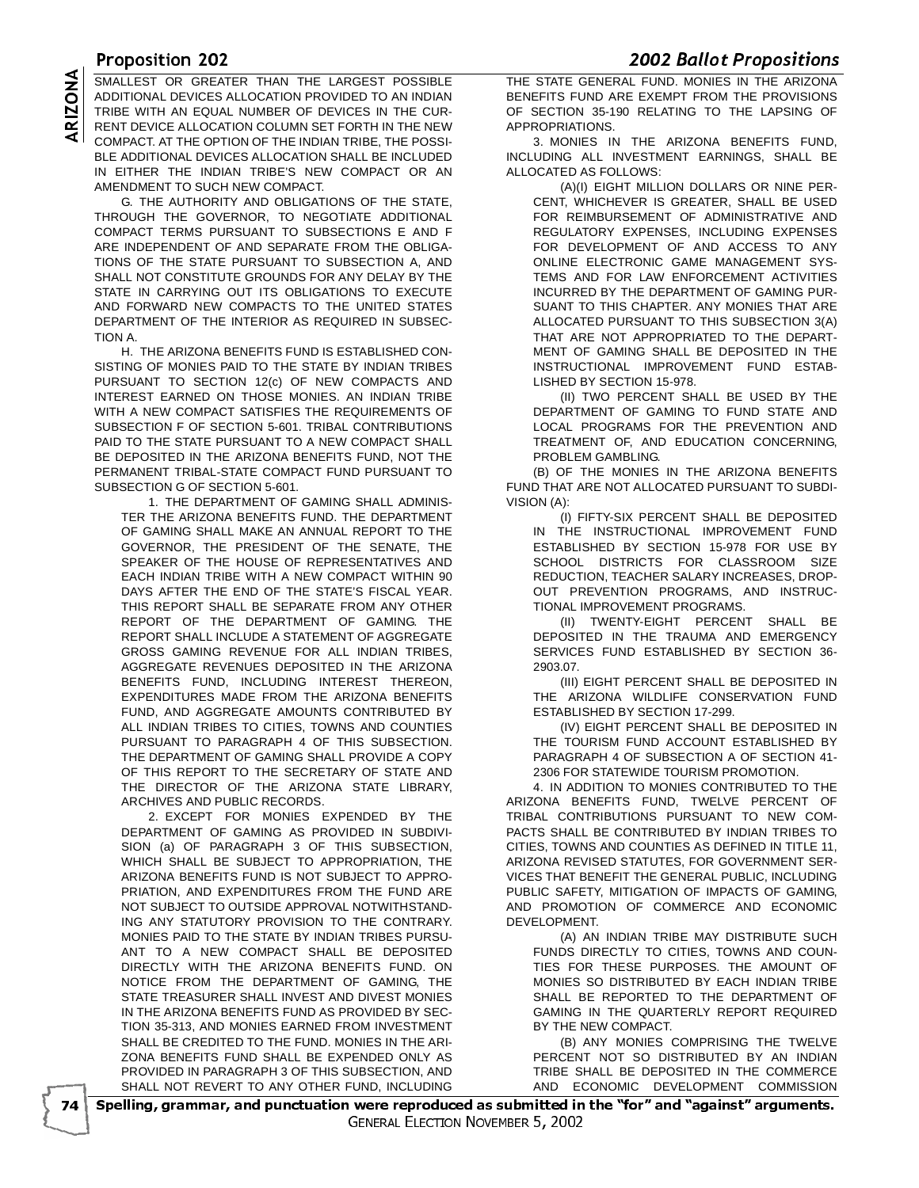THE OTHER LOCATED THAN THE LADGEST DOODING THE OTHER CENTERAL EXPOSURIES. SMALLEST OR GREATER THAN THE LARGEST POSSIBLE<br>ADDITIONAL DEVICES ALLOCATION PROVIDED TO AN INDIAN<br>TRIBE WITH AN EQUAL NUMBER OF DEVICES IN THE CUR-<br>RENT DEVICE ALLOCATION COLUMN SET FORTH IN THE NEW<br>COMPACT. AT THE OPTION ADDITIONAL DEVICES ALLOCATION PROVIDED TO AN INDIAN TRIBE WITH AN EQUAL NUMBER OF DEVICES IN THE CUR-RENT DEVICE ALLOCATION COLUMN SET FORTH IN THE NEW COMPACT. AT THE OPTION OF THE INDIAN TRIBE, THE POSSI-BLE ADDITIONAL DEVICES ALLOCATION SHALL BE INCLUDED IN EITHER THE INDIAN TRIBE'S NEW COMPACT OR AN AMENDMENT TO SUCH NEW COMPACT.

G. THE AUTHORITY AND OBLIGATIONS OF THE STATE, THROUGH THE GOVERNOR, TO NEGOTIATE ADDITIONAL COMPACT TERMS PURSUANT TO SUBSECTIONS E AND F ARE INDEPENDENT OF AND SEPARATE FROM THE OBLIGA-TIONS OF THE STATE PURSUANT TO SUBSECTION A, AND SHALL NOT CONSTITUTE GROUNDS FOR ANY DELAY BY THE STATE IN CARRYING OUT ITS OBLIGATIONS TO EXECUTE AND FORWARD NEW COMPACTS TO THE UNITED STATES DEPARTMENT OF THE INTERIOR AS REQUIRED IN SUBSEC-TION A.

H. THE ARIZONA BENEFITS FUND IS ESTABLISHED CON-SISTING OF MONIES PAID TO THE STATE BY INDIAN TRIBES PURSUANT TO SECTION 12(c) OF NEW COMPACTS AND INTEREST EARNED ON THOSE MONIES. AN INDIAN TRIBE WITH A NEW COMPACT SATISFIES THE REQUIREMENTS OF SUBSECTION F OF SECTION 5-601. TRIBAL CONTRIBUTIONS PAID TO THE STATE PURSUANT TO A NEW COMPACT SHALL BE DEPOSITED IN THE ARIZONA BENEFITS FUND, NOT THE PERMANENT TRIBAL-STATE COMPACT FUND PURSUANT TO SUBSECTION G OF SECTION 5-601.

1. THE DEPARTMENT OF GAMING SHALL ADMINIS-TER THE ARIZONA BENEFITS FUND. THE DEPARTMENT OF GAMING SHALL MAKE AN ANNUAL REPORT TO THE GOVERNOR, THE PRESIDENT OF THE SENATE, THE SPEAKER OF THE HOUSE OF REPRESENTATIVES AND EACH INDIAN TRIBE WITH A NEW COMPACT WITHIN 90 DAYS AFTER THE END OF THE STATE'S FISCAL YEAR. THIS REPORT SHALL BE SEPARATE FROM ANY OTHER REPORT OF THE DEPARTMENT OF GAMING. THE REPORT SHALL INCLUDE A STATEMENT OF AGGREGATE GROSS GAMING REVENUE FOR ALL INDIAN TRIBES, AGGREGATE REVENUES DEPOSITED IN THE ARIZONA BENEFITS FUND, INCLUDING INTEREST THEREON, EXPENDITURES MADE FROM THE ARIZONA BENEFITS FUND, AND AGGREGATE AMOUNTS CONTRIBUTED BY ALL INDIAN TRIBES TO CITIES, TOWNS AND COUNTIES PURSUANT TO PARAGRAPH 4 OF THIS SUBSECTION. THE DEPARTMENT OF GAMING SHALL PROVIDE A COPY OF THIS REPORT TO THE SECRETARY OF STATE AND THE DIRECTOR OF THE ARIZONA STATE LIBRARY, ARCHIVES AND PUBLIC RECORDS.

2. EXCEPT FOR MONIES EXPENDED BY THE DEPARTMENT OF GAMING AS PROVIDED IN SUBDIVI-SION (a) OF PARAGRAPH 3 OF THIS SUBSECTION, WHICH SHALL BE SUBJECT TO APPROPRIATION, THE ARIZONA BENEFITS FUND IS NOT SUBJECT TO APPRO-PRIATION, AND EXPENDITURES FROM THE FUND ARE NOT SUBJECT TO OUTSIDE APPROVAL NOTWITHSTAND-ING ANY STATUTORY PROVISION TO THE CONTRARY. MONIES PAID TO THE STATE BY INDIAN TRIBES PURSU-ANT TO A NEW COMPACT SHALL BE DEPOSITED DIRECTLY WITH THE ARIZONA BENEFITS FUND. ON NOTICE FROM THE DEPARTMENT OF GAMING, THE STATE TREASURER SHALL INVEST AND DIVEST MONIES IN THE ARIZONA BENEFITS FUND AS PROVIDED BY SEC-TION 35-313, AND MONIES EARNED FROM INVESTMENT SHALL BE CREDITED TO THE FUND. MONIES IN THE ARI-ZONA BENEFITS FUND SHALL BE EXPENDED ONLY AS PROVIDED IN PARAGRAPH 3 OF THIS SUBSECTION, AND SHALL NOT REVERT TO ANY OTHER FUND, INCLUDING

**THE STATE GENERAL FUND. MONIES IN THE ARIZONA** BENEFITS FUND ARE EXEMPT FROM THE PROVISIONS OF SECTION 35-190 RELATING TO THE LAPSING OF APPROPRIATIONS.

3. MONIES IN THE ARIZONA BENEFITS FUND, INCLUDING ALL INVESTMENT EARNINGS, SHALL BE ALLOCATED AS FOLLOWS:

(A)(I) EIGHT MILLION DOLLARS OR NINE PER-CENT, WHICHEVER IS GREATER, SHALL BE USED FOR REIMBURSEMENT OF ADMINISTRATIVE AND REGULATORY EXPENSES, INCLUDING EXPENSES FOR DEVELOPMENT OF AND ACCESS TO ANY ONLINE ELECTRONIC GAME MANAGEMENT SYS-TEMS AND FOR LAW ENFORCEMENT ACTIVITIES INCURRED BY THE DEPARTMENT OF GAMING PUR-SUANT TO THIS CHAPTER. ANY MONIES THAT ARE ALLOCATED PURSUANT TO THIS SUBSECTION 3(A) THAT ARE NOT APPROPRIATED TO THE DEPART-MENT OF GAMING SHALL BE DEPOSITED IN THE INSTRUCTIONAL IMPROVEMENT FUND ESTAB-LISHED BY SECTION 15-978.

(II) TWO PERCENT SHALL BE USED BY THE DEPARTMENT OF GAMING TO FUND STATE AND LOCAL PROGRAMS FOR THE PREVENTION AND TREATMENT OF, AND EDUCATION CONCERNING, PROBLEM GAMBLING.

(B) OF THE MONIES IN THE ARIZONA BENEFITS FUND THAT ARE NOT ALLOCATED PURSUANT TO SUBDI-VISION (A):

(I) FIFTY-SIX PERCENT SHALL BE DEPOSITED IN THE INSTRUCTIONAL IMPROVEMENT FUND ESTABLISHED BY SECTION 15-978 FOR USE BY SCHOOL DISTRICTS FOR CLASSROOM SIZE REDUCTION, TEACHER SALARY INCREASES, DROP-OUT PREVENTION PROGRAMS, AND INSTRUC-TIONAL IMPROVEMENT PROGRAMS.

(II) TWENTY-EIGHT PERCENT SHALL BE DEPOSITED IN THE TRAUMA AND EMERGENCY SERVICES FUND ESTABLISHED BY SECTION 36- 2903.07.

(III) EIGHT PERCENT SHALL BE DEPOSITED IN THE ARIZONA WILDLIFE CONSERVATION FUND ESTABLISHED BY SECTION 17-299.

(IV) EIGHT PERCENT SHALL BE DEPOSITED IN THE TOURISM FUND ACCOUNT ESTABLISHED BY PARAGRAPH 4 OF SUBSECTION A OF SECTION 41- 2306 FOR STATEWIDE TOURISM PROMOTION.

4. IN ADDITION TO MONIES CONTRIBUTED TO THE ARIZONA BENEFITS FUND, TWELVE PERCENT OF TRIBAL CONTRIBUTIONS PURSUANT TO NEW COM-PACTS SHALL BE CONTRIBUTED BY INDIAN TRIBES TO CITIES, TOWNS AND COUNTIES AS DEFINED IN TITLE 11, ARIZONA REVISED STATUTES, FOR GOVERNMENT SER-VICES THAT BENEFIT THE GENERAL PUBLIC, INCLUDING PUBLIC SAFETY, MITIGATION OF IMPACTS OF GAMING. AND PROMOTION OF COMMERCE AND ECONOMIC DEVELOPMENT.

(A) AN INDIAN TRIBE MAY DISTRIBUTE SUCH FUNDS DIRECTLY TO CITIES, TOWNS AND COUN-TIES FOR THESE PURPOSES. THE AMOUNT OF MONIES SO DISTRIBUTED BY EACH INDIAN TRIBE SHALL BE REPORTED TO THE DEPARTMENT OF GAMING IN THE QUARTERLY REPORT REQUIRED BY THE NEW COMPACT.

(B) ANY MONIES COMPRISING THE TWELVE PERCENT NOT SO DISTRIBUTED BY AN INDIAN TRIBE SHALL BE DEPOSITED IN THE COMMERCE AND ECONOMIC DEVELOPMENT COMMISSION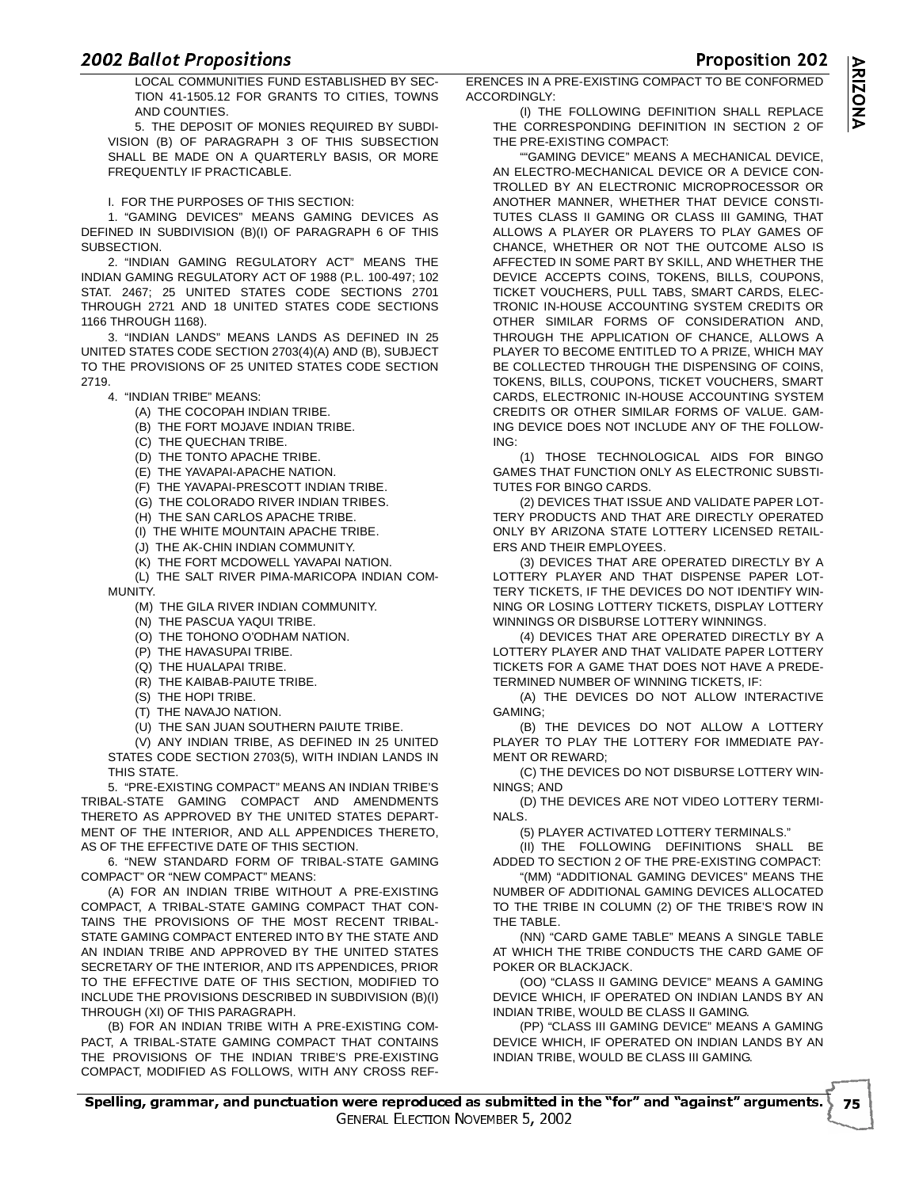LOCAL COMMUNITIES FUND ESTABLISHED BY SEC-TION 41-1505.12 FOR GRANTS TO CITIES, TOWNS AND COUNTIES.

5. THE DEPOSIT OF MONIES REQUIRED BY SUBDI-VISION (B) OF PARAGRAPH 3 OF THIS SUBSECTION SHALL BE MADE ON A QUARTERLY BASIS, OR MORE FREQUENTLY IF PRACTICABLE.

I. FOR THE PURPOSES OF THIS SECTION:

1. "GAMING DEVICES" MEANS GAMING DEVICES AS DEFINED IN SUBDIVISION (B)(I) OF PARAGRAPH 6 OF THIS SUBSECTION.

2. "INDIAN GAMING REGULATORY ACT" MEANS THE INDIAN GAMING REGULATORY ACT OF 1988 (P.L. 100-497; 102 STAT. 2467; 25 UNITED STATES CODE SECTIONS 2701 THROUGH 2721 AND 18 UNITED STATES CODE SECTIONS 1166 THROUGH 1168).

3. "INDIAN LANDS" MEANS LANDS AS DEFINED IN 25 UNITED STATES CODE SECTION 2703(4)(A) AND (B), SUBJECT TO THE PROVISIONS OF 25 UNITED STATES CODE SECTION 2719.

4. "INDIAN TRIBE" MEANS:

- (A) THE COCOPAH INDIAN TRIBE.
- (B) THE FORT MOJAVE INDIAN TRIBE.
- (C) THE QUECHAN TRIBE.
- (D) THE TONTO APACHE TRIBE.

(E) THE YAVAPAI-APACHE NATION.

- (F) THE YAVAPAI-PRESCOTT INDIAN TRIBE.
- (G) THE COLORADO RIVER INDIAN TRIBES.
- (H) THE SAN CARLOS APACHE TRIBE.
- (I) THE WHITE MOUNTAIN APACHE TRIBE.
- (J) THE AK-CHIN INDIAN COMMUNITY.
- (K) THE FORT MCDOWELL YAVAPAI NATION.

(L) THE SALT RIVER PIMA-MARICOPA INDIAN COM-MUNITY.

- (M) THE GILA RIVER INDIAN COMMUNITY.
- (N) THE PASCUA YAQUI TRIBE.
- (O) THE TOHONO O'ODHAM NATION.
- (P) THE HAVASUPAI TRIBE.
- (Q) THE HUALAPAI TRIBE.
- (R) THE KAIBAB-PAIUTE TRIBE.
- (S) THE HOPI TRIBE.
- (T) THE NAVAJO NATION.
- (U) THE SAN JUAN SOUTHERN PAIUTE TRIBE.

(V) ANY INDIAN TRIBE, AS DEFINED IN 25 UNITED STATES CODE SECTION 2703(5), WITH INDIAN LANDS IN

THIS STATE. 5. "PRE-EXISTING COMPACT" MEANS AN INDIAN TRIBE'S

TRIBAL-STATE GAMING COMPACT AND AMENDMENTS THERETO AS APPROVED BY THE UNITED STATES DEPART-MENT OF THE INTERIOR, AND ALL APPENDICES THERETO, AS OF THE EFFECTIVE DATE OF THIS SECTION.

6. "NEW STANDARD FORM OF TRIBAL-STATE GAMING COMPACT" OR "NEW COMPACT" MEANS:

(A) FOR AN INDIAN TRIBE WITHOUT A PRE-EXISTING COMPACT, A TRIBAL-STATE GAMING COMPACT THAT CON-TAINS THE PROVISIONS OF THE MOST RECENT TRIBAL-STATE GAMING COMPACT ENTERED INTO BY THE STATE AND AN INDIAN TRIBE AND APPROVED BY THE UNITED STATES SECRETARY OF THE INTERIOR, AND ITS APPENDICES, PRIOR TO THE EFFECTIVE DATE OF THIS SECTION, MODIFIED TO INCLUDE THE PROVISIONS DESCRIBED IN SUBDIVISION (B)(I) THROUGH (XI) OF THIS PARAGRAPH.

(B) FOR AN INDIAN TRIBE WITH A PRE-EXISTING COM-PACT, A TRIBAL-STATE GAMING COMPACT THAT CONTAINS THE PROVISIONS OF THE INDIAN TRIBE'S PRE-EXISTING COMPACT, MODIFIED AS FOLLOWS, WITH ANY CROSS REF-



 - ERENCES IN A PRE-EXISTING COMPACT TO BE CONFORMED ACCORDINGLY:

(I) THE FOLLOWING DEFINITION SHALL REPLACE THE CORRESPONDING DEFINITION IN SECTION 2 OF THE PRE-EXISTING COMPACT:

"GAMING DEVICE" MEANS A MECHANICAL DEVICE, AN ELECTRO-MECHANICAL DEVICE OR A DEVICE CON-TROLLED BY AN ELECTRONIC MICROPROCESSOR OR ANOTHER MANNER, WHETHER THAT DEVICE CONSTI-TUTES CLASS II GAMING OR CLASS III GAMING, THAT ALLOWS A PLAYER OR PLAYERS TO PLAY GAMES OF CHANCE, WHETHER OR NOT THE OUTCOME ALSO IS AFFECTED IN SOME PART BY SKILL, AND WHETHER THE DEVICE ACCEPTS COINS, TOKENS, BILLS, COUPONS, TICKET VOUCHERS, PULL TABS, SMART CARDS, ELEC-TRONIC IN-HOUSE ACCOUNTING SYSTEM CREDITS OR OTHER SIMILAR FORMS OF CONSIDERATION AND, THROUGH THE APPLICATION OF CHANCE, ALLOWS A PLAYER TO BECOME ENTITLED TO A PRIZE, WHICH MAY BE COLLECTED THROUGH THE DISPENSING OF COINS. TOKENS, BILLS, COUPONS, TICKET VOUCHERS, SMART CARDS, ELECTRONIC IN-HOUSE ACCOUNTING SYSTEM CREDITS OR OTHER SIMILAR FORMS OF VALUE. GAM-ING DEVICE DOES NOT INCLUDE ANY OF THE FOLLOW-ING:

(1) THOSE TECHNOLOGICAL AIDS FOR BINGO GAMES THAT FUNCTION ONLY AS ELECTRONIC SUBSTI-TUTES FOR BINGO CARDS.

(2) DEVICES THAT ISSUE AND VALIDATE PAPER LOT-TERY PRODUCTS AND THAT ARE DIRECTLY OPERATED ONLY BY ARIZONA STATE LOTTERY LICENSED RETAIL-ERS AND THEIR EMPLOYEES.

(3) DEVICES THAT ARE OPERATED DIRECTLY BY A LOTTERY PLAYER AND THAT DISPENSE PAPER LOT-TERY TICKETS, IF THE DEVICES DO NOT IDENTIFY WIN-NING OR LOSING LOTTERY TICKETS, DISPLAY LOTTERY WINNINGS OR DISBURSE LOTTERY WINNINGS.

(4) DEVICES THAT ARE OPERATED DIRECTLY BY A LOTTERY PLAYER AND THAT VALIDATE PAPER LOTTERY TICKETS FOR A GAME THAT DOES NOT HAVE A PREDE-TERMINED NUMBER OF WINNING TICKETS, IF:

(A) THE DEVICES DO NOT ALLOW INTERACTIVE GAMING;

(B) THE DEVICES DO NOT ALLOW A LOTTERY PLAYER TO PLAY THE LOTTERY FOR IMMEDIATE PAY-MENT OR REWARD;

(C) THE DEVICES DO NOT DISBURSE LOTTERY WIN-NINGS; AND

(D) THE DEVICES ARE NOT VIDEO LOTTERY TERMI-NALS.

(5) PLAYER ACTIVATED LOTTERY TERMINALS."

(II) THE FOLLOWING DEFINITIONS SHALL BE ADDED TO SECTION 2 OF THE PRE-EXISTING COMPACT:

"(MM) "ADDITIONAL GAMING DEVICES" MEANS THE NUMBER OF ADDITIONAL GAMING DEVICES ALLOCATED TO THE TRIBE IN COLUMN (2) OF THE TRIBE'S ROW IN THE TABLE.

(NN) "CARD GAME TABLE" MEANS A SINGLE TABLE AT WHICH THE TRIBE CONDUCTS THE CARD GAME OF POKER OR BLACKJACK.

(OO) "CLASS II GAMING DEVICE" MEANS A GAMING DEVICE WHICH, IF OPERATED ON INDIAN LANDS BY AN INDIAN TRIBE, WOULD BE CLASS II GAMING.

(PP) "CLASS III GAMING DEVICE" MEANS A GAMING DEVICE WHICH, IF OPERATED ON INDIAN LANDS BY AN INDIAN TRIBE, WOULD BE CLASS III GAMING.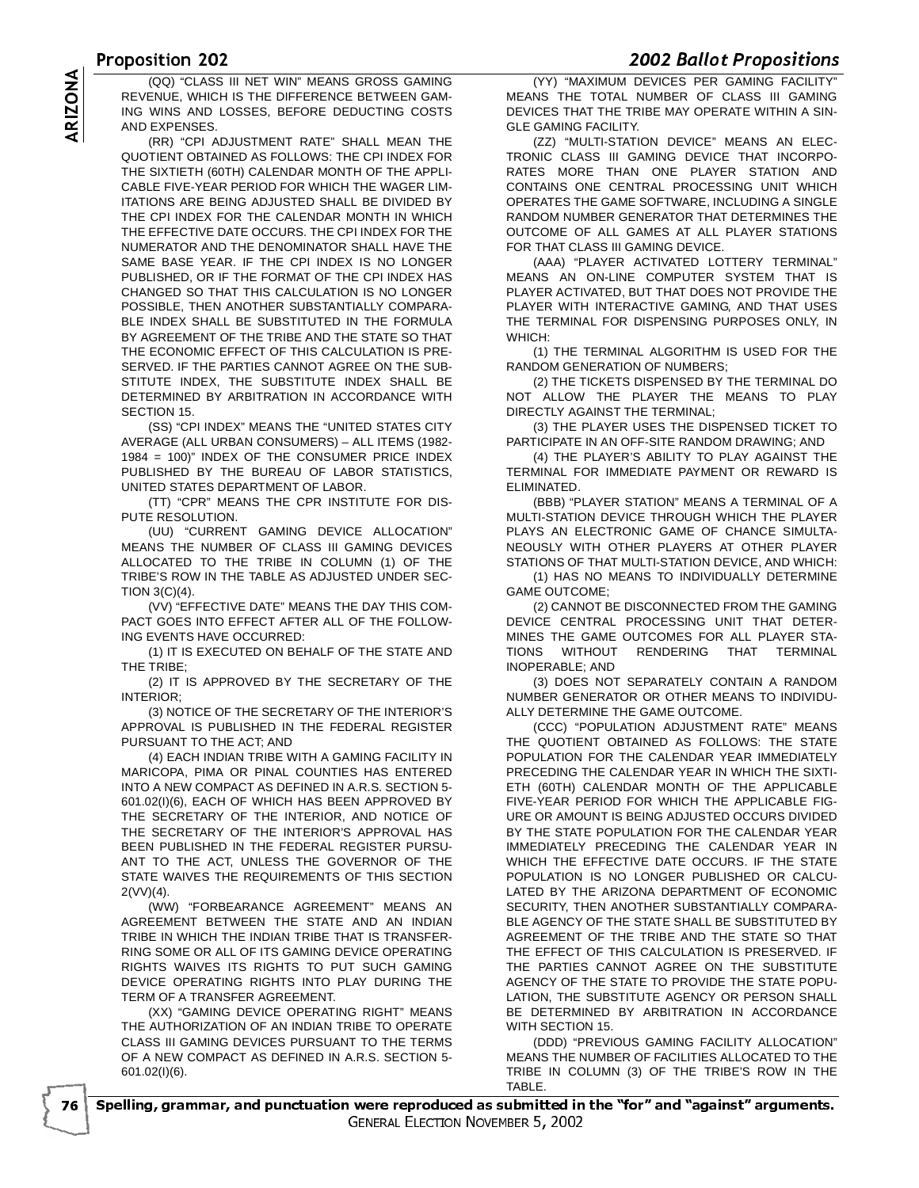# $\frac{1000 \times 10012}{1000000}$

 -REVENUE, WHICH IS THE DIFFERENCE BETWEEN GAM-ING WINS AND LOSSES, BEFORE DEDUCTING COSTS AND EXPENSES.

(QQ) "CLASS III NET WIN" MEANS GROSS GAMING<br>
REVENUE, WHICH IS THE DIFFERENCE BETWEEN GAM-<br>
ING WINS AND LOSSES, BEFORE DEDUCTING COSTS<br>
AND EXPENSES.<br>
(RR) "CPI ADJUSTMENT RATE" SHALL MEAN THE<br>
QUOTIENT OBTAINED AS FOLLOW (RR) "CPI ADJUSTMENT RATE" SHALL MEAN THE QUOTIENT OBTAINED AS FOLLOWS: THE CPI INDEX FOR THE SIXTIETH (60TH) CALENDAR MONTH OF THE APPLI-CABLE FIVE-YEAR PERIOD FOR WHICH THE WAGER LIM-ITATIONS ARE BEING ADJUSTED SHALL BE DIVIDED BY THE CPI INDEX FOR THE CALENDAR MONTH IN WHICH THE EFFECTIVE DATE OCCURS. THE CPI INDEX FOR THE NUMERATOR AND THE DENOMINATOR SHALL HAVE THE SAME BASE YEAR. IF THE CPI INDEX IS NO LONGER PUBLISHED, OR IF THE FORMAT OF THE CPI INDEX HAS CHANGED SO THAT THIS CALCULATION IS NO LONGER POSSIBLE, THEN ANOTHER SUBSTANTIALLY COMPARA-BLE INDEX SHALL BE SUBSTITUTED IN THE FORMULA BY AGREEMENT OF THE TRIBE AND THE STATE SO THAT THE ECONOMIC EFFECT OF THIS CALCULATION IS PRE-SERVED. IF THE PARTIES CANNOT AGREE ON THE SUB-STITUTE INDEX, THE SUBSTITUTE INDEX SHALL BE DETERMINED BY ARBITRATION IN ACCORDANCE WITH SECTION 15.

(SS) "CPI INDEX" MEANS THE "UNITED STATES CITY AVERAGE (ALL URBAN CONSUMERS) – ALL ITEMS (1982- 1984 = 100)" INDEX OF THE CONSUMER PRICE INDEX PUBLISHED BY THE BUREAU OF LABOR STATISTICS, UNITED STATES DEPARTMENT OF LABOR.

(TT) "CPR" MEANS THE CPR INSTITUTE FOR DIS-PUTE RESOLUTION.

(UU) "CURRENT GAMING DEVICE ALLOCATION" MEANS THE NUMBER OF CLASS III GAMING DEVICES ALLOCATED TO THE TRIBE IN COLUMN (1) OF THE TRIBE'S ROW IN THE TABLE AS ADJUSTED UNDER SEC-TION 3(C)(4).

(VV) "EFFECTIVE DATE" MEANS THE DAY THIS COM-PACT GOES INTO EFFECT AFTER ALL OF THE FOLLOW-ING EVENTS HAVE OCCURRED:

(1) IT IS EXECUTED ON BEHALF OF THE STATE AND THE TRIBE;

(2) IT IS APPROVED BY THE SECRETARY OF THE INTERIOR;

(3) NOTICE OF THE SECRETARY OF THE INTERIOR'S APPROVAL IS PUBLISHED IN THE FEDERAL REGISTER PURSUANT TO THE ACT; AND

(4) EACH INDIAN TRIBE WITH A GAMING FACILITY IN MARICOPA, PIMA OR PINAL COUNTIES HAS ENTERED INTO A NEW COMPACT AS DEFINED IN A.R.S. SECTION 5- 601.02(I)(6), EACH OF WHICH HAS BEEN APPROVED BY THE SECRETARY OF THE INTERIOR, AND NOTICE OF THE SECRETARY OF THE INTERIOR'S APPROVAL HAS BEEN PUBLISHED IN THE FEDERAL REGISTER PURSU-ANT TO THE ACT, UNLESS THE GOVERNOR OF THE STATE WAIVES THE REQUIREMENTS OF THIS SECTION 2(VV)(4).

(WW) "FORBEARANCE AGREEMENT" MEANS AN AGREEMENT BETWEEN THE STATE AND AN INDIAN TRIBE IN WHICH THE INDIAN TRIBE THAT IS TRANSFER-RING SOME OR ALL OF ITS GAMING DEVICE OPERATING RIGHTS WAIVES ITS RIGHTS TO PUT SUCH GAMING DEVICE OPERATING RIGHTS INTO PLAY DURING THE TERM OF A TRANSFER AGREEMENT.

(XX) "GAMING DEVICE OPERATING RIGHT" MEANS THE AUTHORIZATION OF AN INDIAN TRIBE TO OPERATE CLASS III GAMING DEVICES PURSUANT TO THE TERMS OF A NEW COMPACT AS DEFINED IN A.R.S. SECTION 5- 601.02(I)(6).

- 

 (YY) "MAXIMUM DEVICES PER GAMING FACILITY" MEANS THE TOTAL NUMBER OF CLASS III GAMING DEVICES THAT THE TRIBE MAY OPERATE WITHIN A SIN-GLE GAMING FACILITY.

(ZZ) "MULTI-STATION DEVICE" MEANS AN ELEC-TRONIC CLASS III GAMING DEVICE THAT INCORPO-RATES MORE THAN ONE PLAYER STATION AND CONTAINS ONE CENTRAL PROCESSING UNIT WHICH OPERATES THE GAME SOFTWARE, INCLUDING A SINGLE RANDOM NUMBER GENERATOR THAT DETERMINES THE OUTCOME OF ALL GAMES AT ALL PLAYER STATIONS FOR THAT CLASS III GAMING DEVICE.

(AAA) "PLAYER ACTIVATED LOTTERY TERMINAL" MEANS AN ON-LINE COMPUTER SYSTEM THAT IS PLAYER ACTIVATED, BUT THAT DOES NOT PROVIDE THE PLAYER WITH INTERACTIVE GAMING, AND THAT USES THE TERMINAL FOR DISPENSING PURPOSES ONLY, IN WHICH:

(1) THE TERMINAL ALGORITHM IS USED FOR THE RANDOM GENERATION OF NUMBERS;

(2) THE TICKETS DISPENSED BY THE TERMINAL DO NOT ALLOW THE PLAYER THE MEANS TO PLAY DIRECTLY AGAINST THE TERMINAL;

(3) THE PLAYER USES THE DISPENSED TICKET TO PARTICIPATE IN AN OFF-SITE RANDOM DRAWING; AND

(4) THE PLAYER'S ABILITY TO PLAY AGAINST THE TERMINAL FOR IMMEDIATE PAYMENT OR REWARD IS ELIMINATED.

(BBB) "PLAYER STATION" MEANS A TERMINAL OF A MULTI-STATION DEVICE THROUGH WHICH THE PLAYER PLAYS AN ELECTRONIC GAME OF CHANCE SIMULTA-NEOUSLY WITH OTHER PLAYERS AT OTHER PLAYER STATIONS OF THAT MULTI-STATION DEVICE, AND WHICH:

(1) HAS NO MEANS TO INDIVIDUALLY DETERMINE GAME OUTCOME;

(2) CANNOT BE DISCONNECTED FROM THE GAMING DEVICE CENTRAL PROCESSING UNIT THAT DETER-MINES THE GAME OUTCOMES FOR ALL PLAYER STA-TIONS WITHOUT RENDERING THAT TERMINAL INOPERABLE; AND

(3) DOES NOT SEPARATELY CONTAIN A RANDOM NUMBER GENERATOR OR OTHER MEANS TO INDIVIDU-ALLY DETERMINE THE GAME OUTCOME.

(CCC) "POPULATION ADJUSTMENT RATE" MEANS THE QUOTIENT OBTAINED AS FOLLOWS: THE STATE POPULATION FOR THE CALENDAR YEAR IMMEDIATELY PRECEDING THE CALENDAR YEAR IN WHICH THE SIXTI-ETH (60TH) CALENDAR MONTH OF THE APPLICABLE FIVE-YEAR PERIOD FOR WHICH THE APPLICABLE FIG-URE OR AMOUNT IS BEING ADJUSTED OCCURS DIVIDED BY THE STATE POPULATION FOR THE CALENDAR YEAR IMMEDIATELY PRECEDING THE CALENDAR YEAR IN WHICH THE EFFECTIVE DATE OCCURS. IF THE STATE POPULATION IS NO LONGER PUBLISHED OR CALCU-LATED BY THE ARIZONA DEPARTMENT OF ECONOMIC SECURITY, THEN ANOTHER SUBSTANTIALLY COMPARA-BLE AGENCY OF THE STATE SHALL BE SUBSTITUTED BY AGREEMENT OF THE TRIBE AND THE STATE SO THAT THE EFFECT OF THIS CALCULATION IS PRESERVED. IF THE PARTIES CANNOT AGREE ON THE SUBSTITUTE AGENCY OF THE STATE TO PROVIDE THE STATE POPU-LATION, THE SUBSTITUTE AGENCY OR PERSON SHALL BE DETERMINED BY ARBITRATION IN ACCORDANCE WITH SECTION 15.

(DDD) "PREVIOUS GAMING FACILITY ALLOCATION" MEANS THE NUMBER OF FACILITIES ALLOCATED TO THE TRIBE IN COLUMN (3) OF THE TRIBE'S ROW IN THE TABLE.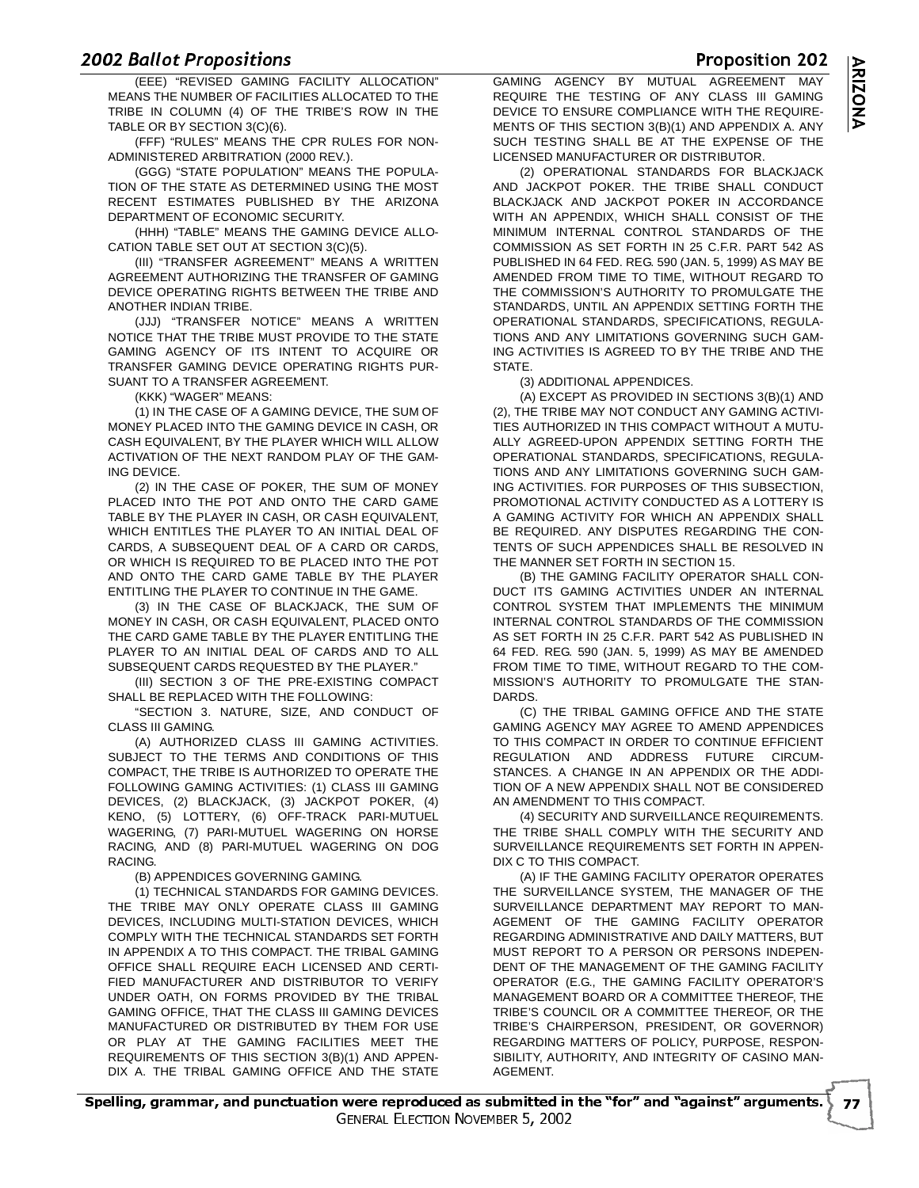# $\frac{200}{1}$

 

 -(EEE) "REVISED GAMING FACILITY ALLOCATION" MEANS THE NUMBER OF FACILITIES ALLOCATED TO THE TRIBE IN COLUMN (4) OF THE TRIBE'S ROW IN THE TABLE OR BY SECTION 3(C)(6).

(FFF) "RULES" MEANS THE CPR RULES FOR NON-ADMINISTERED ARBITRATION (2000 REV.).

(GGG) "STATE POPULATION" MEANS THE POPULA-TION OF THE STATE AS DETERMINED USING THE MOST RECENT ESTIMATES PUBLISHED BY THE ARIZONA DEPARTMENT OF ECONOMIC SECURITY.

(HHH) "TABLE" MEANS THE GAMING DEVICE ALLO-CATION TABLE SET OUT AT SECTION 3(C)(5).

(III) "TRANSFER AGREEMENT" MEANS A WRITTEN AGREEMENT AUTHORIZING THE TRANSFER OF GAMING DEVICE OPERATING RIGHTS BETWEEN THE TRIBE AND ANOTHER INDIAN TRIBE.

(JJJ) "TRANSFER NOTICE" MEANS A WRITTEN NOTICE THAT THE TRIBE MUST PROVIDE TO THE STATE GAMING AGENCY OF ITS INTENT TO ACQUIRE OR TRANSFER GAMING DEVICE OPERATING RIGHTS PUR-SUANT TO A TRANSFER AGREEMENT.

(KKK) "WAGER" MEANS:

(1) IN THE CASE OF A GAMING DEVICE, THE SUM OF MONEY PLACED INTO THE GAMING DEVICE IN CASH, OR CASH EQUIVALENT, BY THE PLAYER WHICH WILL ALLOW ACTIVATION OF THE NEXT RANDOM PLAY OF THE GAM-ING DEVICE.

(2) IN THE CASE OF POKER, THE SUM OF MONEY PLACED INTO THE POT AND ONTO THE CARD GAME TABLE BY THE PLAYER IN CASH, OR CASH EQUIVALENT, WHICH ENTITLES THE PLAYER TO AN INITIAL DEAL OF CARDS, A SUBSEQUENT DEAL OF A CARD OR CARDS, OR WHICH IS REQUIRED TO BE PLACED INTO THE POT AND ONTO THE CARD GAME TABLE BY THE PLAYER ENTITLING THE PLAYER TO CONTINUE IN THE GAME.

(3) IN THE CASE OF BLACKJACK, THE SUM OF MONEY IN CASH, OR CASH EQUIVALENT, PLACED ONTO THE CARD GAME TABLE BY THE PLAYER ENTITLING THE PLAYER TO AN INITIAL DEAL OF CARDS AND TO ALL SUBSEQUENT CARDS REQUESTED BY THE PLAYER."

(III) SECTION 3 OF THE PRE-EXISTING COMPACT SHALL BE REPLACED WITH THE FOLLOWING:

"SECTION 3. NATURE, SIZE, AND CONDUCT OF CLASS III GAMING.

(A) AUTHORIZED CLASS III GAMING ACTIVITIES. SUBJECT TO THE TERMS AND CONDITIONS OF THIS COMPACT, THE TRIBE IS AUTHORIZED TO OPERATE THE FOLLOWING GAMING ACTIVITIES: (1) CLASS III GAMING DEVICES, (2) BLACKJACK, (3) JACKPOT POKER, (4) KENO, (5) LOTTERY, (6) OFF-TRACK PARI-MUTUEL WAGERING, (7) PARI-MUTUEL WAGERING ON HORSE RACING, AND (8) PARI-MUTUEL WAGERING ON DOG RACING.

(B) APPENDICES GOVERNING GAMING.

(1) TECHNICAL STANDARDS FOR GAMING DEVICES. THE TRIBE MAY ONLY OPERATE CLASS III GAMING DEVICES, INCLUDING MULTI-STATION DEVICES, WHICH COMPLY WITH THE TECHNICAL STANDARDS SET FORTH IN APPENDIX A TO THIS COMPACT. THE TRIBAL GAMING OFFICE SHALL REQUIRE EACH LICENSED AND CERTI-FIED MANUFACTURER AND DISTRIBUTOR TO VERIFY UNDER OATH, ON FORMS PROVIDED BY THE TRIBAL GAMING OFFICE, THAT THE CLASS III GAMING DEVICES MANUFACTURED OR DISTRIBUTED BY THEM FOR USE OR PLAY AT THE GAMING FACILITIES MEET THE REQUIREMENTS OF THIS SECTION 3(B)(1) AND APPEN-DIX A. THE TRIBAL GAMING OFFICE AND THE STATE

 GAMING AGENCY BY MUTUAL AGREEMENT MAY **MAY** REQUIRE THE TESTING OF ANY CLASS III GAMING DEVICE TO ENSURE COMPLIANCE WITH THE REQUIRE-MENTS OF THIS SECTION 3(B)(1) AND APPENDIX A. ANY SUCH TESTING SHALL BE AT THE EXPENSE OF THE LICENSED MANUFACTURER OR DISTRIBUTOR.

(2) OPERATIONAL STANDARDS FOR BLACKJACK AND JACKPOT POKER. THE TRIBE SHALL CONDUCT BLACKJACK AND JACKPOT POKER IN ACCORDANCE WITH AN APPENDIX, WHICH SHALL CONSIST OF THE MINIMUM INTERNAL CONTROL STANDARDS OF THE COMMISSION AS SET FORTH IN 25 C.F.R. PART 542 AS PUBLISHED IN 64 FED. REG. 590 (JAN. 5, 1999) AS MAY BE AMENDED FROM TIME TO TIME, WITHOUT REGARD TO THE COMMISSION'S AUTHORITY TO PROMULGATE THE STANDARDS, UNTIL AN APPENDIX SETTING FORTH THE OPERATIONAL STANDARDS, SPECIFICATIONS, REGULA-TIONS AND ANY LIMITATIONS GOVERNING SUCH GAM-ING ACTIVITIES IS AGREED TO BY THE TRIBE AND THE **STATE** 

(3) ADDITIONAL APPENDICES.

(A) EXCEPT AS PROVIDED IN SECTIONS 3(B)(1) AND (2), THE TRIBE MAY NOT CONDUCT ANY GAMING ACTIVI-TIES AUTHORIZED IN THIS COMPACT WITHOUT A MUTU-ALLY AGREED-UPON APPENDIX SETTING FORTH THE OPERATIONAL STANDARDS, SPECIFICATIONS, REGULA-TIONS AND ANY LIMITATIONS GOVERNING SUCH GAM-ING ACTIVITIES. FOR PURPOSES OF THIS SUBSECTION, PROMOTIONAL ACTIVITY CONDUCTED AS A LOTTERY IS A GAMING ACTIVITY FOR WHICH AN APPENDIX SHALL BE REQUIRED. ANY DISPUTES REGARDING THE CON-TENTS OF SUCH APPENDICES SHALL BE RESOLVED IN THE MANNER SET FORTH IN SECTION 15.

(B) THE GAMING FACILITY OPERATOR SHALL CON-DUCT ITS GAMING ACTIVITIES UNDER AN INTERNAL CONTROL SYSTEM THAT IMPLEMENTS THE MINIMUM INTERNAL CONTROL STANDARDS OF THE COMMISSION AS SET FORTH IN 25 C.F.R. PART 542 AS PUBLISHED IN 64 FED. REG. 590 (JAN. 5, 1999) AS MAY BE AMENDED FROM TIME TO TIME, WITHOUT REGARD TO THE COM-MISSION'S AUTHORITY TO PROMULGATE THE STAN-DARDS.

(C) THE TRIBAL GAMING OFFICE AND THE STATE GAMING AGENCY MAY AGREE TO AMEND APPENDICES TO THIS COMPACT IN ORDER TO CONTINUE EFFICIENT REGULATION AND ADDRESS FUTURE CIRCUM-STANCES. A CHANGE IN AN APPENDIX OR THE ADDI-TION OF A NEW APPENDIX SHALL NOT BE CONSIDERED AN AMENDMENT TO THIS COMPACT.

(4) SECURITY AND SURVEILLANCE REQUIREMENTS. THE TRIBE SHALL COMPLY WITH THE SECURITY AND SURVEILLANCE REQUIREMENTS SET FORTH IN APPEN-DIX C TO THIS COMPACT.

(A) IF THE GAMING FACILITY OPERATOR OPERATES THE SURVEILLANCE SYSTEM, THE MANAGER OF THE SURVEILLANCE DEPARTMENT MAY REPORT TO MAN-AGEMENT OF THE GAMING FACILITY OPERATOR REGARDING ADMINISTRATIVE AND DAILY MATTERS, BUT MUST REPORT TO A PERSON OR PERSONS INDEPEN-DENT OF THE MANAGEMENT OF THE GAMING FACILITY OPERATOR (E.G., THE GAMING FACILITY OPERATOR'S MANAGEMENT BOARD OR A COMMITTEE THEREOF, THE TRIBE'S COUNCIL OR A COMMITTEE THEREOF, OR THE TRIBE'S CHAIRPERSON, PRESIDENT, OR GOVERNOR) REGARDING MATTERS OF POLICY, PURPOSE, RESPON-SIBILITY, AUTHORITY, AND INTEGRITY OF CASINO MAN-AGEMENT.

Proposition 202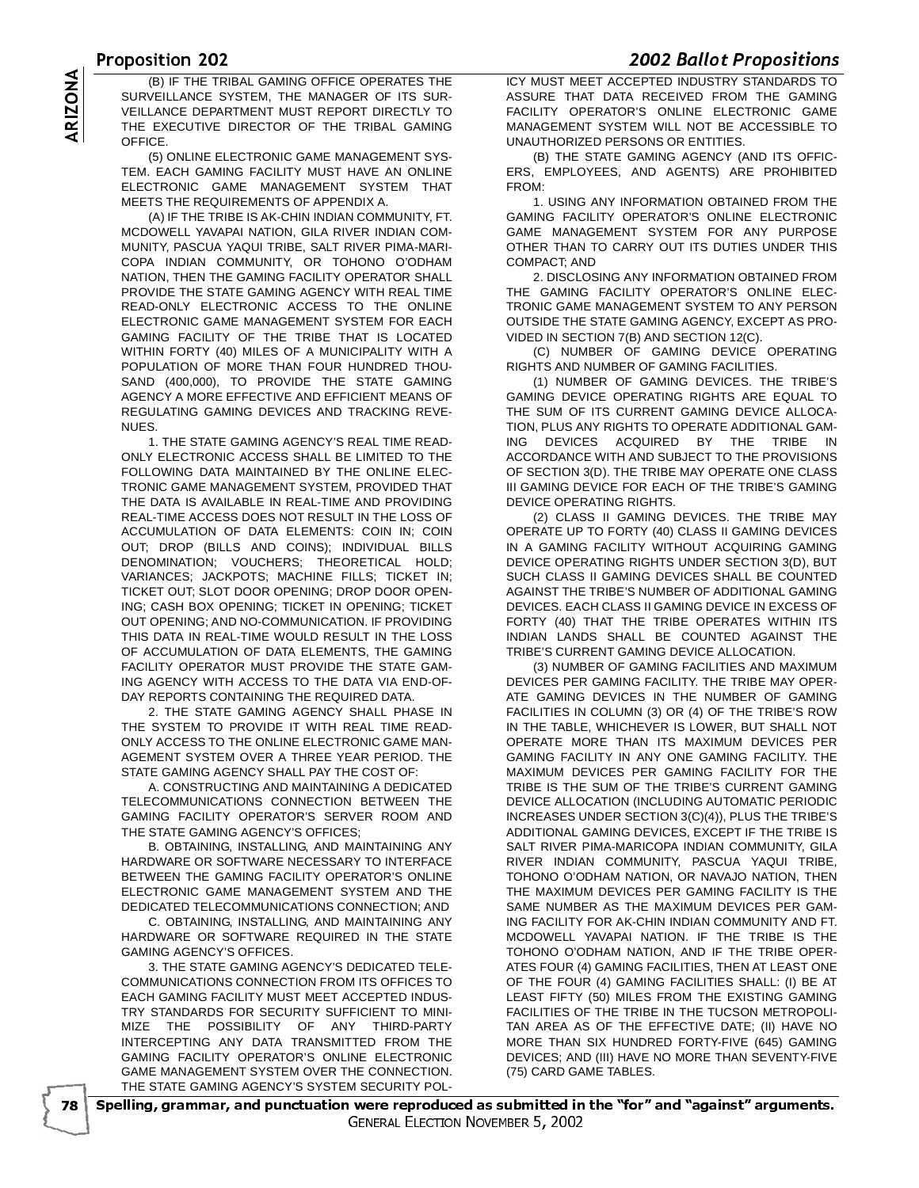# -

VE ZU.<br>TRIBAL OAMING OFFICE ORERATED THE LOW MUST MEET ACCEP. SURVEILLANCE SYSTEM, THE MANAGER OF ITS SUR-VEILLANCE DEPARTMENT MUST REPORT DIRECTLY TO THE EXECUTIVE DIRECTOR OF THE TRIBAL GAMING **OFFICE** 

(5) ONLINE ELECTRONIC GAME MANAGEMENT SYS-TEM. EACH GAMING FACILITY MUST HAVE AN ONLINE ELECTRONIC GAME MANAGEMENT SYSTEM THAT MEETS THE REQUIREMENTS OF APPENDIX A.

(B) IF THE TRIBAL GAMING OFFICE OPERATES THE<br>SURVEILLANCE SYSTEM, THE MANAGER OF ITS SUR-<br>VEILLANCE DEPARTMENT MUST REPORT DIRECTLY TO<br>THE EXECUTIVE DIRECTOR OF THE TRIBAL GAMING<br>OFFICE.<br>(5) ONLINE ELECTRONIC GAME MANAGEME (A) IF THE TRIBE IS AK-CHIN INDIAN COMMUNITY, FT. MCDOWELL YAVAPAI NATION, GILA RIVER INDIAN COM-MUNITY, PASCUA YAQUI TRIBE, SALT RIVER PIMA-MARI-COPA INDIAN COMMUNITY, OR TOHONO O'ODHAM NATION, THEN THE GAMING FACILITY OPERATOR SHALL PROVIDE THE STATE GAMING AGENCY WITH REAL TIME READ-ONLY ELECTRONIC ACCESS TO THE ONLINE ELECTRONIC GAME MANAGEMENT SYSTEM FOR EACH GAMING FACILITY OF THE TRIBE THAT IS LOCATED WITHIN FORTY (40) MILES OF A MUNICIPALITY WITH A POPULATION OF MORE THAN FOUR HUNDRED THOU-SAND (400,000), TO PROVIDE THE STATE GAMING AGENCY A MORE EFFECTIVE AND EFFICIENT MEANS OF REGULATING GAMING DEVICES AND TRACKING REVE-NUES.

1. THE STATE GAMING AGENCY'S REAL TIME READ-ONLY ELECTRONIC ACCESS SHALL BE LIMITED TO THE FOLLOWING DATA MAINTAINED BY THE ONLINE ELEC-TRONIC GAME MANAGEMENT SYSTEM, PROVIDED THAT THE DATA IS AVAILABLE IN REAL-TIME AND PROVIDING REAL-TIME ACCESS DOES NOT RESULT IN THE LOSS OF ACCUMULATION OF DATA ELEMENTS: COIN IN; COIN OUT; DROP (BILLS AND COINS); INDIVIDUAL BILLS DENOMINATION; VOUCHERS; THEORETICAL HOLD; VARIANCES; JACKPOTS; MACHINE FILLS; TICKET IN; TICKET OUT; SLOT DOOR OPENING; DROP DOOR OPEN-ING; CASH BOX OPENING; TICKET IN OPENING; TICKET OUT OPENING; AND NO-COMMUNICATION. IF PROVIDING THIS DATA IN REAL-TIME WOULD RESULT IN THE LOSS OF ACCUMULATION OF DATA ELEMENTS, THE GAMING FACILITY OPERATOR MUST PROVIDE THE STATE GAM-ING AGENCY WITH ACCESS TO THE DATA VIA END-OF-DAY REPORTS CONTAINING THE REQUIRED DATA.

2. THE STATE GAMING AGENCY SHALL PHASE IN THE SYSTEM TO PROVIDE IT WITH REAL TIME READ-ONLY ACCESS TO THE ONLINE ELECTRONIC GAME MAN-AGEMENT SYSTEM OVER A THREE YEAR PERIOD. THE STATE GAMING AGENCY SHALL PAY THE COST OF:

A. CONSTRUCTING AND MAINTAINING A DEDICATED TELECOMMUNICATIONS CONNECTION BETWEEN THE GAMING FACILITY OPERATOR'S SERVER ROOM AND THE STATE GAMING AGENCY'S OFFICES;

B. OBTAINING, INSTALLING, AND MAINTAINING ANY HARDWARE OR SOFTWARE NECESSARY TO INTERFACE BETWEEN THE GAMING FACILITY OPERATOR'S ONLINE ELECTRONIC GAME MANAGEMENT SYSTEM AND THE DEDICATED TELECOMMUNICATIONS CONNECTION; AND

C. OBTAINING, INSTALLING, AND MAINTAINING ANY HARDWARE OR SOFTWARE REQUIRED IN THE STATE GAMING AGENCY'S OFFICES.

3. THE STATE GAMING AGENCY'S DEDICATED TELE-COMMUNICATIONS CONNECTION FROM ITS OFFICES TO EACH GAMING FACILITY MUST MEET ACCEPTED INDUS-TRY STANDARDS FOR SECURITY SUFFICIENT TO MINI-MIZE THE POSSIBILITY OF ANY THIRD-PARTY INTERCEPTING ANY DATA TRANSMITTED FROM THE GAMING FACILITY OPERATOR'S ONLINE ELECTRONIC GAME MANAGEMENT SYSTEM OVER THE CONNECTION. THE STATE GAMING AGENCY'S SYSTEM SECURITY POL-

**EUGE BURGET TOPOSITIONS**<br>ICY MUST MEET ACCEPTED INDUSTRY STANDARDS TO ASSURE THAT DATA RECEIVED FROM THE GAMING FACILITY OPERATOR'S ONLINE ELECTRONIC GAME MANAGEMENT SYSTEM WILL NOT BE ACCESSIBLE TO UNAUTHORIZED PERSONS OR ENTITIES.

(B) THE STATE GAMING AGENCY (AND ITS OFFIC-ERS, EMPLOYEES, AND AGENTS) ARE PROHIBITED FROM:

1. USING ANY INFORMATION OBTAINED FROM THE GAMING FACILITY OPERATOR'S ONLINE ELECTRONIC GAME MANAGEMENT SYSTEM FOR ANY PURPOSE OTHER THAN TO CARRY OUT ITS DUTIES UNDER THIS COMPACT; AND

2. DISCLOSING ANY INFORMATION OBTAINED FROM THE GAMING FACILITY OPERATOR'S ONLINE ELEC-TRONIC GAME MANAGEMENT SYSTEM TO ANY PERSON OUTSIDE THE STATE GAMING AGENCY, EXCEPT AS PRO-VIDED IN SECTION 7(B) AND SECTION 12(C).

(C) NUMBER OF GAMING DEVICE OPERATING RIGHTS AND NUMBER OF GAMING FACILITIES.

(1) NUMBER OF GAMING DEVICES. THE TRIBE'S GAMING DEVICE OPERATING RIGHTS ARE EQUAL TO THE SUM OF ITS CURRENT GAMING DEVICE ALLOCA-TION, PLUS ANY RIGHTS TO OPERATE ADDITIONAL GAM-ING DEVICES ACQUIRED BY THE TRIBE IN ACCORDANCE WITH AND SUBJECT TO THE PROVISIONS OF SECTION 3(D). THE TRIBE MAY OPERATE ONE CLASS III GAMING DEVICE FOR EACH OF THE TRIBE'S GAMING DEVICE OPERATING RIGHTS.

(2) CLASS II GAMING DEVICES. THE TRIBE MAY OPERATE UP TO FORTY (40) CLASS II GAMING DEVICES IN A GAMING FACILITY WITHOUT ACQUIRING GAMING DEVICE OPERATING RIGHTS UNDER SECTION 3(D), BUT SUCH CLASS II GAMING DEVICES SHALL BE COUNTED AGAINST THE TRIBE'S NUMBER OF ADDITIONAL GAMING DEVICES. EACH CLASS II GAMING DEVICE IN EXCESS OF FORTY (40) THAT THE TRIBE OPERATES WITHIN ITS INDIAN LANDS SHALL BE COUNTED AGAINST THE TRIBE'S CURRENT GAMING DEVICE ALLOCATION.

(3) NUMBER OF GAMING FACILITIES AND MAXIMUM DEVICES PER GAMING FACILITY. THE TRIBE MAY OPER-ATE GAMING DEVICES IN THE NUMBER OF GAMING FACILITIES IN COLUMN (3) OR (4) OF THE TRIBE'S ROW IN THE TABLE, WHICHEVER IS LOWER, BUT SHALL NOT OPERATE MORE THAN ITS MAXIMUM DEVICES PER GAMING FACILITY IN ANY ONE GAMING FACILITY. THE MAXIMUM DEVICES PER GAMING FACILITY FOR THE TRIBE IS THE SUM OF THE TRIBE'S CURRENT GAMING DEVICE ALLOCATION (INCLUDING AUTOMATIC PERIODIC INCREASES UNDER SECTION 3(C)(4)), PLUS THE TRIBE'S ADDITIONAL GAMING DEVICES, EXCEPT IF THE TRIBE IS SALT RIVER PIMA-MARICOPA INDIAN COMMUNITY, GILA RIVER INDIAN COMMUNITY, PASCUA YAQUI TRIBE, TOHONO O'ODHAM NATION, OR NAVAJO NATION, THEN THE MAXIMUM DEVICES PER GAMING FACILITY IS THE SAME NUMBER AS THE MAXIMUM DEVICES PER GAM-ING FACILITY FOR AK-CHIN INDIAN COMMUNITY AND FT. MCDOWELL YAVAPAI NATION. IF THE TRIBE IS THE TOHONO O'ODHAM NATION, AND IF THE TRIBE OPER-ATES FOUR (4) GAMING FACILITIES, THEN AT LEAST ONE OF THE FOUR (4) GAMING FACILITIES SHALL: (I) BE AT LEAST FIFTY (50) MILES FROM THE EXISTING GAMING FACILITIES OF THE TRIBE IN THE TUCSON METROPOLI-TAN AREA AS OF THE EFFECTIVE DATE; (II) HAVE NO MORE THAN SIX HUNDRED FORTY-FIVE (645) GAMING DEVICES; AND (III) HAVE NO MORE THAN SEVENTY-FIVE (75) CARD GAME TABLES.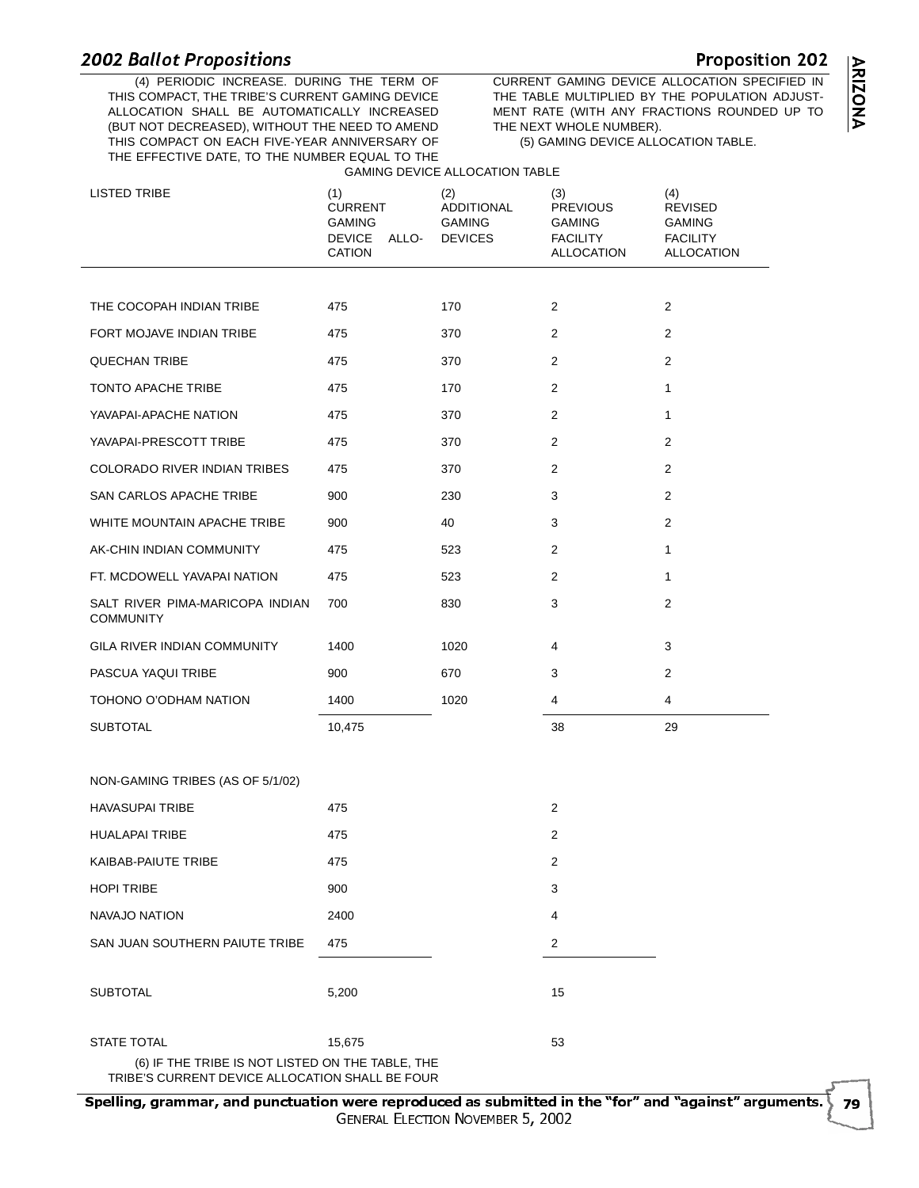# $\frac{2002 \text{ hours}}{40 \text{ pF}}$



 -(4) PERIODIC INCREASE. DURING THE TERM OF THIS COMPACT, THE TRIBE'S CURRENT GAMING DEVICE ALLOCATION SHALL BE AUTOMATICALLY INCREASED (BUT NOT DECREASED), WITHOUT THE NEED TO AMEND THIS COMPACT ON EACH FIVE-YEAR ANNIVERSARY OF THE EFFECTIVE DATE, TO THE NUMBER EQUAL TO THE GAMING DEVICE ALLOCATION TABLE

 CURRENT GAMING DEVICE ALLOCATION SPECIFIED IN THE TABLE MULTIPLIED BY THE POPULATION ADJUST-MENT RATE (WITH ANY FRACTIONS ROUNDED UP TO THE NEXT WHOLE NUMBER). (5) GAMING DEVICE ALLOCATION TABLE.

Proposition 202

| <b>LISTED TRIBE</b>                                                    | (1)<br><b>CURRENT</b><br><b>GAMING</b><br><b>DEVICE</b><br>ALLO-<br><b>CATION</b> | (2)<br><b>ADDITIONAL</b><br><b>GAMING</b><br><b>DEVICES</b> | (3)<br><b>PREVIOUS</b><br><b>GAMING</b><br><b>FACILITY</b><br><b>ALLOCATION</b> | (4)<br><b>REVISED</b><br><b>GAMING</b><br><b>FACILITY</b><br><b>ALLOCATION</b> |
|------------------------------------------------------------------------|-----------------------------------------------------------------------------------|-------------------------------------------------------------|---------------------------------------------------------------------------------|--------------------------------------------------------------------------------|
|                                                                        |                                                                                   |                                                             |                                                                                 |                                                                                |
| THE COCOPAH INDIAN TRIBE                                               | 475                                                                               | 170                                                         | 2                                                                               | $\overline{2}$                                                                 |
| FORT MOJAVE INDIAN TRIBE                                               | 475                                                                               | 370                                                         | 2                                                                               | $\overline{2}$                                                                 |
| <b>QUECHAN TRIBE</b>                                                   | 475                                                                               | 370                                                         | 2                                                                               | 2                                                                              |
| TONTO APACHE TRIBE                                                     | 475                                                                               | 170                                                         | 2                                                                               | 1                                                                              |
| YAVAPAI-APACHE NATION                                                  | 475                                                                               | 370                                                         | $\overline{c}$                                                                  | 1                                                                              |
| YAVAPAI-PRESCOTT TRIBE                                                 | 475                                                                               | 370                                                         | 2                                                                               | 2                                                                              |
| COLORADO RIVER INDIAN TRIBES                                           | 475                                                                               | 370                                                         | 2                                                                               | 2                                                                              |
| SAN CARLOS APACHE TRIBE                                                | 900                                                                               | 230                                                         | 3                                                                               | 2                                                                              |
| WHITE MOUNTAIN APACHE TRIBE                                            | 900                                                                               | 40                                                          | 3                                                                               | 2                                                                              |
| AK-CHIN INDIAN COMMUNITY                                               | 475                                                                               | 523                                                         | 2                                                                               | 1                                                                              |
| FT. MCDOWELL YAVAPAI NATION                                            | 475                                                                               | 523                                                         | 2                                                                               | 1                                                                              |
| SALT RIVER PIMA-MARICOPA INDIAN<br><b>COMMUNITY</b>                    | 700                                                                               | 830                                                         | 3                                                                               | 2                                                                              |
| GILA RIVER INDIAN COMMUNITY                                            | 1400                                                                              | 1020                                                        | 4                                                                               | 3                                                                              |
| PASCUA YAQUI TRIBE                                                     | 900                                                                               | 670                                                         | 3                                                                               | 2                                                                              |
| TOHONO O'ODHAM NATION                                                  | 1400                                                                              | 1020                                                        | 4                                                                               | 4                                                                              |
| <b>SUBTOTAL</b>                                                        | 10,475                                                                            |                                                             | 38                                                                              | 29                                                                             |
| NON-GAMING TRIBES (AS OF 5/1/02)                                       |                                                                                   |                                                             |                                                                                 |                                                                                |
| <b>HAVASUPAI TRIBE</b>                                                 | 475                                                                               |                                                             | $\overline{2}$                                                                  |                                                                                |
| <b>HUALAPAI TRIBE</b>                                                  | 475                                                                               |                                                             | $\overline{2}$                                                                  |                                                                                |
| KAIBAB-PAIUTE TRIBE                                                    | 475                                                                               |                                                             | 2                                                                               |                                                                                |
| <b>HOPI TRIBE</b>                                                      | 900                                                                               |                                                             | 3                                                                               |                                                                                |
| NAVAJO NATION                                                          | 2400                                                                              |                                                             | 4                                                                               |                                                                                |
| SAN JUAN SOUTHERN PAIUTE TRIBE                                         | 475                                                                               |                                                             | 2                                                                               |                                                                                |
| <b>SUBTOTAL</b>                                                        | 5,200                                                                             |                                                             | 15                                                                              |                                                                                |
| <b>STATE TOTAL</b><br>(6) IF THE TRIBE IS NOT LISTED ON THE TABLE, THE | 15,675                                                                            |                                                             | 53                                                                              |                                                                                |
| TRIBE'S CURRENT DEVICE ALLOCATION SHALL BE FOUR                        |                                                                                   |                                                             |                                                                                 |                                                                                |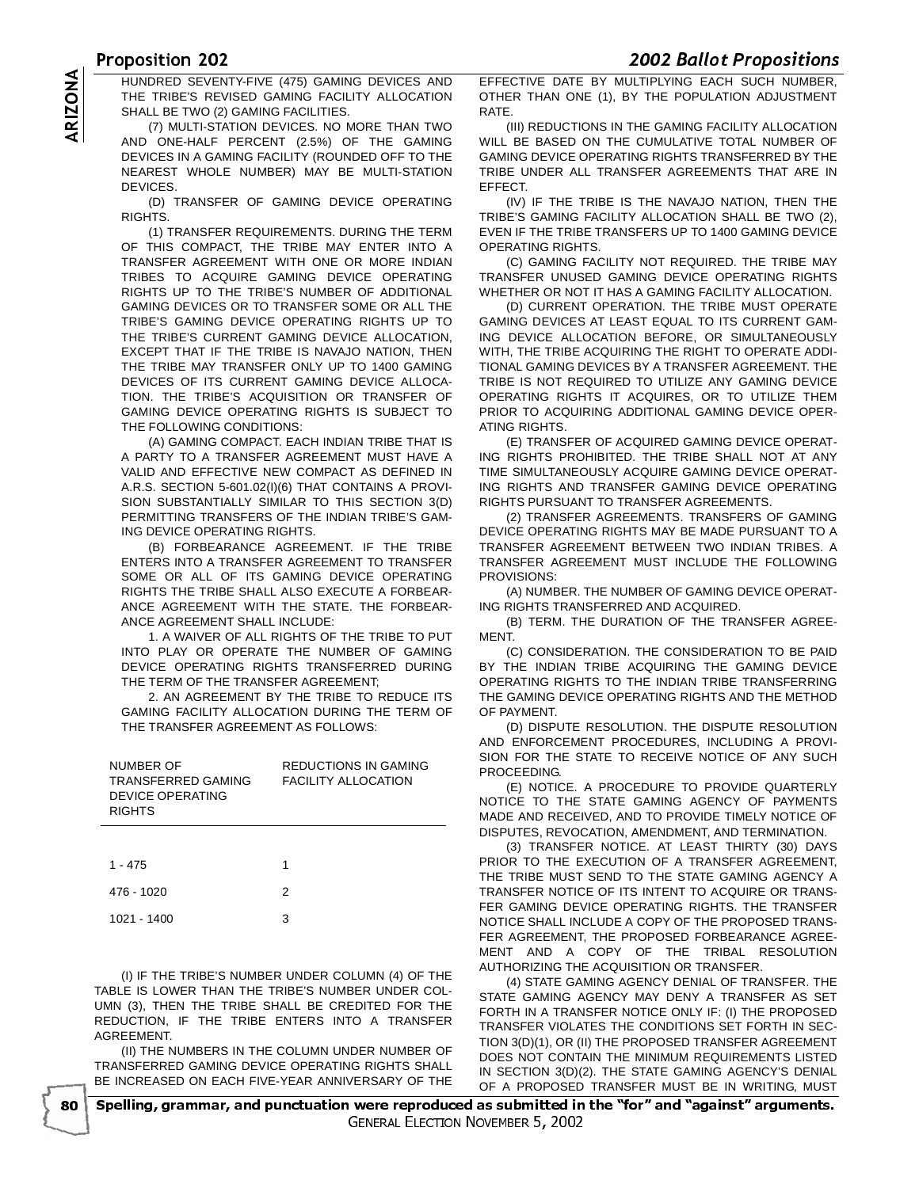<u>UPOSICION ZUZ</u><br>- HINDRED SEVENTYENE (475) OAMNO REVISER AND LEEESTIVE DATE DY MILITI THE TRIBE'S REVISED GAMING FACILITY ALLOCATION SHALL BE TWO (2) GAMING FACILITIES.

HUNDRED SEVENTY-FIVE (475) GAMING DEVICES AND<br>THE TRIBE'S REVISED GAMING FACILITY ALLOCATION<br>SHALL BE TWO (2) GAMING FACILITIES.<br>(7) MULTI-STATION DEVICES. NO MORE THAN TWO<br>AND ONE-HALF PERCENT (2.5%) OF THE GAMING<br>DEVICES (7) MULTI-STATION DEVICES. NO MORE THAN TWO AND ONE-HALF PERCENT (2.5%) OF THE GAMING DEVICES IN A GAMING FACILITY (ROUNDED OFF TO THE NEAREST WHOLE NUMBER) MAY BE MULTI-STATION DEVICES.

(D) TRANSFER OF GAMING DEVICE OPERATING RIGHTS.

(1) TRANSFER REQUIREMENTS. DURING THE TERM OF THIS COMPACT, THE TRIBE MAY ENTER INTO A TRANSFER AGREEMENT WITH ONE OR MORE INDIAN TRIBES TO ACQUIRE GAMING DEVICE OPERATING RIGHTS UP TO THE TRIBE'S NUMBER OF ADDITIONAL GAMING DEVICES OR TO TRANSFER SOME OR ALL THE TRIBE'S GAMING DEVICE OPERATING RIGHTS UP TO THE TRIBE'S CURRENT GAMING DEVICE ALLOCATION, EXCEPT THAT IF THE TRIBE IS NAVAJO NATION, THEN THE TRIBE MAY TRANSFER ONLY UP TO 1400 GAMING DEVICES OF ITS CURRENT GAMING DEVICE ALLOCA-TION. THE TRIBE'S ACQUISITION OR TRANSFER OF GAMING DEVICE OPERATING RIGHTS IS SUBJECT TO THE FOLLOWING CONDITIONS:

(A) GAMING COMPACT. EACH INDIAN TRIBE THAT IS A PARTY TO A TRANSFER AGREEMENT MUST HAVE A VALID AND EFFECTIVE NEW COMPACT AS DEFINED IN A.R.S. SECTION 5-601.02(I)(6) THAT CONTAINS A PROVI-SION SUBSTANTIALLY SIMILAR TO THIS SECTION 3(D) PERMITTING TRANSFERS OF THE INDIAN TRIBE'S GAM-ING DEVICE OPERATING RIGHTS.

(B) FORBEARANCE AGREEMENT. IF THE TRIBE ENTERS INTO A TRANSFER AGREEMENT TO TRANSFER SOME OR ALL OF ITS GAMING DEVICE OPERATING RIGHTS THE TRIBE SHALL ALSO EXECUTE A FORBEAR-ANCE AGREEMENT WITH THE STATE. THE FORBEAR-ANCE AGREEMENT SHALL INCLUDE:

1. A WAIVER OF ALL RIGHTS OF THE TRIBE TO PUT INTO PLAY OR OPERATE THE NUMBER OF GAMING DEVICE OPERATING RIGHTS TRANSFERRED DURING THE TERM OF THE TRANSFER AGREEMENT;

2. AN AGREEMENT BY THE TRIBE TO REDUCE ITS GAMING FACILITY ALLOCATION DURING THE TERM OF THE TRANSFER AGREEMENT AS FOLLOWS:

| NUMBER OF<br>TRANSFERRED GAMING<br>DEVICE OPERATING<br><b>RIGHTS</b> | <b>REDUCTIONS IN GAMING</b><br><b>FACILITY ALLOCATION</b> |
|----------------------------------------------------------------------|-----------------------------------------------------------|
| $1 - 475$                                                            |                                                           |

| 476 - 1020  |   |
|-------------|---|
| 1021 - 1400 | 3 |

(I) IF THE TRIBE'S NUMBER UNDER COLUMN (4) OF THE TABLE IS LOWER THAN THE TRIBE'S NUMBER UNDER COL-UMN (3), THEN THE TRIBE SHALL BE CREDITED FOR THE REDUCTION, IF THE TRIBE ENTERS INTO A TRANSFER AGREEMENT.

(II) THE NUMBERS IN THE COLUMN UNDER NUMBER OF TRANSFERRED GAMING DEVICE OPERATING RIGHTS SHALL BE INCREASED ON EACH FIVE-YEAR ANNIVERSARY OF THE

EFFECTIVE DATE BY MULTIPLYING EACH SUCH NUMBER, OTHER THAN ONE (1), BY THE POPULATION ADJUSTMENT **RATE** 

(III) REDUCTIONS IN THE GAMING FACILITY ALLOCATION WILL BE BASED ON THE CUMULATIVE TOTAL NUMBER OF GAMING DEVICE OPERATING RIGHTS TRANSFERRED BY THE TRIBE UNDER ALL TRANSFER AGREEMENTS THAT ARE IN EFFECT.

(IV) IF THE TRIBE IS THE NAVAJO NATION, THEN THE TRIBE'S GAMING FACILITY ALLOCATION SHALL BE TWO (2), EVEN IF THE TRIBE TRANSFERS UP TO 1400 GAMING DEVICE OPERATING RIGHTS.

(C) GAMING FACILITY NOT REQUIRED. THE TRIBE MAY TRANSFER UNUSED GAMING DEVICE OPERATING RIGHTS WHETHER OR NOT IT HAS A GAMING FACILITY ALLOCATION.

(D) CURRENT OPERATION. THE TRIBE MUST OPERATE GAMING DEVICES AT LEAST EQUAL TO ITS CURRENT GAM-ING DEVICE ALLOCATION BEFORE, OR SIMULTANEOUSLY WITH, THE TRIBE ACQUIRING THE RIGHT TO OPERATE ADDI-TIONAL GAMING DEVICES BY A TRANSFER AGREEMENT. THE TRIBE IS NOT REQUIRED TO UTILIZE ANY GAMING DEVICE OPERATING RIGHTS IT ACQUIRES, OR TO UTILIZE THEM PRIOR TO ACQUIRING ADDITIONAL GAMING DEVICE OPER-ATING RIGHTS.

(E) TRANSFER OF ACQUIRED GAMING DEVICE OPERAT-ING RIGHTS PROHIBITED. THE TRIBE SHALL NOT AT ANY TIME SIMULTANEOUSLY ACQUIRE GAMING DEVICE OPERAT-ING RIGHTS AND TRANSFER GAMING DEVICE OPERATING RIGHTS PURSUANT TO TRANSFER AGREEMENTS.

(2) TRANSFER AGREEMENTS. TRANSFERS OF GAMING DEVICE OPERATING RIGHTS MAY BE MADE PURSUANT TO A TRANSFER AGREEMENT BETWEEN TWO INDIAN TRIBES. A TRANSFER AGREEMENT MUST INCLUDE THE FOLLOWING PROVISIONS:

(A) NUMBER. THE NUMBER OF GAMING DEVICE OPERAT-ING RIGHTS TRANSFERRED AND ACQUIRED.

(B) TERM. THE DURATION OF THE TRANSFER AGREE-MENT.

(C) CONSIDERATION. THE CONSIDERATION TO BE PAID BY THE INDIAN TRIBE ACQUIRING THE GAMING DEVICE OPERATING RIGHTS TO THE INDIAN TRIBE TRANSFERRING THE GAMING DEVICE OPERATING RIGHTS AND THE METHOD OF PAYMENT.

(D) DISPUTE RESOLUTION. THE DISPUTE RESOLUTION AND ENFORCEMENT PROCEDURES, INCLUDING A PROVI-SION FOR THE STATE TO RECEIVE NOTICE OF ANY SUCH PROCEEDING.

(E) NOTICE. A PROCEDURE TO PROVIDE QUARTERLY NOTICE TO THE STATE GAMING AGENCY OF PAYMENTS MADE AND RECEIVED, AND TO PROVIDE TIMELY NOTICE OF DISPUTES, REVOCATION, AMENDMENT, AND TERMINATION.

(3) TRANSFER NOTICE. AT LEAST THIRTY (30) DAYS PRIOR TO THE EXECUTION OF A TRANSFER AGREEMENT, THE TRIBE MUST SEND TO THE STATE GAMING AGENCY A TRANSFER NOTICE OF ITS INTENT TO ACQUIRE OR TRANS-FER GAMING DEVICE OPERATING RIGHTS. THE TRANSFER NOTICE SHALL INCLUDE A COPY OF THE PROPOSED TRANS-FER AGREEMENT, THE PROPOSED FORBEARANCE AGREE-MENT AND A COPY OF THE TRIBAL RESOLUTION AUTHORIZING THE ACQUISITION OR TRANSFER.

(4) STATE GAMING AGENCY DENIAL OF TRANSFER. THE STATE GAMING AGENCY MAY DENY A TRANSFER AS SET FORTH IN A TRANSFER NOTICE ONLY IF: (I) THE PROPOSED TRANSFER VIOLATES THE CONDITIONS SET FORTH IN SEC-TION 3(D)(1), OR (II) THE PROPOSED TRANSFER AGREEMENT DOES NOT CONTAIN THE MINIMUM REQUIREMENTS LISTED IN SECTION 3(D)(2). THE STATE GAMING AGENCY'S DENIAL OF A PROPOSED TRANSFER MUST BE IN WRITING, MUST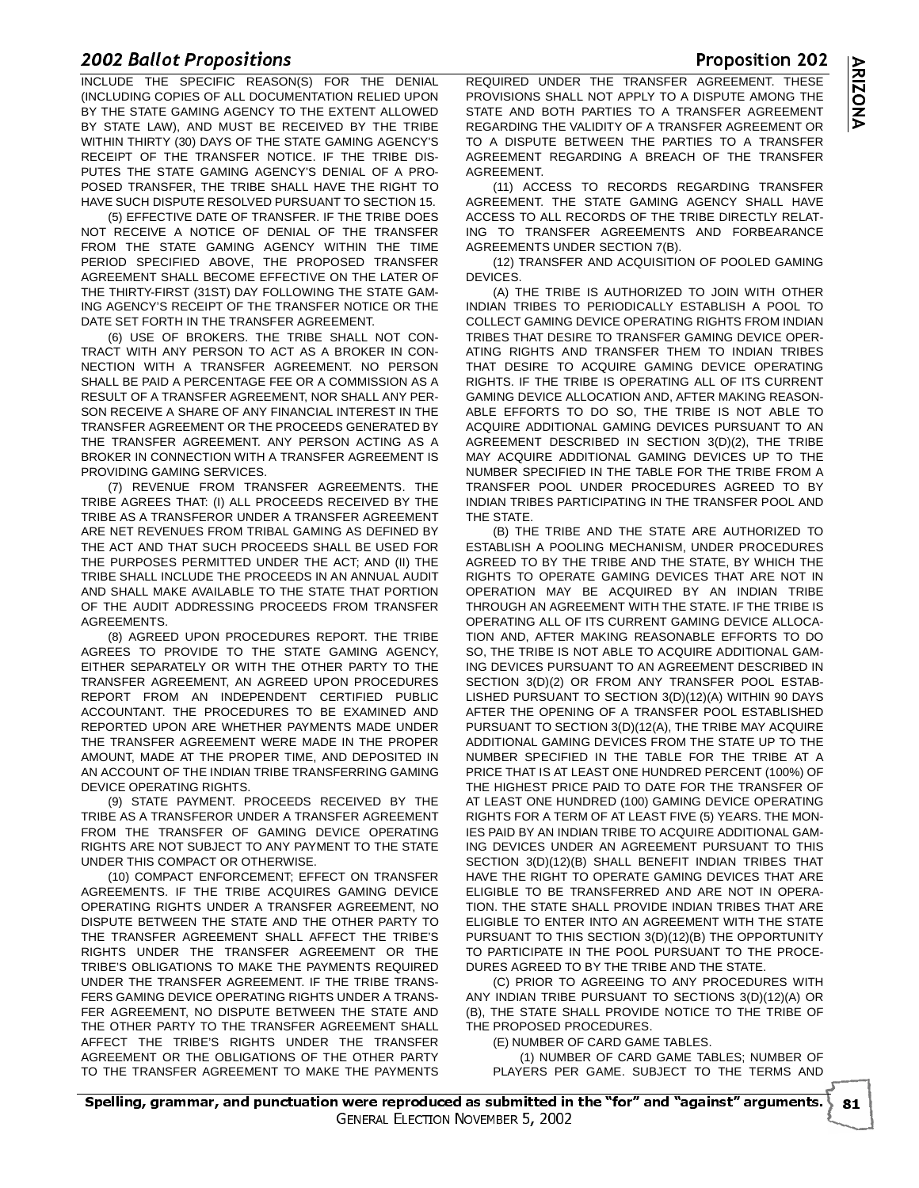**2002 BUNDET FORDSTEIDES**<br>INCLUDE THE SPECIFIC REASON(S) FOR THE DENIAL (INCLUDING COPIES OF ALL DOCUMENTATION RELIED UPON BY THE STATE GAMING AGENCY TO THE EXTENT ALLOWED BY STATE LAW), AND MUST BE RECEIVED BY THE TRIBE WITHIN THIRTY (30) DAYS OF THE STATE GAMING AGENCY'S RECEIPT OF THE TRANSFER NOTICE. IF THE TRIBE DIS-PUTES THE STATE GAMING AGENCY'S DENIAL OF A PRO-POSED TRANSFER, THE TRIBE SHALL HAVE THE RIGHT TO HAVE SUCH DISPUTE RESOLVED PURSUANT TO SECTION 15.

(5) EFFECTIVE DATE OF TRANSFER. IF THE TRIBE DOES NOT RECEIVE A NOTICE OF DENIAL OF THE TRANSFER FROM THE STATE GAMING AGENCY WITHIN THE TIME PERIOD SPECIFIED ABOVE, THE PROPOSED TRANSFER AGREEMENT SHALL BECOME EFFECTIVE ON THE LATER OF THE THIRTY-FIRST (31ST) DAY FOLLOWING THE STATE GAM-ING AGENCY'S RECEIPT OF THE TRANSFER NOTICE OR THE DATE SET FORTH IN THE TRANSFER AGREEMENT.

(6) USE OF BROKERS. THE TRIBE SHALL NOT CON-TRACT WITH ANY PERSON TO ACT AS A BROKER IN CON-NECTION WITH A TRANSFER AGREEMENT. NO PERSON SHALL BE PAID A PERCENTAGE FEE OR A COMMISSION AS A RESULT OF A TRANSFER AGREEMENT, NOR SHALL ANY PER-SON RECEIVE A SHARE OF ANY FINANCIAL INTEREST IN THE TRANSFER AGREEMENT OR THE PROCEEDS GENERATED BY THE TRANSFER AGREEMENT. ANY PERSON ACTING AS A BROKER IN CONNECTION WITH A TRANSFER AGREEMENT IS PROVIDING GAMING SERVICES.

(7) REVENUE FROM TRANSFER AGREEMENTS. THE TRIBE AGREES THAT: (I) ALL PROCEEDS RECEIVED BY THE TRIBE AS A TRANSFEROR UNDER A TRANSFER AGREEMENT ARE NET REVENUES FROM TRIBAL GAMING AS DEFINED BY THE ACT AND THAT SUCH PROCEEDS SHALL BE USED FOR THE PURPOSES PERMITTED UNDER THE ACT; AND (II) THE TRIBE SHALL INCLUDE THE PROCEEDS IN AN ANNUAL AUDIT AND SHALL MAKE AVAILABLE TO THE STATE THAT PORTION OF THE AUDIT ADDRESSING PROCEEDS FROM TRANSFER AGREEMENTS.

(8) AGREED UPON PROCEDURES REPORT. THE TRIBE AGREES TO PROVIDE TO THE STATE GAMING AGENCY, EITHER SEPARATELY OR WITH THE OTHER PARTY TO THE TRANSFER AGREEMENT, AN AGREED UPON PROCEDURES REPORT FROM AN INDEPENDENT CERTIFIED PUBLIC ACCOUNTANT. THE PROCEDURES TO BE EXAMINED AND REPORTED UPON ARE WHETHER PAYMENTS MADE UNDER THE TRANSFER AGREEMENT WERE MADE IN THE PROPER AMOUNT, MADE AT THE PROPER TIME, AND DEPOSITED IN AN ACCOUNT OF THE INDIAN TRIBE TRANSFERRING GAMING DEVICE OPERATING RIGHTS.

(9) STATE PAYMENT. PROCEEDS RECEIVED BY THE TRIBE AS A TRANSFEROR UNDER A TRANSFER AGREEMENT FROM THE TRANSFER OF GAMING DEVICE OPERATING RIGHTS ARE NOT SUBJECT TO ANY PAYMENT TO THE STATE UNDER THIS COMPACT OR OTHERWISE.

(10) COMPACT ENFORCEMENT; EFFECT ON TRANSFER AGREEMENTS. IF THE TRIBE ACQUIRES GAMING DEVICE OPERATING RIGHTS UNDER A TRANSFER AGREEMENT, NO DISPUTE BETWEEN THE STATE AND THE OTHER PARTY TO THE TRANSFER AGREEMENT SHALL AFFECT THE TRIBE'S RIGHTS UNDER THE TRANSFER AGREEMENT OR THE TRIBE'S OBLIGATIONS TO MAKE THE PAYMENTS REQUIRED UNDER THE TRANSFER AGREEMENT. IF THE TRIBE TRANS-FERS GAMING DEVICE OPERATING RIGHTS UNDER A TRANS-FER AGREEMENT, NO DISPUTE BETWEEN THE STATE AND THE OTHER PARTY TO THE TRANSFER AGREEMENT SHALL AFFECT THE TRIBE'S RIGHTS UNDER THE TRANSFER AGREEMENT OR THE OBLIGATIONS OF THE OTHER PARTY TO THE TRANSFER AGREEMENT TO MAKE THE PAYMENTS

opositions<br>CIFIC REASON(S) FOR THE DENIAL REQUIRED UNDER THE TRANSFER AGREEMENT. THESE PROVISIONS SHALL NOT APPLY TO A DISPUTE AMONG THE STATE AND BOTH PARTIES TO A TRANSFER AGREEMENT REGARDING THE VALIDITY OF A TRANSFER AGREEMENT OR TO A DISPUTE BETWEEN THE PARTIES TO A TRANSFER AGREEMENT REGARDING A BREACH OF THE TRANSFER AGREEMENT.

> (11) ACCESS TO RECORDS REGARDING TRANSFER AGREEMENT. THE STATE GAMING AGENCY SHALL HAVE ACCESS TO ALL RECORDS OF THE TRIBE DIRECTLY RELAT-ING TO TRANSFER AGREEMENTS AND FORBEARANCE AGREEMENTS UNDER SECTION 7(B).

> (12) TRANSFER AND ACQUISITION OF POOLED GAMING DEVICES.

(A) THE TRIBE IS AUTHORIZED TO JOIN WITH OTHER INDIAN TRIBES TO PERIODICALLY ESTABLISH A POOL TO COLLECT GAMING DEVICE OPERATING RIGHTS FROM INDIAN TRIBES THAT DESIRE TO TRANSFER GAMING DEVICE OPER-ATING RIGHTS AND TRANSFER THEM TO INDIAN TRIBES THAT DESIRE TO ACQUIRE GAMING DEVICE OPERATING RIGHTS. IF THE TRIBE IS OPERATING ALL OF ITS CURRENT GAMING DEVICE ALLOCATION AND, AFTER MAKING REASON-ABLE EFFORTS TO DO SO, THE TRIBE IS NOT ABLE TO ACQUIRE ADDITIONAL GAMING DEVICES PURSUANT TO AN AGREEMENT DESCRIBED IN SECTION 3(D)(2), THE TRIBE MAY ACQUIRE ADDITIONAL GAMING DEVICES UP TO THE NUMBER SPECIFIED IN THE TABLE FOR THE TRIBE FROM A TRANSFER POOL UNDER PROCEDURES AGREED TO BY INDIAN TRIBES PARTICIPATING IN THE TRANSFER POOL AND THE STATE.

(B) THE TRIBE AND THE STATE ARE AUTHORIZED TO ESTABLISH A POOLING MECHANISM, UNDER PROCEDURES AGREED TO BY THE TRIBE AND THE STATE, BY WHICH THE RIGHTS TO OPERATE GAMING DEVICES THAT ARE NOT IN OPERATION MAY BE ACQUIRED BY AN INDIAN TRIBE THROUGH AN AGREEMENT WITH THE STATE. IF THE TRIBE IS OPERATING ALL OF ITS CURRENT GAMING DEVICE ALLOCA-TION AND, AFTER MAKING REASONABLE EFFORTS TO DO SO, THE TRIBE IS NOT ABLE TO ACQUIRE ADDITIONAL GAM-ING DEVICES PURSUANT TO AN AGREEMENT DESCRIBED IN SECTION 3(D)(2) OR FROM ANY TRANSFER POOL ESTAB-LISHED PURSUANT TO SECTION 3(D)(12)(A) WITHIN 90 DAYS AFTER THE OPENING OF A TRANSFER POOL ESTABLISHED PURSUANT TO SECTION 3(D)(12(A), THE TRIBE MAY ACQUIRE ADDITIONAL GAMING DEVICES FROM THE STATE UP TO THE NUMBER SPECIFIED IN THE TABLE FOR THE TRIBE AT A PRICE THAT IS AT LEAST ONE HUNDRED PERCENT (100%) OF THE HIGHEST PRICE PAID TO DATE FOR THE TRANSFER OF AT LEAST ONE HUNDRED (100) GAMING DEVICE OPERATING RIGHTS FOR A TERM OF AT LEAST FIVE (5) YEARS. THE MON-IES PAID BY AN INDIAN TRIBE TO ACQUIRE ADDITIONAL GAM-ING DEVICES UNDER AN AGREEMENT PURSUANT TO THIS SECTION 3(D)(12)(B) SHALL BENEFIT INDIAN TRIBES THAT HAVE THE RIGHT TO OPERATE GAMING DEVICES THAT ARE ELIGIBLE TO BE TRANSFERRED AND ARE NOT IN OPERA-TION. THE STATE SHALL PROVIDE INDIAN TRIBES THAT ARE ELIGIBLE TO ENTER INTO AN AGREEMENT WITH THE STATE PURSUANT TO THIS SECTION 3(D)(12)(B) THE OPPORTUNITY TO PARTICIPATE IN THE POOL PURSUANT TO THE PROCE-DURES AGREED TO BY THE TRIBE AND THE STATE.

(C) PRIOR TO AGREEING TO ANY PROCEDURES WITH ANY INDIAN TRIBE PURSUANT TO SECTIONS 3(D)(12)(A) OR (B), THE STATE SHALL PROVIDE NOTICE TO THE TRIBE OF THE PROPOSED PROCEDURES.

(E) NUMBER OF CARD GAME TABLES.

(1) NUMBER OF CARD GAME TABLES; NUMBER OF PLAYERS PER GAME. SUBJECT TO THE TERMS AND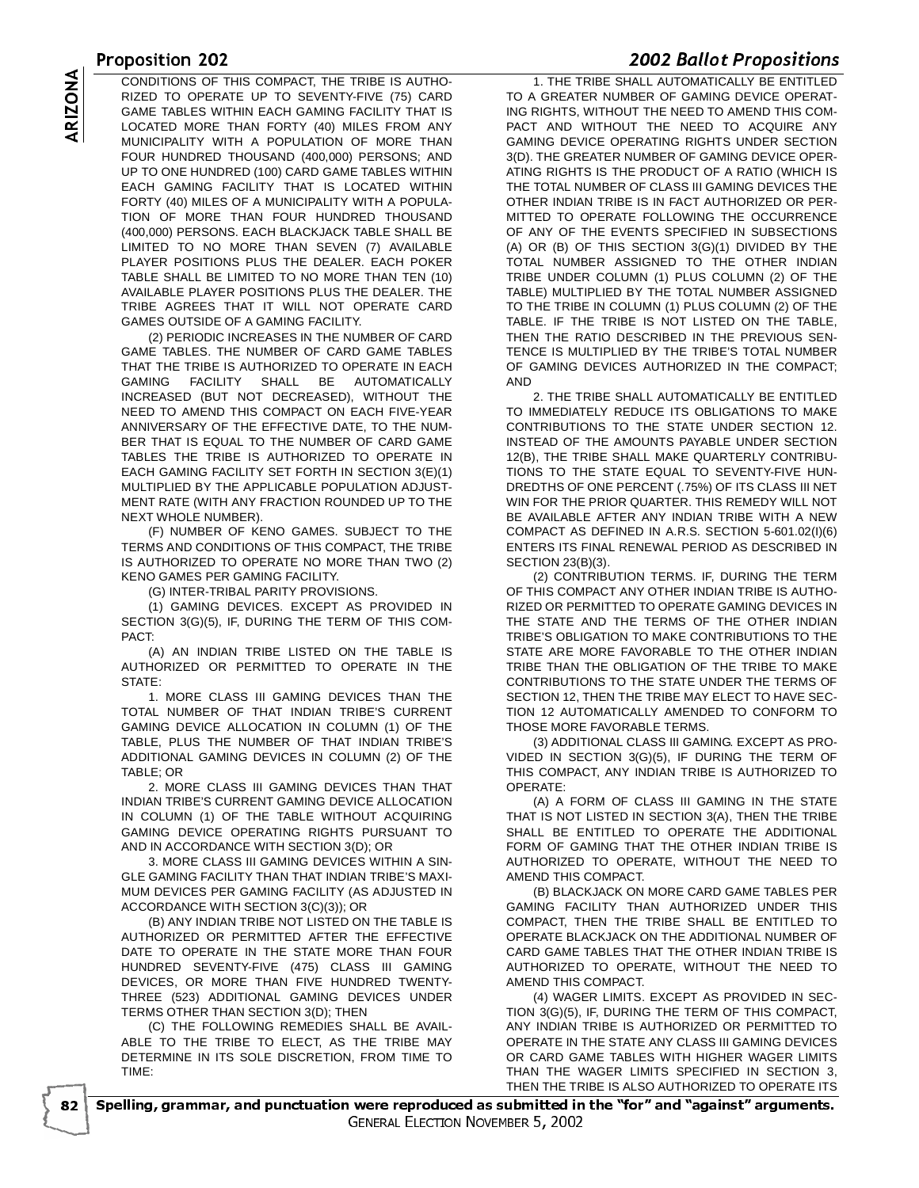<u>OPUSICION COLORADO COMPANADO EN ESPECIO ANTINO EN LA TINETENE QUALI</u> CONDITIONS OF THIS COMPACT, THE TRIBE IS AUTHO-<br>RIZED TO OPERATE UP TO SEVENTY-FIVE (75) CARD<br>GAME TABLES WITHIN EACH GAMING FACILITY THAT IS<br>LOCATED MORE THAN FORTY (40) MILES FROM ANY<br>MUNICIPALITY WITH A POPULATION OF MO RIZED TO OPERATE UP TO SEVENTY-FIVE (75) CARD GAME TABLES WITHIN EACH GAMING FACILITY THAT IS LOCATED MORE THAN FORTY (40) MILES FROM ANY MUNICIPALITY WITH A POPULATION OF MORE THAN FOUR HUNDRED THOUSAND (400,000) PERSONS; AND UP TO ONE HUNDRED (100) CARD GAME TABLES WITHIN EACH GAMING FACILITY THAT IS LOCATED WITHIN FORTY (40) MILES OF A MUNICIPALITY WITH A POPULA-TION OF MORE THAN FOUR HUNDRED THOUSAND (400,000) PERSONS. EACH BLACKJACK TABLE SHALL BE LIMITED TO NO MORE THAN SEVEN (7) AVAILABLE PLAYER POSITIONS PLUS THE DEALER. EACH POKER TABLE SHALL BE LIMITED TO NO MORE THAN TEN (10) AVAILABLE PLAYER POSITIONS PLUS THE DEALER. THE TRIBE AGREES THAT IT WILL NOT OPERATE CARD GAMES OUTSIDE OF A GAMING FACILITY.

(2) PERIODIC INCREASES IN THE NUMBER OF CARD GAME TABLES. THE NUMBER OF CARD GAME TABLES THAT THE TRIBE IS AUTHORIZED TO OPERATE IN EACH GAMING FACILITY SHALL BE AUTOMATICALLY INCREASED (BUT NOT DECREASED), WITHOUT THE NEED TO AMEND THIS COMPACT ON EACH FIVE-YEAR ANNIVERSARY OF THE EFFECTIVE DATE, TO THE NUM-BER THAT IS EQUAL TO THE NUMBER OF CARD GAME TABLES THE TRIBE IS AUTHORIZED TO OPERATE IN EACH GAMING FACILITY SET FORTH IN SECTION 3(E)(1) MULTIPLIED BY THE APPLICABLE POPULATION ADJUST-MENT RATE (WITH ANY FRACTION ROUNDED UP TO THE NEXT WHOLE NUMBER).

(F) NUMBER OF KENO GAMES. SUBJECT TO THE TERMS AND CONDITIONS OF THIS COMPACT, THE TRIBE IS AUTHORIZED TO OPERATE NO MORE THAN TWO (2) KENO GAMES PER GAMING FACILITY.

(G) INTER-TRIBAL PARITY PROVISIONS.

(1) GAMING DEVICES. EXCEPT AS PROVIDED IN SECTION 3(G)(5), IF, DURING THE TERM OF THIS COM-PACT:

(A) AN INDIAN TRIBE LISTED ON THE TABLE IS AUTHORIZED OR PERMITTED TO OPERATE IN THE STATE:

1. MORE CLASS III GAMING DEVICES THAN THE TOTAL NUMBER OF THAT INDIAN TRIBE'S CURRENT GAMING DEVICE ALLOCATION IN COLUMN (1) OF THE TABLE, PLUS THE NUMBER OF THAT INDIAN TRIBE'S ADDITIONAL GAMING DEVICES IN COLUMN (2) OF THE TABLE; OR

2. MORE CLASS III GAMING DEVICES THAN THAT INDIAN TRIBE'S CURRENT GAMING DEVICE ALLOCATION IN COLUMN (1) OF THE TABLE WITHOUT ACQUIRING GAMING DEVICE OPERATING RIGHTS PURSUANT TO AND IN ACCORDANCE WITH SECTION 3(D); OR

3. MORE CLASS III GAMING DEVICES WITHIN A SIN-GLE GAMING FACILITY THAN THAT INDIAN TRIBE'S MAXI-MUM DEVICES PER GAMING FACILITY (AS ADJUSTED IN ACCORDANCE WITH SECTION 3(C)(3)); OR

(B) ANY INDIAN TRIBE NOT LISTED ON THE TABLE IS AUTHORIZED OR PERMITTED AFTER THE EFFECTIVE DATE TO OPERATE IN THE STATE MORE THAN FOUR HUNDRED SEVENTY-FIVE (475) CLASS III GAMING DEVICES, OR MORE THAN FIVE HUNDRED TWENTY-THREE (523) ADDITIONAL GAMING DEVICES UNDER TERMS OTHER THAN SECTION 3(D); THEN

(C) THE FOLLOWING REMEDIES SHALL BE AVAIL-ABLE TO THE TRIBE TO ELECT, AS THE TRIBE MAY DETERMINE IN ITS SOLE DISCRETION, FROM TIME TO TIME:

- 

 1. THE TRIBE SHALL AUTOMATICALLY BE ENTITLED TO A GREATER NUMBER OF GAMING DEVICE OPERAT-ING RIGHTS, WITHOUT THE NEED TO AMEND THIS COM-PACT AND WITHOUT THE NEED TO ACQUIRE ANY GAMING DEVICE OPERATING RIGHTS UNDER SECTION 3(D). THE GREATER NUMBER OF GAMING DEVICE OPER-ATING RIGHTS IS THE PRODUCT OF A RATIO (WHICH IS THE TOTAL NUMBER OF CLASS III GAMING DEVICES THE OTHER INDIAN TRIBE IS IN FACT AUTHORIZED OR PER-MITTED TO OPERATE FOLLOWING THE OCCURRENCE OF ANY OF THE EVENTS SPECIFIED IN SUBSECTIONS (A) OR (B) OF THIS SECTION 3(G)(1) DIVIDED BY THE TOTAL NUMBER ASSIGNED TO THE OTHER INDIAN TRIBE UNDER COLUMN (1) PLUS COLUMN (2) OF THE TABLE) MULTIPLIED BY THE TOTAL NUMBER ASSIGNED TO THE TRIBE IN COLUMN (1) PLUS COLUMN (2) OF THE TABLE. IF THE TRIBE IS NOT LISTED ON THE TABLE, THEN THE RATIO DESCRIBED IN THE PREVIOUS SEN-TENCE IS MULTIPLIED BY THE TRIBE'S TOTAL NUMBER OF GAMING DEVICES AUTHORIZED IN THE COMPACT; AND

2. THE TRIBE SHALL AUTOMATICALLY BE ENTITLED TO IMMEDIATELY REDUCE ITS OBLIGATIONS TO MAKE CONTRIBUTIONS TO THE STATE UNDER SECTION 12. INSTEAD OF THE AMOUNTS PAYABLE UNDER SECTION 12(B), THE TRIBE SHALL MAKE QUARTERLY CONTRIBU-TIONS TO THE STATE EQUAL TO SEVENTY-FIVE HUN-DREDTHS OF ONE PERCENT (.75%) OF ITS CLASS III NET WIN FOR THE PRIOR QUARTER. THIS REMEDY WILL NOT BE AVAILABLE AFTER ANY INDIAN TRIBE WITH A NEW COMPACT AS DEFINED IN A.R.S. SECTION 5-601.02(I)(6) ENTERS ITS FINAL RENEWAL PERIOD AS DESCRIBED IN SECTION 23(B)(3).

(2) CONTRIBUTION TERMS. IF, DURING THE TERM OF THIS COMPACT ANY OTHER INDIAN TRIBE IS AUTHO-RIZED OR PERMITTED TO OPERATE GAMING DEVICES IN THE STATE AND THE TERMS OF THE OTHER INDIAN TRIBE'S OBLIGATION TO MAKE CONTRIBUTIONS TO THE STATE ARE MORE FAVORABLE TO THE OTHER INDIAN TRIBE THAN THE OBLIGATION OF THE TRIBE TO MAKE CONTRIBUTIONS TO THE STATE UNDER THE TERMS OF SECTION 12, THEN THE TRIBE MAY ELECT TO HAVE SEC-TION 12 AUTOMATICALLY AMENDED TO CONFORM TO THOSE MORE FAVORABLE TERMS.

(3) ADDITIONAL CLASS III GAMING. EXCEPT AS PRO-VIDED IN SECTION 3(G)(5), IF DURING THE TERM OF THIS COMPACT, ANY INDIAN TRIBE IS AUTHORIZED TO OPERATE:

(A) A FORM OF CLASS III GAMING IN THE STATE THAT IS NOT LISTED IN SECTION 3(A), THEN THE TRIBE SHALL BE ENTITLED TO OPERATE THE ADDITIONAL FORM OF GAMING THAT THE OTHER INDIAN TRIBE IS AUTHORIZED TO OPERATE, WITHOUT THE NEED TO AMEND THIS COMPACT.

(B) BLACKJACK ON MORE CARD GAME TABLES PER GAMING FACILITY THAN AUTHORIZED UNDER THIS COMPACT, THEN THE TRIBE SHALL BE ENTITLED TO OPERATE BLACKJACK ON THE ADDITIONAL NUMBER OF CARD GAME TABLES THAT THE OTHER INDIAN TRIBE IS AUTHORIZED TO OPERATE, WITHOUT THE NEED TO AMEND THIS COMPACT.

(4) WAGER LIMITS. EXCEPT AS PROVIDED IN SEC-TION 3(G)(5), IF, DURING THE TERM OF THIS COMPACT, ANY INDIAN TRIBE IS AUTHORIZED OR PERMITTED TO OPERATE IN THE STATE ANY CLASS III GAMING DEVICES OR CARD GAME TABLES WITH HIGHER WAGER LIMITS THAN THE WAGER LIMITS SPECIFIED IN SECTION 3, THEN THE TRIBE IS ALSO AUTHORIZED TO OPERATE ITS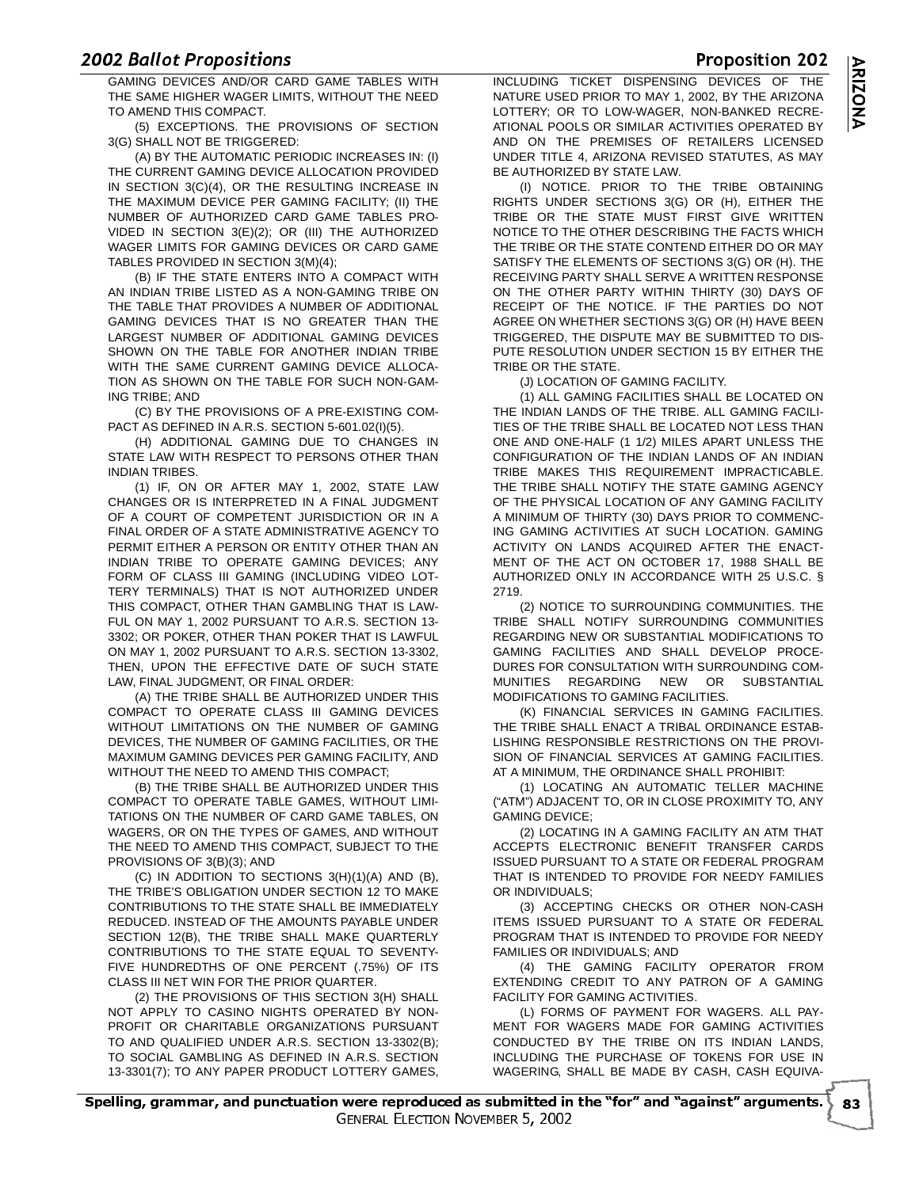<u>Extracted the positions</u><br>GAMING DEVICES AND/OR CARD GAME TABLES WITH TINCLUDING TICKET DISPENSING D THE SAME HIGHER WAGER LIMITS, WITHOUT THE NEED TO AMEND THIS COMPACT.

(5) EXCEPTIONS. THE PROVISIONS OF SECTION 3(G) SHALL NOT BE TRIGGERED:

(A) BY THE AUTOMATIC PERIODIC INCREASES IN: (I) THE CURRENT GAMING DEVICE ALLOCATION PROVIDED IN SECTION 3(C)(4), OR THE RESULTING INCREASE IN THE MAXIMUM DEVICE PER GAMING FACILITY; (II) THE NUMBER OF AUTHORIZED CARD GAME TABLES PRO-VIDED IN SECTION 3(E)(2); OR (III) THE AUTHORIZED WAGER LIMITS FOR GAMING DEVICES OR CARD GAME TABLES PROVIDED IN SECTION 3(M)(4);

(B) IF THE STATE ENTERS INTO A COMPACT WITH AN INDIAN TRIBE LISTED AS A NON-GAMING TRIBE ON THE TABLE THAT PROVIDES A NUMBER OF ADDITIONAL GAMING DEVICES THAT IS NO GREATER THAN THE LARGEST NUMBER OF ADDITIONAL GAMING DEVICES SHOWN ON THE TABLE FOR ANOTHER INDIAN TRIBE WITH THE SAME CURRENT GAMING DEVICE ALLOCA-TION AS SHOWN ON THE TABLE FOR SUCH NON-GAM-ING TRIBE; AND

(C) BY THE PROVISIONS OF A PRE-EXISTING COM-PACT AS DEFINED IN A.R.S. SECTION 5-601.02(I)(5).

(H) ADDITIONAL GAMING DUE TO CHANGES IN STATE LAW WITH RESPECT TO PERSONS OTHER THAN INDIAN TRIBES.

(1) IF, ON OR AFTER MAY 1, 2002, STATE LAW CHANGES OR IS INTERPRETED IN A FINAL JUDGMENT OF A COURT OF COMPETENT JURISDICTION OR IN A FINAL ORDER OF A STATE ADMINISTRATIVE AGENCY TO PERMIT EITHER A PERSON OR ENTITY OTHER THAN AN INDIAN TRIBE TO OPERATE GAMING DEVICES; ANY FORM OF CLASS III GAMING (INCLUDING VIDEO LOT-TERY TERMINALS) THAT IS NOT AUTHORIZED UNDER THIS COMPACT, OTHER THAN GAMBLING THAT IS LAW-FUL ON MAY 1, 2002 PURSUANT TO A.R.S. SECTION 13- 3302; OR POKER, OTHER THAN POKER THAT IS LAWFUL ON MAY 1, 2002 PURSUANT TO A.R.S. SECTION 13-3302, THEN, UPON THE EFFECTIVE DATE OF SUCH STATE LAW, FINAL JUDGMENT, OR FINAL ORDER:

(A) THE TRIBE SHALL BE AUTHORIZED UNDER THIS COMPACT TO OPERATE CLASS III GAMING DEVICES WITHOUT LIMITATIONS ON THE NUMBER OF GAMING DEVICES, THE NUMBER OF GAMING FACILITIES, OR THE MAXIMUM GAMING DEVICES PER GAMING FACILITY, AND WITHOUT THE NEED TO AMEND THIS COMPACT;

(B) THE TRIBE SHALL BE AUTHORIZED UNDER THIS COMPACT TO OPERATE TABLE GAMES, WITHOUT LIMI-TATIONS ON THE NUMBER OF CARD GAME TABLES, ON WAGERS, OR ON THE TYPES OF GAMES, AND WITHOUT THE NEED TO AMEND THIS COMPACT, SUBJECT TO THE PROVISIONS OF 3(B)(3); AND

(C) IN ADDITION TO SECTIONS 3(H)(1)(A) AND (B), THE TRIBE'S OBLIGATION UNDER SECTION 12 TO MAKE CONTRIBUTIONS TO THE STATE SHALL BE IMMEDIATELY REDUCED. INSTEAD OF THE AMOUNTS PAYABLE UNDER SECTION 12(B), THE TRIBE SHALL MAKE QUARTERLY CONTRIBUTIONS TO THE STATE EQUAL TO SEVENTY-FIVE HUNDREDTHS OF ONE PERCENT (.75%) OF ITS CLASS III NET WIN FOR THE PRIOR QUARTER.

(2) THE PROVISIONS OF THIS SECTION 3(H) SHALL NOT APPLY TO CASINO NIGHTS OPERATED BY NON-PROFIT OR CHARITABLE ORGANIZATIONS PURSUANT TO AND QUALIFIED UNDER A.R.S. SECTION 13-3302(B); TO SOCIAL GAMBLING AS DEFINED IN A.R.S. SECTION 13-3301(7); TO ANY PAPER PRODUCT LOTTERY GAMES,

 INCLUDING TICKET DISPENSING DEVICES OF THE  $THE$ NATURE USED PRIOR TO MAY 1, 2002, BY THE ARIZONA LOTTERY; OR TO LOW-WAGER, NON-BANKED RECRE-ATIONAL POOLS OR SIMILAR ACTIVITIES OPERATED BY AND ON THE PREMISES OF RETAILERS LICENSED UNDER TITLE 4, ARIZONA REVISED STATUTES, AS MAY BE AUTHORIZED BY STATE LAW.

(I) NOTICE. PRIOR TO THE TRIBE OBTAINING RIGHTS UNDER SECTIONS 3(G) OR (H), EITHER THE TRIBE OR THE STATE MUST FIRST GIVE WRITTEN NOTICE TO THE OTHER DESCRIBING THE FACTS WHICH THE TRIBE OR THE STATE CONTEND EITHER DO OR MAY SATISFY THE ELEMENTS OF SECTIONS 3(G) OR (H). THE RECEIVING PARTY SHALL SERVE A WRITTEN RESPONSE ON THE OTHER PARTY WITHIN THIRTY (30) DAYS OF RECEIPT OF THE NOTICE. IF THE PARTIES DO NOT AGREE ON WHETHER SECTIONS 3(G) OR (H) HAVE BEEN TRIGGERED, THE DISPUTE MAY BE SUBMITTED TO DIS-PUTE RESOLUTION UNDER SECTION 15 BY EITHER THE TRIBE OR THE STATE.

(J) LOCATION OF GAMING FACILITY.

(1) ALL GAMING FACILITIES SHALL BE LOCATED ON THE INDIAN LANDS OF THE TRIBE. ALL GAMING FACILI-TIES OF THE TRIBE SHALL BE LOCATED NOT LESS THAN ONE AND ONE-HALF (1 1/2) MILES APART UNLESS THE CONFIGURATION OF THE INDIAN LANDS OF AN INDIAN TRIBE MAKES THIS REQUIREMENT IMPRACTICABLE. THE TRIBE SHALL NOTIFY THE STATE GAMING AGENCY OF THE PHYSICAL LOCATION OF ANY GAMING FACILITY A MINIMUM OF THIRTY (30) DAYS PRIOR TO COMMENC-ING GAMING ACTIVITIES AT SUCH LOCATION. GAMING ACTIVITY ON LANDS ACQUIRED AFTER THE ENACT-MENT OF THE ACT ON OCTOBER 17, 1988 SHALL BE AUTHORIZED ONLY IN ACCORDANCE WITH 25 U.S.C. § 2719.

(2) NOTICE TO SURROUNDING COMMUNITIES. THE TRIBE SHALL NOTIFY SURROUNDING COMMUNITIES REGARDING NEW OR SUBSTANTIAL MODIFICATIONS TO GAMING FACILITIES AND SHALL DEVELOP PROCE-DURES FOR CONSULTATION WITH SURROUNDING COM-MUNITIES REGARDING NEW OR SUBSTANTIAL MODIFICATIONS TO GAMING FACILITIES.

(K) FINANCIAL SERVICES IN GAMING FACILITIES. THE TRIBE SHALL ENACT A TRIBAL ORDINANCE ESTAB-LISHING RESPONSIBLE RESTRICTIONS ON THE PROVI-SION OF FINANCIAL SERVICES AT GAMING FACILITIES. AT A MINIMUM, THE ORDINANCE SHALL PROHIBIT:

(1) LOCATING AN AUTOMATIC TELLER MACHINE ("ATM") ADJACENT TO, OR IN CLOSE PROXIMITY TO, ANY GAMING DEVICE;

(2) LOCATING IN A GAMING FACILITY AN ATM THAT ACCEPTS ELECTRONIC BENEFIT TRANSFER CARDS ISSUED PURSUANT TO A STATE OR FEDERAL PROGRAM THAT IS INTENDED TO PROVIDE FOR NEEDY FAMILIES OR INDIVIDUALS;

(3) ACCEPTING CHECKS OR OTHER NON-CASH ITEMS ISSUED PURSUANT TO A STATE OR FEDERAL PROGRAM THAT IS INTENDED TO PROVIDE FOR NEEDY FAMILIES OR INDIVIDUALS; AND

(4) THE GAMING FACILITY OPERATOR FROM EXTENDING CREDIT TO ANY PATRON OF A GAMING FACILITY FOR GAMING ACTIVITIES.

(L) FORMS OF PAYMENT FOR WAGERS. ALL PAY-MENT FOR WAGERS MADE FOR GAMING ACTIVITIES CONDUCTED BY THE TRIBE ON ITS INDIAN LANDS, INCLUDING THE PURCHASE OF TOKENS FOR USE IN WAGERING, SHALL BE MADE BY CASH, CASH EQUIVA-

**Proposition 202**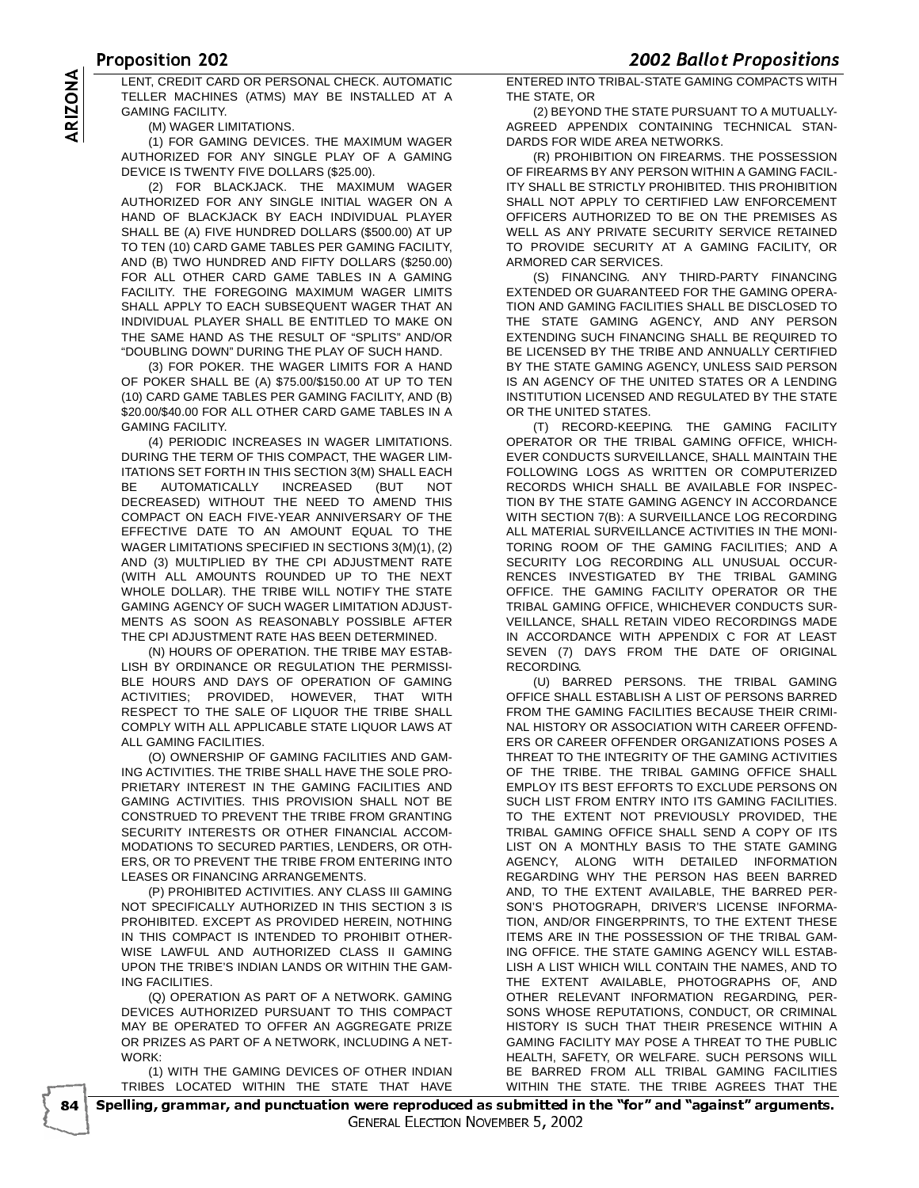<u>UPUSICIOIL EUE</u><br>LENT OPERIT OARR OP REROQUAL OUEQUALITOMATION - ENTERER INTO TRIPAL O TELLER MACHINES (ATMS) MAY BE INSTALLED AT A GAMING FACILITY.

(M) WAGER LIMITATIONS.

(1) FOR GAMING DEVICES. THE MAXIMUM WAGER AUTHORIZED FOR ANY SINGLE PLAY OF A GAMING DEVICE IS TWENTY FIVE DOLLARS (\$25.00).

LENT, CREDIT CARD OR PERSONAL CHECK. AUTOMATIC<br>
TELLER MACHINES (ATMS) MAY BE INSTALLED AT A<br>
GAMING FACILITY.<br>
(M) WAGER LIMITATIONS.<br>
(1) FOR GAMING DEVICES. THE MAXIMUM WAGER<br>
AUTHORIZED FOR ANY SINGLE PLAY OF A GAMING<br> (2) FOR BLACKJACK. THE MAXIMUM WAGER AUTHORIZED FOR ANY SINGLE INITIAL WAGER ON A HAND OF BLACKJACK BY EACH INDIVIDUAL PLAYER SHALL BE (A) FIVE HUNDRED DOLLARS (\$500.00) AT UP TO TEN (10) CARD GAME TABLES PER GAMING FACILITY, AND (B) TWO HUNDRED AND FIFTY DOLLARS (\$250.00) FOR ALL OTHER CARD GAME TABLES IN A GAMING FACILITY. THE FOREGOING MAXIMUM WAGER LIMITS SHALL APPLY TO EACH SUBSEQUENT WAGER THAT AN INDIVIDUAL PLAYER SHALL BE ENTITLED TO MAKE ON THE SAME HAND AS THE RESULT OF "SPLITS" AND/OR "DOUBLING DOWN" DURING THE PLAY OF SUCH HAND.

(3) FOR POKER. THE WAGER LIMITS FOR A HAND OF POKER SHALL BE (A) \$75.00/\$150.00 AT UP TO TEN (10) CARD GAME TABLES PER GAMING FACILITY, AND (B) \$20.00/\$40.00 FOR ALL OTHER CARD GAME TABLES IN A GAMING FACILITY.

(4) PERIODIC INCREASES IN WAGER LIMITATIONS. DURING THE TERM OF THIS COMPACT, THE WAGER LIM-ITATIONS SET FORTH IN THIS SECTION 3(M) SHALL EACH BE AUTOMATICALLY INCREASED (BUT NOT DECREASED) WITHOUT THE NEED TO AMEND THIS COMPACT ON EACH FIVE-YEAR ANNIVERSARY OF THE EFFECTIVE DATE TO AN AMOUNT EQUAL TO THE WAGER LIMITATIONS SPECIFIED IN SECTIONS 3(M)(1), (2) AND (3) MULTIPLIED BY THE CPI ADJUSTMENT RATE (WITH ALL AMOUNTS ROUNDED UP TO THE NEXT WHOLE DOLLAR). THE TRIBE WILL NOTIFY THE STATE GAMING AGENCY OF SUCH WAGER LIMITATION ADJUST-MENTS AS SOON AS REASONABLY POSSIBLE AFTER THE CPI ADJUSTMENT RATE HAS BEEN DETERMINED.

(N) HOURS OF OPERATION. THE TRIBE MAY ESTAB-LISH BY ORDINANCE OR REGULATION THE PERMISSI-BLE HOURS AND DAYS OF OPERATION OF GAMING ACTIVITIES; PROVIDED, HOWEVER, THAT WITH RESPECT TO THE SALE OF LIQUOR THE TRIBE SHALL COMPLY WITH ALL APPLICABLE STATE LIQUOR LAWS AT ALL GAMING FACILITIES.

(O) OWNERSHIP OF GAMING FACILITIES AND GAM-ING ACTIVITIES. THE TRIBE SHALL HAVE THE SOLE PRO-PRIETARY INTEREST IN THE GAMING FACILITIES AND GAMING ACTIVITIES. THIS PROVISION SHALL NOT BE CONSTRUED TO PREVENT THE TRIBE FROM GRANTING SECURITY INTERESTS OR OTHER FINANCIAL ACCOM-MODATIONS TO SECURED PARTIES, LENDERS, OR OTH-ERS, OR TO PREVENT THE TRIBE FROM ENTERING INTO LEASES OR FINANCING ARRANGEMENTS.

(P) PROHIBITED ACTIVITIES. ANY CLASS III GAMING NOT SPECIFICALLY AUTHORIZED IN THIS SECTION 3 IS PROHIBITED. EXCEPT AS PROVIDED HEREIN, NOTHING IN THIS COMPACT IS INTENDED TO PROHIBIT OTHER-WISE LAWFUL AND AUTHORIZED CLASS II GAMING UPON THE TRIBE'S INDIAN LANDS OR WITHIN THE GAM-ING FACILITIES.

(Q) OPERATION AS PART OF A NETWORK. GAMING DEVICES AUTHORIZED PURSUANT TO THIS COMPACT MAY BE OPERATED TO OFFER AN AGGREGATE PRIZE OR PRIZES AS PART OF A NETWORK, INCLUDING A NET-WORK:

(1) WITH THE GAMING DEVICES OF OTHER INDIAN TRIBES LOCATED WITHIN THE STATE THAT HAVE

ENTERED INTO TRIBAL-STATE GAMING COMPACTS WITH THE STATE, OR

(2) BEYOND THE STATE PURSUANT TO A MUTUALLY-AGREED APPENDIX CONTAINING TECHNICAL STAN-DARDS FOR WIDE AREA NETWORKS.

(R) PROHIBITION ON FIREARMS. THE POSSESSION OF FIREARMS BY ANY PERSON WITHIN A GAMING FACIL-ITY SHALL BE STRICTLY PROHIBITED. THIS PROHIBITION SHALL NOT APPLY TO CERTIFIED LAW ENFORCEMENT OFFICERS AUTHORIZED TO BE ON THE PREMISES AS WELL AS ANY PRIVATE SECURITY SERVICE RETAINED TO PROVIDE SECURITY AT A GAMING FACILITY, OR ARMORED CAR SERVICES.

(S) FINANCING. ANY THIRD-PARTY FINANCING EXTENDED OR GUARANTEED FOR THE GAMING OPERA-TION AND GAMING FACILITIES SHALL BE DISCLOSED TO THE STATE GAMING AGENCY, AND ANY PERSON EXTENDING SUCH FINANCING SHALL BE REQUIRED TO BE LICENSED BY THE TRIBE AND ANNUALLY CERTIFIED BY THE STATE GAMING AGENCY, UNLESS SAID PERSON IS AN AGENCY OF THE UNITED STATES OR A LENDING INSTITUTION LICENSED AND REGULATED BY THE STATE OR THE UNITED STATES.

(T) RECORD-KEEPING. THE GAMING FACILITY OPERATOR OR THE TRIBAL GAMING OFFICE, WHICH-EVER CONDUCTS SURVEILLANCE, SHALL MAINTAIN THE FOLLOWING LOGS AS WRITTEN OR COMPUTERIZED RECORDS WHICH SHALL BE AVAILABLE FOR INSPEC-TION BY THE STATE GAMING AGENCY IN ACCORDANCE WITH SECTION 7(B): A SURVEILLANCE LOG RECORDING ALL MATERIAL SURVEILLANCE ACTIVITIES IN THE MONI-TORING ROOM OF THE GAMING FACILITIES; AND A SECURITY LOG RECORDING ALL UNUSUAL OCCUR-RENCES INVESTIGATED BY THE TRIBAL GAMING OFFICE. THE GAMING FACILITY OPERATOR OR THE TRIBAL GAMING OFFICE, WHICHEVER CONDUCTS SUR-VEILLANCE, SHALL RETAIN VIDEO RECORDINGS MADE IN ACCORDANCE WITH APPENDIX C FOR AT LEAST SEVEN (7) DAYS FROM THE DATE OF ORIGINAL RECORDING.

(U) BARRED PERSONS. THE TRIBAL GAMING OFFICE SHALL ESTABLISH A LIST OF PERSONS BARRED FROM THE GAMING FACILITIES BECAUSE THEIR CRIMI-NAL HISTORY OR ASSOCIATION WITH CAREER OFFEND-ERS OR CAREER OFFENDER ORGANIZATIONS POSES A THREAT TO THE INTEGRITY OF THE GAMING ACTIVITIES OF THE TRIBE. THE TRIBAL GAMING OFFICE SHALL EMPLOY ITS BEST EFFORTS TO EXCLUDE PERSONS ON SUCH LIST FROM ENTRY INTO ITS GAMING FACILITIES. TO THE EXTENT NOT PREVIOUSLY PROVIDED, THE TRIBAL GAMING OFFICE SHALL SEND A COPY OF ITS LIST ON A MONTHLY BASIS TO THE STATE GAMING AGENCY, ALONG WITH DETAILED INFORMATION REGARDING WHY THE PERSON HAS BEEN BARRED AND, TO THE EXTENT AVAILABLE, THE BARRED PER-SON'S PHOTOGRAPH, DRIVER'S LICENSE INFORMA-TION, AND/OR FINGERPRINTS, TO THE EXTENT THESE ITEMS ARE IN THE POSSESSION OF THE TRIBAL GAM-ING OFFICE. THE STATE GAMING AGENCY WILL ESTAB-LISH A LIST WHICH WILL CONTAIN THE NAMES, AND TO THE EXTENT AVAILABLE, PHOTOGRAPHS OF, AND OTHER RELEVANT INFORMATION REGARDING, PER-SONS WHOSE REPUTATIONS, CONDUCT, OR CRIMINAL HISTORY IS SUCH THAT THEIR PRESENCE WITHIN A GAMING FACILITY MAY POSE A THREAT TO THE PUBLIC HEALTH, SAFETY, OR WELFARE. SUCH PERSONS WILL BE BARRED FROM ALL TRIBAL GAMING FACILITIES WITHIN THE STATE. THE TRIBE AGREES THAT THE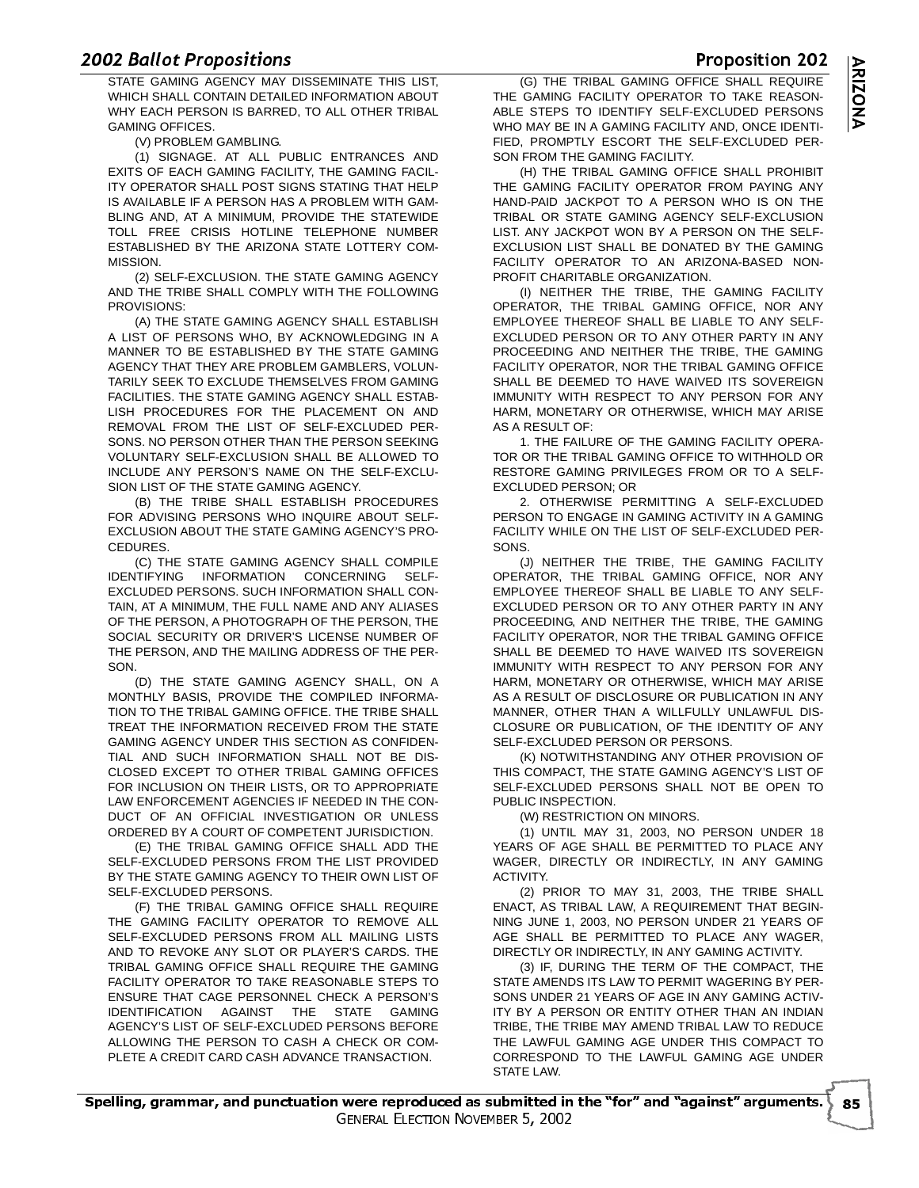<u>Extracted the positions</u><br>STATE GAMING AGENCY MAY DISSEMINATE THIS LIST, The TRIBAL GAMING OFFICI WHICH SHALL CONTAIN DETAILED INFORMATION ABOUT WHY EACH PERSON IS BARRED, TO ALL OTHER TRIBAL GAMING OFFICES.

(V) PROBLEM GAMBLING.

(1) SIGNAGE. AT ALL PUBLIC ENTRANCES AND EXITS OF EACH GAMING FACILITY, THE GAMING FACIL-ITY OPERATOR SHALL POST SIGNS STATING THAT HELP IS AVAILABLE IF A PERSON HAS A PROBLEM WITH GAM-BLING AND, AT A MINIMUM, PROVIDE THE STATEWIDE TOLL FREE CRISIS HOTLINE TELEPHONE NUMBER ESTABLISHED BY THE ARIZONA STATE LOTTERY COM-MISSION.

(2) SELF-EXCLUSION. THE STATE GAMING AGENCY AND THE TRIBE SHALL COMPLY WITH THE FOLLOWING PROVISIONS:

(A) THE STATE GAMING AGENCY SHALL ESTABLISH A LIST OF PERSONS WHO, BY ACKNOWLEDGING IN A MANNER TO BE ESTABLISHED BY THE STATE GAMING AGENCY THAT THEY ARE PROBLEM GAMBLERS, VOLUN-TARILY SEEK TO EXCLUDE THEMSELVES FROM GAMING FACILITIES. THE STATE GAMING AGENCY SHALL ESTAB-LISH PROCEDURES FOR THE PLACEMENT ON AND REMOVAL FROM THE LIST OF SELF-EXCLUDED PER-SONS. NO PERSON OTHER THAN THE PERSON SEEKING VOLUNTARY SELF-EXCLUSION SHALL BE ALLOWED TO INCLUDE ANY PERSON'S NAME ON THE SELF-EXCLU-SION LIST OF THE STATE GAMING AGENCY.

(B) THE TRIBE SHALL ESTABLISH PROCEDURES FOR ADVISING PERSONS WHO INQUIRE ABOUT SELF-EXCLUSION ABOUT THE STATE GAMING AGENCY'S PRO-CEDURES.

(C) THE STATE GAMING AGENCY SHALL COMPILE IDENTIFYING INFORMATION CONCERNING SELF-EXCLUDED PERSONS. SUCH INFORMATION SHALL CON-TAIN, AT A MINIMUM, THE FULL NAME AND ANY ALIASES OF THE PERSON, A PHOTOGRAPH OF THE PERSON, THE SOCIAL SECURITY OR DRIVER'S LICENSE NUMBER OF THE PERSON, AND THE MAILING ADDRESS OF THE PER-**SON.** 

(D) THE STATE GAMING AGENCY SHALL, ON A MONTHLY BASIS, PROVIDE THE COMPILED INFORMA-TION TO THE TRIBAL GAMING OFFICE. THE TRIBE SHALL TREAT THE INFORMATION RECEIVED FROM THE STATE GAMING AGENCY UNDER THIS SECTION AS CONFIDEN-TIAL AND SUCH INFORMATION SHALL NOT BE DIS-CLOSED EXCEPT TO OTHER TRIBAL GAMING OFFICES FOR INCLUSION ON THEIR LISTS, OR TO APPROPRIATE LAW ENFORCEMENT AGENCIES IF NEEDED IN THE CON-DUCT OF AN OFFICIAL INVESTIGATION OR UNLESS ORDERED BY A COURT OF COMPETENT JURISDICTION.

(E) THE TRIBAL GAMING OFFICE SHALL ADD THE SELF-EXCLUDED PERSONS FROM THE LIST PROVIDED BY THE STATE GAMING AGENCY TO THEIR OWN LIST OF SELF-EXCLUDED PERSONS.

(F) THE TRIBAL GAMING OFFICE SHALL REQUIRE THE GAMING FACILITY OPERATOR TO REMOVE ALL SELF-EXCLUDED PERSONS FROM ALL MAILING LISTS AND TO REVOKE ANY SLOT OR PLAYER'S CARDS. THE TRIBAL GAMING OFFICE SHALL REQUIRE THE GAMING FACILITY OPERATOR TO TAKE REASONABLE STEPS TO ENSURE THAT CAGE PERSONNEL CHECK A PERSON'S IDENTIFICATION AGAINST THE STATE GAMING AGENCY'S LIST OF SELF-EXCLUDED PERSONS BEFORE ALLOWING THE PERSON TO CASH A CHECK OR COM-PLETE A CREDIT CARD CASH ADVANCE TRANSACTION.

 (G) THE TRIBAL GAMING OFFICE SHALL REQUIRE THE GAMING FACILITY OPERATOR TO TAKE REASON-ABLE STEPS TO IDENTIFY SELF-EXCLUDED PERSONS WHO MAY BE IN A GAMING FACILITY AND, ONCE IDENTI-FIED, PROMPTLY ESCORT THE SELF-EXCLUDED PER-SON FROM THE GAMING FACILITY.

(H) THE TRIBAL GAMING OFFICE SHALL PROHIBIT THE GAMING FACILITY OPERATOR FROM PAYING ANY HAND-PAID JACKPOT TO A PERSON WHO IS ON THE TRIBAL OR STATE GAMING AGENCY SELF-EXCLUSION LIST. ANY JACKPOT WON BY A PERSON ON THE SELF-EXCLUSION LIST SHALL BE DONATED BY THE GAMING FACILITY OPERATOR TO AN ARIZONA-BASED NON-PROFIT CHARITABLE ORGANIZATION.

(I) NEITHER THE TRIBE, THE GAMING FACILITY OPERATOR, THE TRIBAL GAMING OFFICE, NOR ANY EMPLOYEE THEREOF SHALL BE LIABLE TO ANY SELF-EXCLUDED PERSON OR TO ANY OTHER PARTY IN ANY PROCEEDING AND NEITHER THE TRIBE, THE GAMING FACILITY OPERATOR, NOR THE TRIBAL GAMING OFFICE SHALL BE DEEMED TO HAVE WAIVED ITS SOVEREIGN IMMUNITY WITH RESPECT TO ANY PERSON FOR ANY HARM, MONETARY OR OTHERWISE, WHICH MAY ARISE AS A RESULT OF:

1. THE FAILURE OF THE GAMING FACILITY OPERA-TOR OR THE TRIBAL GAMING OFFICE TO WITHHOLD OR RESTORE GAMING PRIVILEGES FROM OR TO A SELF-EXCLUDED PERSON; OR

2. OTHERWISE PERMITTING A SELF-EXCLUDED PERSON TO ENGAGE IN GAMING ACTIVITY IN A GAMING FACILITY WHILE ON THE LIST OF SELF-EXCLUDED PER-**SONS** 

(J) NEITHER THE TRIBE, THE GAMING FACILITY OPERATOR, THE TRIBAL GAMING OFFICE, NOR ANY EMPLOYEE THEREOF SHALL BE LIABLE TO ANY SELF-EXCLUDED PERSON OR TO ANY OTHER PARTY IN ANY PROCEEDING, AND NEITHER THE TRIBE, THE GAMING FACILITY OPERATOR, NOR THE TRIBAL GAMING OFFICE SHALL BE DEEMED TO HAVE WAIVED ITS SOVERFIGN IMMUNITY WITH RESPECT TO ANY PERSON FOR ANY HARM, MONETARY OR OTHERWISE, WHICH MAY ARISE AS A RESULT OF DISCLOSURE OR PUBLICATION IN ANY MANNER, OTHER THAN A WILLFULLY UNLAWFUL DIS-CLOSURE OR PUBLICATION, OF THE IDENTITY OF ANY SELF-EXCLUDED PERSON OR PERSONS.

(K) NOTWITHSTANDING ANY OTHER PROVISION OF THIS COMPACT, THE STATE GAMING AGENCY'S LIST OF SELF-EXCLUDED PERSONS SHALL NOT BE OPEN TO PUBLIC INSPECTION.

(W) RESTRICTION ON MINORS.

(1) UNTIL MAY 31, 2003, NO PERSON UNDER 18 YEARS OF AGE SHALL BE PERMITTED TO PLACE ANY WAGER, DIRECTLY OR INDIRECTLY, IN ANY GAMING **ACTIVITY** 

(2) PRIOR TO MAY 31, 2003, THE TRIBE SHALL ENACT, AS TRIBAL LAW, A REQUIREMENT THAT BEGIN-NING JUNE 1, 2003, NO PERSON UNDER 21 YEARS OF AGE SHALL BE PERMITTED TO PLACE ANY WAGER, DIRECTLY OR INDIRECTLY, IN ANY GAMING ACTIVITY.

(3) IF, DURING THE TERM OF THE COMPACT, THE STATE AMENDS ITS LAW TO PERMIT WAGERING BY PER-SONS UNDER 21 YEARS OF AGE IN ANY GAMING ACTIV-ITY BY A PERSON OR ENTITY OTHER THAN AN INDIAN TRIBE, THE TRIBE MAY AMEND TRIBAL LAW TO REDUCE THE LAWFUL GAMING AGE UNDER THIS COMPACT TO CORRESPOND TO THE LAWFUL GAMING AGE UNDER STATE LAW.

Proposition 202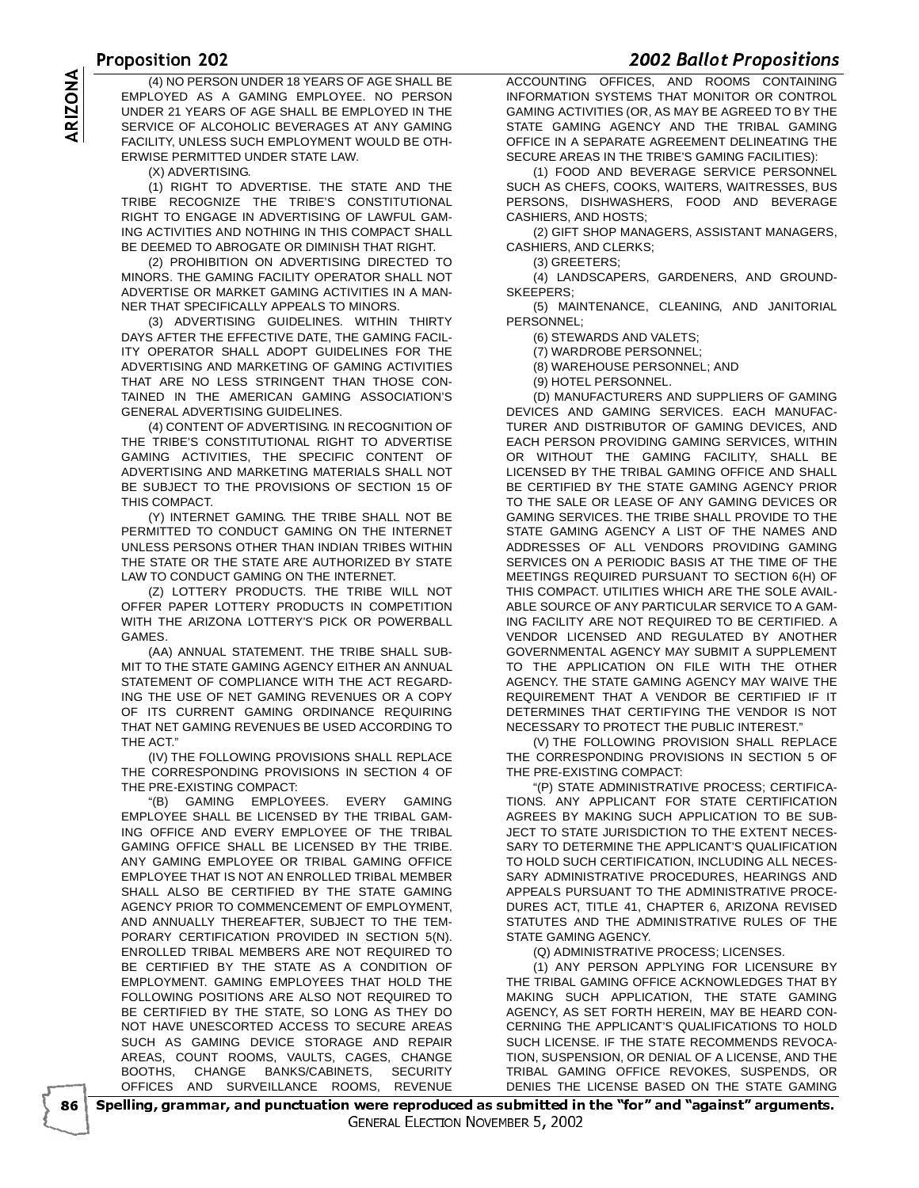# $\frac{10003110112}{(1100075)}$

 -(4) NO PERSON UNDER 18 YEARS OF AGE SHALL BE<br>
EMPLOYED AS A GAMING EMPLOYEE. NO PERSON<br>
UNDER 21 YEARS OF AGE SHALL BE EMPLOYED IN THE<br>
SERVICE OF ALCOHOLIC BEVERAGES AT ANY GAMING<br>
FACILITY, UNLESS SUCH EMPLOYMENT WOULD B EMPLOYED AS A GAMING EMPLOYEE. NO PERSON UNDER 21 YEARS OF AGE SHALL BE EMPLOYED IN THE SERVICE OF ALCOHOLIC BEVERAGES AT ANY GAMING FACILITY, UNLESS SUCH EMPLOYMENT WOULD BE OTH-ERWISE PERMITTED UNDER STATE LAW.

(X) ADVERTISING.

(1) RIGHT TO ADVERTISE. THE STATE AND THE TRIBE RECOGNIZE THE TRIBE'S CONSTITUTIONAL RIGHT TO ENGAGE IN ADVERTISING OF LAWFUL GAM-ING ACTIVITIES AND NOTHING IN THIS COMPACT SHALL BE DEEMED TO ABROGATE OR DIMINISH THAT RIGHT.

(2) PROHIBITION ON ADVERTISING DIRECTED TO MINORS. THE GAMING FACILITY OPERATOR SHALL NOT ADVERTISE OR MARKET GAMING ACTIVITIES IN A MAN-NER THAT SPECIFICALLY APPEALS TO MINORS.

(3) ADVERTISING GUIDELINES. WITHIN THIRTY DAYS AFTER THE EFFECTIVE DATE, THE GAMING FACIL-ITY OPERATOR SHALL ADOPT GUIDELINES FOR THE ADVERTISING AND MARKETING OF GAMING ACTIVITIES THAT ARE NO LESS STRINGENT THAN THOSE CON-TAINED IN THE AMERICAN GAMING ASSOCIATION'S GENERAL ADVERTISING GUIDELINES.

(4) CONTENT OF ADVERTISING. IN RECOGNITION OF THE TRIBE'S CONSTITUTIONAL RIGHT TO ADVERTISE GAMING ACTIVITIES, THE SPECIFIC CONTENT OF ADVERTISING AND MARKETING MATERIALS SHALL NOT BE SUBJECT TO THE PROVISIONS OF SECTION 15 OF THIS COMPACT.

(Y) INTERNET GAMING. THE TRIBE SHALL NOT BE PERMITTED TO CONDUCT GAMING ON THE INTERNET UNLESS PERSONS OTHER THAN INDIAN TRIBES WITHIN THE STATE OR THE STATE ARE AUTHORIZED BY STATE LAW TO CONDUCT GAMING ON THE INTERNET.

(Z) LOTTERY PRODUCTS. THE TRIBE WILL NOT OFFER PAPER LOTTERY PRODUCTS IN COMPETITION WITH THE ARIZONA LOTTERY'S PICK OR POWERBALL GAMES.

(AA) ANNUAL STATEMENT. THE TRIBE SHALL SUB-MIT TO THE STATE GAMING AGENCY EITHER AN ANNUAL STATEMENT OF COMPLIANCE WITH THE ACT REGARD-ING THE USE OF NET GAMING REVENUES OR A COPY OF ITS CURRENT GAMING ORDINANCE REQUIRING THAT NET GAMING REVENUES BE USED ACCORDING TO THE ACT."

(IV) THE FOLLOWING PROVISIONS SHALL REPLACE THE CORRESPONDING PROVISIONS IN SECTION 4 OF THE PRE-EXISTING COMPACT:

"(B) GAMING EMPLOYEES. EVERY GAMING EMPLOYEE SHALL BE LICENSED BY THE TRIBAL GAM-ING OFFICE AND EVERY EMPLOYEE OF THE TRIBAL GAMING OFFICE SHALL BE LICENSED BY THE TRIBE. ANY GAMING EMPLOYEE OR TRIBAL GAMING OFFICE EMPLOYEE THAT IS NOT AN ENROLLED TRIBAL MEMBER SHALL ALSO BE CERTIFIED BY THE STATE GAMING AGENCY PRIOR TO COMMENCEMENT OF EMPLOYMENT, AND ANNUALLY THEREAFTER, SUBJECT TO THE TEM-PORARY CERTIFICATION PROVIDED IN SECTION 5(N). ENROLLED TRIBAL MEMBERS ARE NOT REQUIRED TO BE CERTIFIED BY THE STATE AS A CONDITION OF EMPLOYMENT. GAMING EMPLOYEES THAT HOLD THE FOLLOWING POSITIONS ARE ALSO NOT REQUIRED TO BE CERTIFIED BY THE STATE, SO LONG AS THEY DO NOT HAVE UNESCORTED ACCESS TO SECURE AREAS SUCH AS GAMING DEVICE STORAGE AND REPAIR AREAS, COUNT ROOMS, VAULTS, CAGES, CHANGE BOOTHS, CHANGE BANKS/CABINETS, SECURITY OFFICES AND SURVEILLANCE ROOMS, REVENUE

**ACCOUNTING OFFICES, AND ROOMS CONTAINING** INFORMATION SYSTEMS THAT MONITOR OR CONTROL GAMING ACTIVITIES (OR, AS MAY BE AGREED TO BY THE STATE GAMING AGENCY AND THE TRIBAL GAMING OFFICE IN A SEPARATE AGREEMENT DELINEATING THE SECURE AREAS IN THE TRIBE'S GAMING FACILITIES):

(1) FOOD AND BEVERAGE SERVICE PERSONNEL SUCH AS CHEFS, COOKS, WAITERS, WAITRESSES, BUS PERSONS, DISHWASHERS, FOOD AND BEVERAGE CASHIERS, AND HOSTS;

(2) GIFT SHOP MANAGERS, ASSISTANT MANAGERS, CASHIERS, AND CLERKS;

(3) GREETERS;

(4) LANDSCAPERS, GARDENERS, AND GROUND-**SKEEPERS** 

(5) MAINTENANCE, CLEANING, AND JANITORIAL PERSONNEL;

(6) STEWARDS AND VALETS;

(7) WARDROBE PERSONNEL;

(8) WAREHOUSE PERSONNEL; AND

(9) HOTEL PERSONNEL.

(D) MANUFACTURERS AND SUPPLIERS OF GAMING DEVICES AND GAMING SERVICES. EACH MANUFAC-TURER AND DISTRIBUTOR OF GAMING DEVICES, AND EACH PERSON PROVIDING GAMING SERVICES, WITHIN OR WITHOUT THE GAMING FACILITY, SHALL BE LICENSED BY THE TRIBAL GAMING OFFICE AND SHALL BE CERTIFIED BY THE STATE GAMING AGENCY PRIOR TO THE SALE OR LEASE OF ANY GAMING DEVICES OR GAMING SERVICES. THE TRIBE SHALL PROVIDE TO THE STATE GAMING AGENCY A LIST OF THE NAMES AND ADDRESSES OF ALL VENDORS PROVIDING GAMING SERVICES ON A PERIODIC BASIS AT THE TIME OF THE MEETINGS REQUIRED PURSUANT TO SECTION 6(H) OF THIS COMPACT. UTILITIES WHICH ARE THE SOLE AVAIL-ABLE SOURCE OF ANY PARTICULAR SERVICE TO A GAM-ING FACILITY ARE NOT REQUIRED TO BE CERTIFIED. A VENDOR LICENSED AND REGULATED BY ANOTHER GOVERNMENTAL AGENCY MAY SUBMIT A SUPPLEMENT TO THE APPLICATION ON FILE WITH THE OTHER AGENCY. THE STATE GAMING AGENCY MAY WAIVE THE REQUIREMENT THAT A VENDOR BE CERTIFIED IF IT DETERMINES THAT CERTIFYING THE VENDOR IS NOT NECESSARY TO PROTECT THE PUBLIC INTEREST."

(V) THE FOLLOWING PROVISION SHALL REPLACE THE CORRESPONDING PROVISIONS IN SECTION 5 OF THE PRE-EXISTING COMPACT:

"(P) STATE ADMINISTRATIVE PROCESS; CERTIFICA-TIONS. ANY APPLICANT FOR STATE CERTIFICATION AGREES BY MAKING SUCH APPLICATION TO BE SUB-JECT TO STATE JURISDICTION TO THE EXTENT NECES-SARY TO DETERMINE THE APPLICANT'S QUALIFICATION TO HOLD SUCH CERTIFICATION, INCLUDING ALL NECES-SARY ADMINISTRATIVE PROCEDURES, HEARINGS AND APPEALS PURSUANT TO THE ADMINISTRATIVE PROCE-DURES ACT, TITLE 41, CHAPTER 6, ARIZONA REVISED STATUTES AND THE ADMINISTRATIVE RULES OF THE STATE GAMING AGENCY.

(Q) ADMINISTRATIVE PROCESS; LICENSES.

(1) ANY PERSON APPLYING FOR LICENSURE BY THE TRIBAL GAMING OFFICE ACKNOWLEDGES THAT BY MAKING SUCH APPLICATION, THE STATE GAMING AGENCY, AS SET FORTH HEREIN, MAY BE HEARD CON-CERNING THE APPLICANT'S QUALIFICATIONS TO HOLD SUCH LICENSE. IF THE STATE RECOMMENDS REVOCA-TION, SUSPENSION, OR DENIAL OF A LICENSE, AND THE TRIBAL GAMING OFFICE REVOKES, SUSPENDS, OR DENIES THE LICENSE BASED ON THE STATE GAMING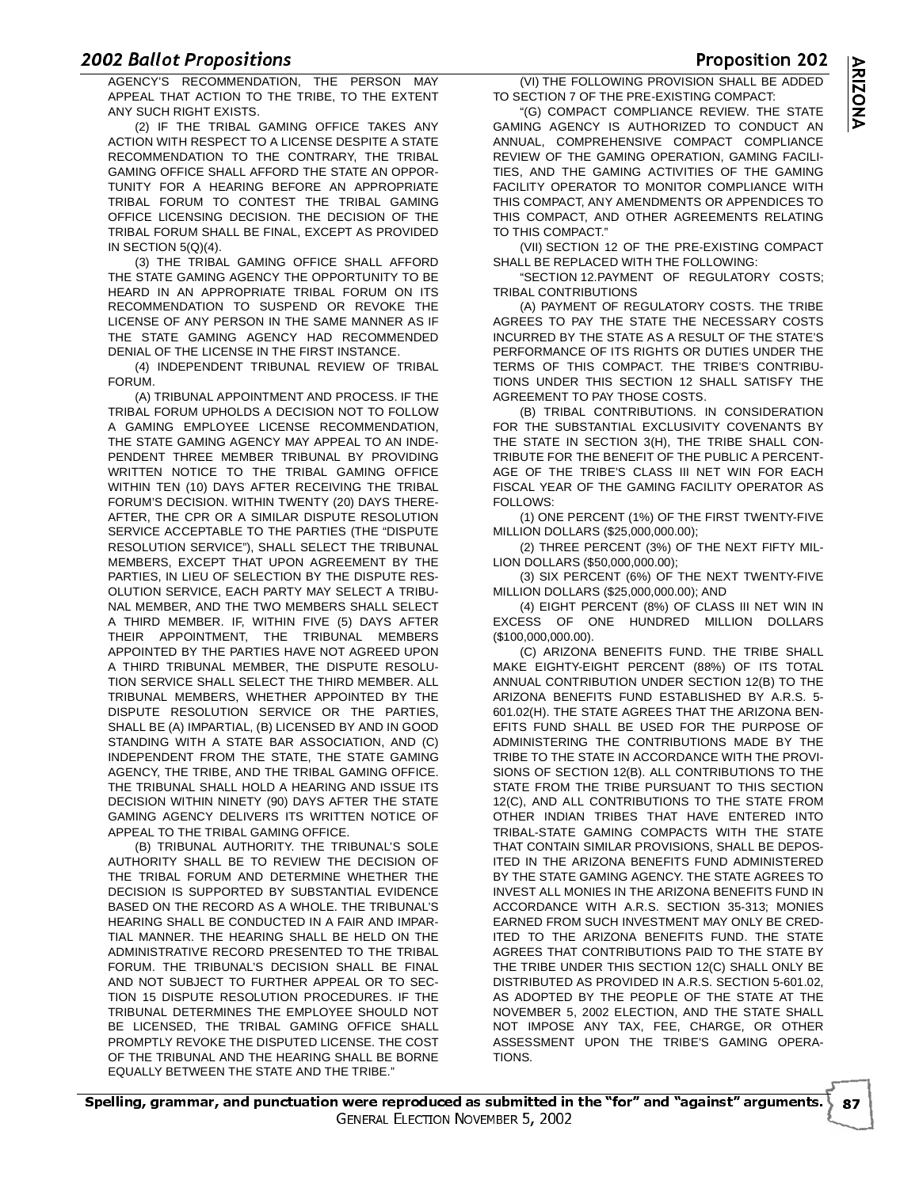-AGENCY'S RECOMMENDATION, THE PERSON MAY APPEAL THAT ACTION TO THE TRIBE, TO THE EXTENT ANY SUCH RIGHT EXISTS.

(2) IF THE TRIBAL GAMING OFFICE TAKES ANY ACTION WITH RESPECT TO A LICENSE DESPITE A STATE RECOMMENDATION TO THE CONTRARY, THE TRIBAL GAMING OFFICE SHALL AFFORD THE STATE AN OPPOR-TUNITY FOR A HEARING BEFORE AN APPROPRIATE TRIBAL FORUM TO CONTEST THE TRIBAL GAMING OFFICE LICENSING DECISION. THE DECISION OF THE TRIBAL FORUM SHALL BE FINAL, EXCEPT AS PROVIDED IN SECTION 5(Q)(4).

(3) THE TRIBAL GAMING OFFICE SHALL AFFORD THE STATE GAMING AGENCY THE OPPORTUNITY TO BE HEARD IN AN APPROPRIATE TRIBAL FORUM ON ITS RECOMMENDATION TO SUSPEND OR REVOKE THE LICENSE OF ANY PERSON IN THE SAME MANNER AS IF THE STATE GAMING AGENCY HAD RECOMMENDED DENIAL OF THE LICENSE IN THE FIRST INSTANCE.

(4) INDEPENDENT TRIBUNAL REVIEW OF TRIBAL FORUM.

(A) TRIBUNAL APPOINTMENT AND PROCESS. IF THE TRIBAL FORUM UPHOLDS A DECISION NOT TO FOLLOW A GAMING EMPLOYEE LICENSE RECOMMENDATION, THE STATE GAMING AGENCY MAY APPEAL TO AN INDE-PENDENT THREE MEMBER TRIBUNAL BY PROVIDING WRITTEN NOTICE TO THE TRIBAL GAMING OFFICE WITHIN TEN (10) DAYS AFTER RECEIVING THE TRIBAL FORUM'S DECISION. WITHIN TWENTY (20) DAYS THERE-AFTER, THE CPR OR A SIMILAR DISPUTE RESOLUTION SERVICE ACCEPTABLE TO THE PARTIES (THE "DISPUTE RESOLUTION SERVICE"), SHALL SELECT THE TRIBUNAL MEMBERS, EXCEPT THAT UPON AGREEMENT BY THE PARTIES, IN LIEU OF SELECTION BY THE DISPUTE RES-OLUTION SERVICE, EACH PARTY MAY SELECT A TRIBU-NAL MEMBER, AND THE TWO MEMBERS SHALL SELECT A THIRD MEMBER. IF, WITHIN FIVE (5) DAYS AFTER THEIR APPOINTMENT, THE TRIBUNAL MEMBERS APPOINTED BY THE PARTIES HAVE NOT AGREED UPON A THIRD TRIBUNAL MEMBER, THE DISPUTE RESOLU-TION SERVICE SHALL SELECT THE THIRD MEMBER. ALL TRIBUNAL MEMBERS, WHETHER APPOINTED BY THE DISPUTE RESOLUTION SERVICE OR THE PARTIES, SHALL BE (A) IMPARTIAL, (B) LICENSED BY AND IN GOOD STANDING WITH A STATE BAR ASSOCIATION, AND (C) INDEPENDENT FROM THE STATE, THE STATE GAMING AGENCY, THE TRIBE, AND THE TRIBAL GAMING OFFICE. THE TRIBUNAL SHALL HOLD A HEARING AND ISSUE ITS DECISION WITHIN NINETY (90) DAYS AFTER THE STATE GAMING AGENCY DELIVERS ITS WRITTEN NOTICE OF APPEAL TO THE TRIBAL GAMING OFFICE.

(B) TRIBUNAL AUTHORITY. THE TRIBUNAL'S SOLE AUTHORITY SHALL BE TO REVIEW THE DECISION OF THE TRIBAL FORUM AND DETERMINE WHETHER THE DECISION IS SUPPORTED BY SUBSTANTIAL EVIDENCE BASED ON THE RECORD AS A WHOLE. THE TRIBUNAL'S HEARING SHALL BE CONDUCTED IN A FAIR AND IMPAR-TIAL MANNER. THE HEARING SHALL BE HELD ON THE ADMINISTRATIVE RECORD PRESENTED TO THE TRIBAL FORUM. THE TRIBUNAL'S DECISION SHALL BE FINAL AND NOT SUBJECT TO FURTHER APPEAL OR TO SEC-TION 15 DISPUTE RESOLUTION PROCEDURES. IF THE TRIBUNAL DETERMINES THE EMPLOYEE SHOULD NOT BE LICENSED, THE TRIBAL GAMING OFFICE SHALL PROMPTLY REVOKE THE DISPUTED LICENSE. THE COST OF THE TRIBUNAL AND THE HEARING SHALL BE BORNE EQUALLY BETWEEN THE STATE AND THE TRIBE."

 (VI) THE FOLLOWING PROVISION SHALL BE ADDED TO SECTION 7 OF THE PRE-EXISTING COMPACT:

"(G) COMPACT COMPLIANCE REVIEW. THE STATE GAMING AGENCY IS AUTHORIZED TO CONDUCT AN ANNUAL, COMPREHENSIVE COMPACT COMPLIANCE REVIEW OF THE GAMING OPERATION, GAMING FACILI-TIES, AND THE GAMING ACTIVITIES OF THE GAMING FACILITY OPERATOR TO MONITOR COMPLIANCE WITH THIS COMPACT, ANY AMENDMENTS OR APPENDICES TO THIS COMPACT, AND OTHER AGREEMENTS RELATING TO THIS COMPACT."

(VII) SECTION 12 OF THE PRE-EXISTING COMPACT SHALL BE REPLACED WITH THE FOLLOWING:

"SECTION 12.PAYMENT OF REGULATORY COSTS; TRIBAL CONTRIBUTIONS

(A) PAYMENT OF REGULATORY COSTS. THE TRIBE AGREES TO PAY THE STATE THE NECESSARY COSTS INCURRED BY THE STATE AS A RESULT OF THE STATE'S PERFORMANCE OF ITS RIGHTS OR DUTIES UNDER THE TERMS OF THIS COMPACT. THE TRIBE'S CONTRIBU-TIONS UNDER THIS SECTION 12 SHALL SATISFY THE AGREEMENT TO PAY THOSE COSTS.

(B) TRIBAL CONTRIBUTIONS. IN CONSIDERATION FOR THE SUBSTANTIAL EXCLUSIVITY COVENANTS BY THE STATE IN SECTION 3(H), THE TRIBE SHALL CON-TRIBUTE FOR THE BENEFIT OF THE PUBLIC A PERCENT-AGE OF THE TRIBE'S CLASS III NET WIN FOR EACH FISCAL YEAR OF THE GAMING FACILITY OPERATOR AS FOLLOWS:

(1) ONE PERCENT (1%) OF THE FIRST TWENTY-FIVE MILLION DOLLARS (\$25,000,000.00);

(2) THREE PERCENT (3%) OF THE NEXT FIFTY MIL-LION DOLLARS (\$50,000,000.00);

(3) SIX PERCENT (6%) OF THE NEXT TWENTY-FIVE MILLION DOLLARS (\$25,000,000.00); AND

(4) EIGHT PERCENT (8%) OF CLASS III NET WIN IN EXCESS OF ONE HUNDRED MILLION DOLLARS (\$100,000,000.00).

(C) ARIZONA BENEFITS FUND. THE TRIBE SHALL MAKE EIGHTY-EIGHT PERCENT (88%) OF ITS TOTAL ANNUAL CONTRIBUTION UNDER SECTION 12(B) TO THE ARIZONA BENEFITS FUND ESTABLISHED BY A.R.S. 5- 601.02(H). THE STATE AGREES THAT THE ARIZONA BEN-EFITS FUND SHALL BE USED FOR THE PURPOSE OF ADMINISTERING THE CONTRIBUTIONS MADE BY THE TRIBE TO THE STATE IN ACCORDANCE WITH THE PROVI-SIONS OF SECTION 12(B). ALL CONTRIBUTIONS TO THE STATE FROM THE TRIBE PURSUANT TO THIS SECTION 12(C), AND ALL CONTRIBUTIONS TO THE STATE FROM OTHER INDIAN TRIBES THAT HAVE ENTERED INTO TRIBAL-STATE GAMING COMPACTS WITH THE STATE THAT CONTAIN SIMILAR PROVISIONS, SHALL BE DEPOS-ITED IN THE ARIZONA BENEFITS FUND ADMINISTERED BY THE STATE GAMING AGENCY. THE STATE AGREES TO INVEST ALL MONIES IN THE ARIZONA BENEFITS FUND IN ACCORDANCE WITH A.R.S. SECTION 35-313; MONIES EARNED FROM SUCH INVESTMENT MAY ONLY BE CRED-ITED TO THE ARIZONA BENEFITS FUND. THE STATE AGREES THAT CONTRIBUTIONS PAID TO THE STATE BY THE TRIBE UNDER THIS SECTION 12(C) SHALL ONLY BE DISTRIBUTED AS PROVIDED IN A.R.S. SECTION 5-601.02, AS ADOPTED BY THE PEOPLE OF THE STATE AT THE NOVEMBER 5, 2002 ELECTION, AND THE STATE SHALL NOT IMPOSE ANY TAX, FEE, CHARGE, OR OTHER ASSESSMENT UPON THE TRIBE'S GAMING OPERA-TIONS.

Proposition 202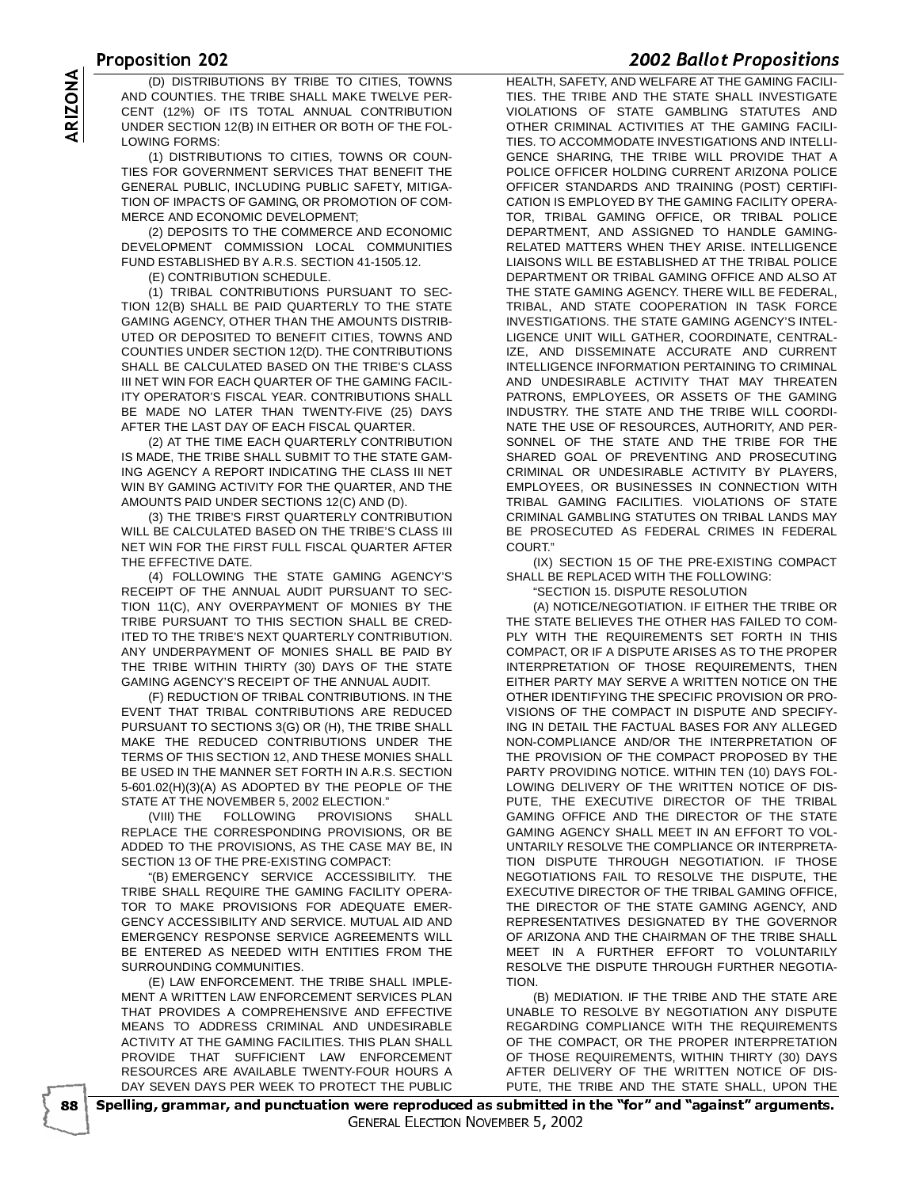- VE ZU<br>Initional dy tribe to outles to music the lien the overty and w AND COUNTIES. THE TRIBE SHALL MAKE TWELVE PER-CENT (12%) OF ITS TOTAL ANNUAL CONTRIBUTION UNDER SECTION 12(B) IN EITHER OR BOTH OF THE FOL-LOWING FORMS:

(D) DISTRIBUTIONS BY TRIBE TO CITIES, TOWNS<br>
AND COUNTIES. THE TRIBE SHALL MAKE TWELVE PER-<br>
CENT (12%) OF ITS TOTAL ANNUAL CONTRIBUTION<br>
UNDER SECTION 12(B) IN EITHER OR BOTH OF THE FOL-<br>
LOWING FORMS:<br>
(1) DISTRIBUTIONS (1) DISTRIBUTIONS TO CITIES, TOWNS OR COUN-TIES FOR GOVERNMENT SERVICES THAT BENEFIT THE GENERAL PUBLIC, INCLUDING PUBLIC SAFETY, MITIGA-TION OF IMPACTS OF GAMING, OR PROMOTION OF COM-MERCE AND ECONOMIC DEVELOPMENT;

(2) DEPOSITS TO THE COMMERCE AND ECONOMIC DEVELOPMENT COMMISSION LOCAL COMMUNITIES FUND ESTABLISHED BY A.R.S. SECTION 41-1505.12.

(E) CONTRIBUTION SCHEDULE.

(1) TRIBAL CONTRIBUTIONS PURSUANT TO SEC-TION 12(B) SHALL BE PAID QUARTERLY TO THE STATE GAMING AGENCY, OTHER THAN THE AMOUNTS DISTRIB-UTED OR DEPOSITED TO BENEFIT CITIES, TOWNS AND COUNTIES UNDER SECTION 12(D). THE CONTRIBUTIONS SHALL BE CALCULATED BASED ON THE TRIBE'S CLASS III NET WIN FOR EACH QUARTER OF THE GAMING FACIL-ITY OPERATOR'S FISCAL YEAR. CONTRIBUTIONS SHALL BE MADE NO LATER THAN TWENTY-FIVE (25) DAYS AFTER THE LAST DAY OF EACH FISCAL QUARTER.

(2) AT THE TIME EACH QUARTERLY CONTRIBUTION IS MADE, THE TRIBE SHALL SUBMIT TO THE STATE GAM-ING AGENCY A REPORT INDICATING THE CLASS III NET WIN BY GAMING ACTIVITY FOR THE QUARTER, AND THE AMOUNTS PAID UNDER SECTIONS 12(C) AND (D).

(3) THE TRIBE'S FIRST QUARTERLY CONTRIBUTION WILL BE CALCULATED BASED ON THE TRIBE'S CLASS III NET WIN FOR THE FIRST FULL FISCAL QUARTER AFTER THE EFFECTIVE DATE.

(4) FOLLOWING THE STATE GAMING AGENCY'S RECEIPT OF THE ANNUAL AUDIT PURSUANT TO SEC-TION 11(C), ANY OVERPAYMENT OF MONIES BY THE TRIBE PURSUANT TO THIS SECTION SHALL BE CRED-ITED TO THE TRIBE'S NEXT QUARTERLY CONTRIBUTION. ANY UNDERPAYMENT OF MONIES SHALL BE PAID BY THE TRIBE WITHIN THIRTY (30) DAYS OF THE STATE GAMING AGENCY'S RECEIPT OF THE ANNUAL AUDIT.

(F) REDUCTION OF TRIBAL CONTRIBUTIONS. IN THE EVENT THAT TRIBAL CONTRIBUTIONS ARE REDUCED PURSUANT TO SECTIONS 3(G) OR (H), THE TRIBE SHALL MAKE THE REDUCED CONTRIBUTIONS UNDER THE TERMS OF THIS SECTION 12, AND THESE MONIES SHALL BE USED IN THE MANNER SET FORTH IN A.R.S. SECTION 5-601.02(H)(3)(A) AS ADOPTED BY THE PEOPLE OF THE STATE AT THE NOVEMBER 5, 2002 ELECTION."

(VIII) THE FOLLOWING PROVISIONS SHALL REPLACE THE CORRESPONDING PROVISIONS, OR BE ADDED TO THE PROVISIONS, AS THE CASE MAY BE, IN SECTION 13 OF THE PRE-EXISTING COMPACT:

"(B) EMERGENCY SERVICE ACCESSIBILITY. THE TRIBE SHALL REQUIRE THE GAMING FACILITY OPERA-TOR TO MAKE PROVISIONS FOR ADEQUATE EMER-GENCY ACCESSIBILITY AND SERVICE. MUTUAL AID AND EMERGENCY RESPONSE SERVICE AGREEMENTS WILL BE ENTERED AS NEEDED WITH ENTITIES FROM THE SURROUNDING COMMUNITIES.

(E) LAW ENFORCEMENT. THE TRIBE SHALL IMPLE-MENT A WRITTEN LAW ENFORCEMENT SERVICES PLAN THAT PROVIDES A COMPREHENSIVE AND EFFECTIVE MEANS TO ADDRESS CRIMINAL AND UNDESIRABLE ACTIVITY AT THE GAMING FACILITIES. THIS PLAN SHALL PROVIDE THAT SUFFICIENT LAW ENFORCEMENT RESOURCES ARE AVAILABLE TWENTY-FOUR HOURS A DAY SEVEN DAYS PER WEEK TO PROTECT THE PUBLIC

- 

 HEALTH, SAFETY, AND WELFARE AT THE GAMING FACILI-TIES. THE TRIBE AND THE STATE SHALL INVESTIGATE VIOLATIONS OF STATE GAMBLING STATUTES AND OTHER CRIMINAL ACTIVITIES AT THE GAMING FACILI-TIES. TO ACCOMMODATE INVESTIGATIONS AND INTELLI-GENCE SHARING, THE TRIBE WILL PROVIDE THAT A POLICE OFFICER HOLDING CURRENT ARIZONA POLICE OFFICER STANDARDS AND TRAINING (POST) CERTIFI-CATION IS EMPLOYED BY THE GAMING FACILITY OPERA-TOR, TRIBAL GAMING OFFICE, OR TRIBAL POLICE DEPARTMENT, AND ASSIGNED TO HANDLE GAMING-RELATED MATTERS WHEN THEY ARISE. INTELLIGENCE LIAISONS WILL BE ESTABLISHED AT THE TRIBAL POLICE DEPARTMENT OR TRIBAL GAMING OFFICE AND ALSO AT THE STATE GAMING AGENCY. THERE WILL BE FEDERAL, TRIBAL, AND STATE COOPERATION IN TASK FORCE INVESTIGATIONS. THE STATE GAMING AGENCY'S INTEL-LIGENCE UNIT WILL GATHER, COORDINATE, CENTRAL-IZE, AND DISSEMINATE ACCURATE AND CURRENT INTELLIGENCE INFORMATION PERTAINING TO CRIMINAL AND UNDESIRABLE ACTIVITY THAT MAY THREATEN PATRONS, EMPLOYEES, OR ASSETS OF THE GAMING INDUSTRY. THE STATE AND THE TRIBE WILL COORDI-NATE THE USE OF RESOURCES, AUTHORITY, AND PER-SONNEL OF THE STATE AND THE TRIBE FOR THE SHARED GOAL OF PREVENTING AND PROSECUTING CRIMINAL OR UNDESIRABLE ACTIVITY BY PLAYERS, EMPLOYEES, OR BUSINESSES IN CONNECTION WITH TRIBAL GAMING FACILITIES. VIOLATIONS OF STATE CRIMINAL GAMBLING STATUTES ON TRIBAL LANDS MAY BE PROSECUTED AS FEDERAL CRIMES IN FEDERAL COURT'

(IX) SECTION 15 OF THE PRE-EXISTING COMPACT SHALL BE REPLACED WITH THE FOLLOWING:

"SECTION 15. DISPUTE RESOLUTION

(A) NOTICE/NEGOTIATION. IF EITHER THE TRIBE OR THE STATE BELIEVES THE OTHER HAS FAILED TO COM-PLY WITH THE REQUIREMENTS SET FORTH IN THIS COMPACT, OR IF A DISPUTE ARISES AS TO THE PROPER INTERPRETATION OF THOSE REQUIREMENTS, THEN EITHER PARTY MAY SERVE A WRITTEN NOTICE ON THE OTHER IDENTIFYING THE SPECIFIC PROVISION OR PRO-VISIONS OF THE COMPACT IN DISPUTE AND SPECIFY-ING IN DETAIL THE FACTUAL BASES FOR ANY ALLEGED NON-COMPLIANCE AND/OR THE INTERPRETATION OF THE PROVISION OF THE COMPACT PROPOSED BY THE PARTY PROVIDING NOTICE. WITHIN TEN (10) DAYS FOL-LOWING DELIVERY OF THE WRITTEN NOTICE OF DIS-PUTE, THE EXECUTIVE DIRECTOR OF THE TRIBAL GAMING OFFICE AND THE DIRECTOR OF THE STATE GAMING AGENCY SHALL MEET IN AN EFFORT TO VOL-UNTARILY RESOLVE THE COMPLIANCE OR INTERPRETA-TION DISPUTE THROUGH NEGOTIATION. IF THOSE NEGOTIATIONS FAIL TO RESOLVE THE DISPUTE, THE EXECUTIVE DIRECTOR OF THE TRIBAL GAMING OFFICE, THE DIRECTOR OF THE STATE GAMING AGENCY, AND REPRESENTATIVES DESIGNATED BY THE GOVERNOR OF ARIZONA AND THE CHAIRMAN OF THE TRIBE SHALL MEET IN A FURTHER EFFORT TO VOLUNTARILY RESOLVE THE DISPUTE THROUGH FURTHER NEGOTIA-TION.

(B) MEDIATION. IF THE TRIBE AND THE STATE ARE UNABLE TO RESOLVE BY NEGOTIATION ANY DISPUTE REGARDING COMPLIANCE WITH THE REQUIREMENTS OF THE COMPACT, OR THE PROPER INTERPRETATION OF THOSE REQUIREMENTS, WITHIN THIRTY (30) DAYS AFTER DELIVERY OF THE WRITTEN NOTICE OF DIS-PUTE, THE TRIBE AND THE STATE SHALL, UPON THE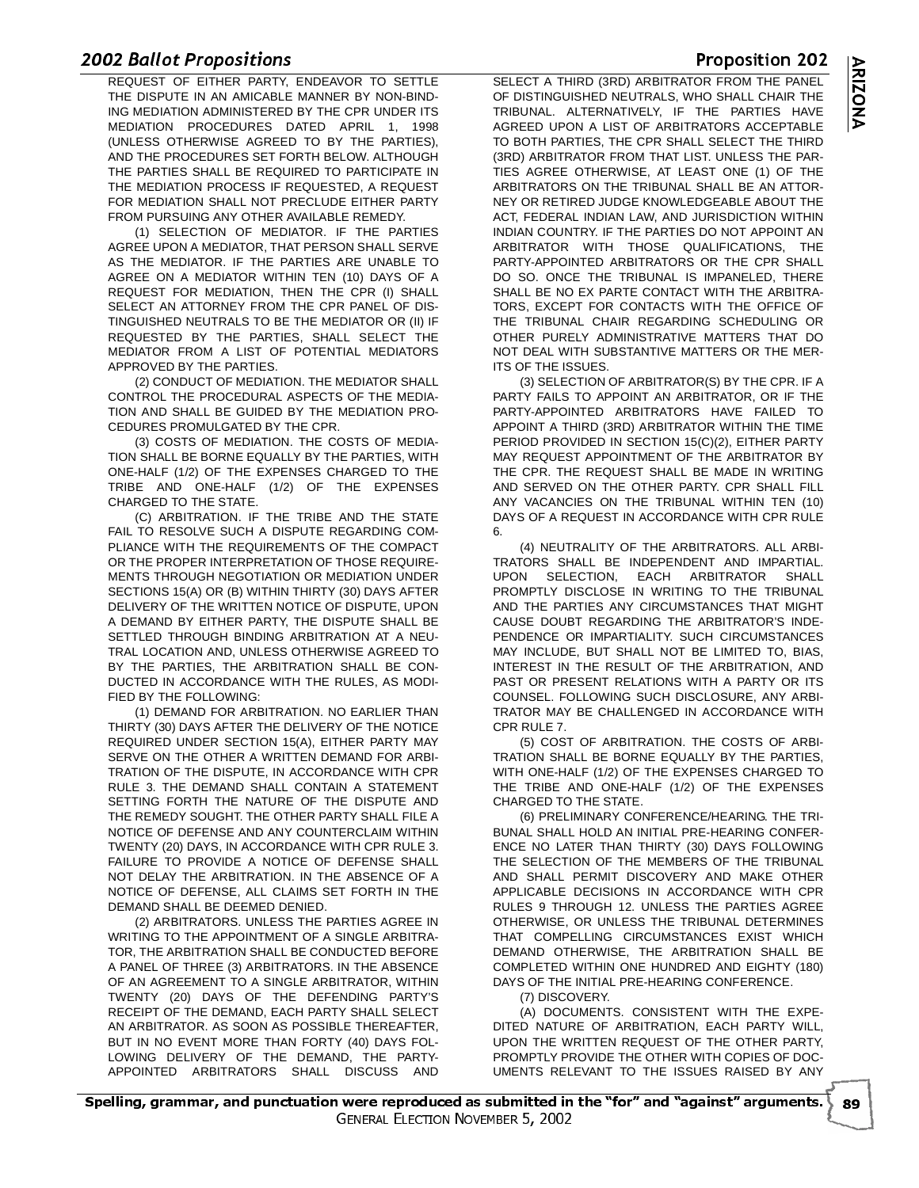# $\frac{200}{1}$

**E BUNCT FORDSTEIGHS**<br>REQUEST OF EITHER PARTY, ENDEAVOR TO SETTLE THE DISPUTE IN AN AMICABLE MANNER BY NON-BIND-ING MEDIATION ADMINISTERED BY THE CPR UNDER ITS MEDIATION PROCEDURES DATED APRIL 1, 1998 (UNLESS OTHERWISE AGREED TO BY THE PARTIES), AND THE PROCEDURES SET FORTH BELOW. ALTHOUGH THE PARTIES SHALL BE REQUIRED TO PARTICIPATE IN THE MEDIATION PROCESS IF REQUESTED, A REQUEST FOR MEDIATION SHALL NOT PRECLUDE EITHER PARTY FROM PURSUING ANY OTHER AVAILABLE REMEDY.

(1) SELECTION OF MEDIATOR. IF THE PARTIES AGREE UPON A MEDIATOR, THAT PERSON SHALL SERVE AS THE MEDIATOR. IF THE PARTIES ARE UNABLE TO AGREE ON A MEDIATOR WITHIN TEN (10) DAYS OF A REQUEST FOR MEDIATION, THEN THE CPR (I) SHALL SELECT AN ATTORNEY FROM THE CPR PANEL OF DIS-TINGUISHED NEUTRALS TO BE THE MEDIATOR OR (II) IF REQUESTED BY THE PARTIES, SHALL SELECT THE MEDIATOR FROM A LIST OF POTENTIAL MEDIATORS APPROVED BY THE PARTIES.

(2) CONDUCT OF MEDIATION. THE MEDIATOR SHALL CONTROL THE PROCEDURAL ASPECTS OF THE MEDIA-TION AND SHALL BE GUIDED BY THE MEDIATION PRO-CEDURES PROMULGATED BY THE CPR.

(3) COSTS OF MEDIATION. THE COSTS OF MEDIA-TION SHALL BE BORNE EQUALLY BY THE PARTIES, WITH ONE-HALF (1/2) OF THE EXPENSES CHARGED TO THE TRIBE AND ONE-HALF (1/2) OF THE EXPENSES CHARGED TO THE STATE.

(C) ARBITRATION. IF THE TRIBE AND THE STATE FAIL TO RESOLVE SUCH A DISPUTE REGARDING COM-PLIANCE WITH THE REQUIREMENTS OF THE COMPACT OR THE PROPER INTERPRETATION OF THOSE REQUIRE-MENTS THROUGH NEGOTIATION OR MEDIATION UNDER SECTIONS 15(A) OR (B) WITHIN THIRTY (30) DAYS AFTER DELIVERY OF THE WRITTEN NOTICE OF DISPUTE, UPON A DEMAND BY EITHER PARTY, THE DISPUTE SHALL BE SETTLED THROUGH BINDING ARBITRATION AT A NEU-TRAL LOCATION AND, UNLESS OTHERWISE AGREED TO BY THE PARTIES, THE ARBITRATION SHALL BE CON-DUCTED IN ACCORDANCE WITH THE RULES, AS MODI-FIED BY THE FOLLOWING:

(1) DEMAND FOR ARBITRATION. NO EARLIER THAN THIRTY (30) DAYS AFTER THE DELIVERY OF THE NOTICE REQUIRED UNDER SECTION 15(A), EITHER PARTY MAY SERVE ON THE OTHER A WRITTEN DEMAND FOR ARBI-TRATION OF THE DISPUTE, IN ACCORDANCE WITH CPR RULE 3. THE DEMAND SHALL CONTAIN A STATEMENT SETTING FORTH THE NATURE OF THE DISPUTE AND THE REMEDY SOUGHT. THE OTHER PARTY SHALL FILE A NOTICE OF DEFENSE AND ANY COUNTERCLAIM WITHIN TWENTY (20) DAYS, IN ACCORDANCE WITH CPR RULE 3. FAILURE TO PROVIDE A NOTICE OF DEFENSE SHALL NOT DELAY THE ARBITRATION. IN THE ABSENCE OF A NOTICE OF DEFENSE, ALL CLAIMS SET FORTH IN THE DEMAND SHALL BE DEEMED DENIED.

(2) ARBITRATORS. UNLESS THE PARTIES AGREE IN WRITING TO THE APPOINTMENT OF A SINGLE ARBITRA-TOR, THE ARBITRATION SHALL BE CONDUCTED BEFORE A PANEL OF THREE (3) ARBITRATORS. IN THE ABSENCE OF AN AGREEMENT TO A SINGLE ARBITRATOR, WITHIN TWENTY (20) DAYS OF THE DEFENDING PARTY'S RECEIPT OF THE DEMAND, EACH PARTY SHALL SELECT AN ARBITRATOR. AS SOON AS POSSIBLE THEREAFTER, BUT IN NO EVENT MORE THAN FORTY (40) DAYS FOL-LOWING DELIVERY OF THE DEMAND, THE PARTY-APPOINTED ARBITRATORS SHALL DISCUSS AND

> --

ELLUI ON

 $\overline{\phantom{a}}$ 

-



 - SELECT A THIRD (3RD) ARBITRATOR FROM THE PANEL OF DISTINGUISHED NEUTRALS, WHO SHALL CHAIR THE TRIBUNAL. ALTERNATIVELY, IF THE PARTIES HAVE AGREED UPON A LIST OF ARBITRATORS ACCEPTABLE TO BOTH PARTIES, THE CPR SHALL SELECT THE THIRD (3RD) ARBITRATOR FROM THAT LIST. UNLESS THE PAR-TIES AGREE OTHERWISE, AT LEAST ONE (1) OF THE ARBITRATORS ON THE TRIBUNAL SHALL BE AN ATTOR-NEY OR RETIRED JUDGE KNOWLEDGEABLE ABOUT THE ACT, FEDERAL INDIAN LAW, AND JURISDICTION WITHIN INDIAN COUNTRY. IF THE PARTIES DO NOT APPOINT AN ARBITRATOR WITH THOSE QUALIFICATIONS, THE PARTY-APPOINTED ARBITRATORS OR THE CPR SHALL DO SO. ONCE THE TRIBUNAL IS IMPANELED, THERE SHALL BE NO EX PARTE CONTACT WITH THE ARBITRA-TORS, EXCEPT FOR CONTACTS WITH THE OFFICE OF THE TRIBUNAL CHAIR REGARDING SCHEDULING OR OTHER PURELY ADMINISTRATIVE MATTERS THAT DO NOT DEAL WITH SUBSTANTIVE MATTERS OR THE MER-ITS OF THE ISSUES.

(3) SELECTION OF ARBITRATOR(S) BY THE CPR. IF A PARTY FAILS TO APPOINT AN ARBITRATOR, OR IF THE PARTY-APPOINTED ARBITRATORS HAVE FAILED TO APPOINT A THIRD (3RD) ARBITRATOR WITHIN THE TIME PERIOD PROVIDED IN SECTION 15(C)(2), EITHER PARTY MAY REQUEST APPOINTMENT OF THE ARBITRATOR BY THE CPR. THE REQUEST SHALL BE MADE IN WRITING AND SERVED ON THE OTHER PARTY. CPR SHALL FILL ANY VACANCIES ON THE TRIBUNAL WITHIN TEN (10) DAYS OF A REQUEST IN ACCORDANCE WITH CPR RULE 6.

(4) NEUTRALITY OF THE ARBITRATORS. ALL ARBI-TRATORS SHALL BE INDEPENDENT AND IMPARTIAL. UPON SELECTION, EACH ARBITRATOR SHALL PROMPTLY DISCLOSE IN WRITING TO THE TRIBUNAL AND THE PARTIES ANY CIRCUMSTANCES THAT MIGHT CAUSE DOUBT REGARDING THE ARBITRATOR'S INDE-PENDENCE OR IMPARTIALITY. SUCH CIRCUMSTANCES MAY INCLUDE, BUT SHALL NOT BE LIMITED TO, BIAS, INTEREST IN THE RESULT OF THE ARBITRATION, AND PAST OR PRESENT RELATIONS WITH A PARTY OR ITS COUNSEL. FOLLOWING SUCH DISCLOSURE, ANY ARBI-TRATOR MAY BE CHALLENGED IN ACCORDANCE WITH CPR RULE 7.

(5) COST OF ARBITRATION. THE COSTS OF ARBI-TRATION SHALL BE BORNE EQUALLY BY THE PARTIES, WITH ONE-HALF (1/2) OF THE EXPENSES CHARGED TO THE TRIBE AND ONE-HALF (1/2) OF THE EXPENSES CHARGED TO THE STATE.

(6) PRELIMINARY CONFERENCE/HEARING. THE TRI-BUNAL SHALL HOLD AN INITIAL PRE-HEARING CONFER-ENCE NO LATER THAN THIRTY (30) DAYS FOLLOWING THE SELECTION OF THE MEMBERS OF THE TRIBUNAL AND SHALL PERMIT DISCOVERY AND MAKE OTHER APPLICABLE DECISIONS IN ACCORDANCE WITH CPR RULES 9 THROUGH 12. UNLESS THE PARTIES AGREE OTHERWISE, OR UNLESS THE TRIBUNAL DETERMINES THAT COMPELLING CIRCUMSTANCES EXIST WHICH DEMAND OTHERWISE, THE ARBITRATION SHALL BE COMPLETED WITHIN ONE HUNDRED AND EIGHTY (180) DAYS OF THE INITIAL PRE-HEARING CONFERENCE.

(7) DISCOVERY.

(A) DOCUMENTS. CONSISTENT WITH THE EXPE-DITED NATURE OF ARBITRATION, EACH PARTY WILL, UPON THE WRITTEN REQUEST OF THE OTHER PARTY, PROMPTLY PROVIDE THE OTHER WITH COPIES OF DOC-UMENTS RELEVANT TO THE ISSUES RAISED BY ANY

Proposition 202

**HOVERIDER** ST 2002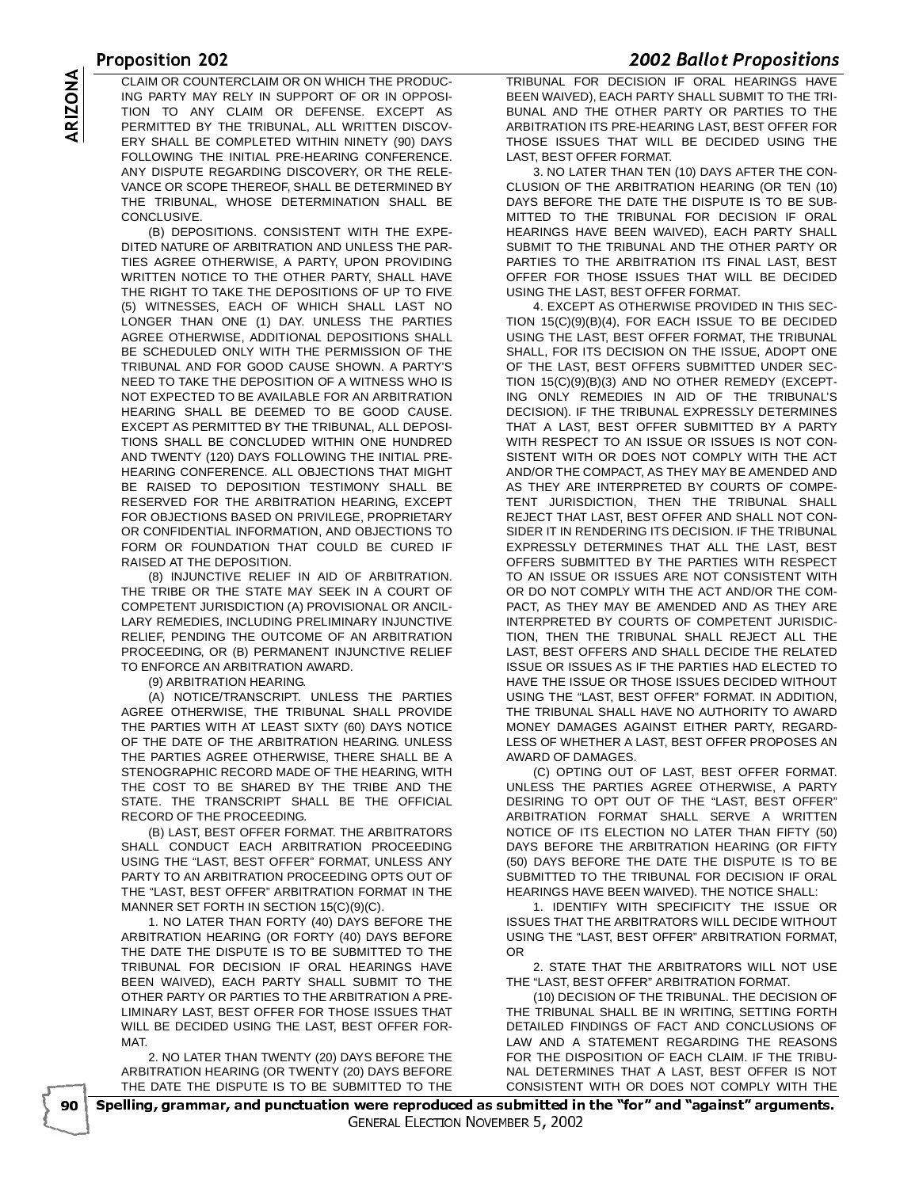<u>- OLAN OR OOLNTEROLAND ON WILOU THE RROBHAL TRIBLINAL EOR REQUOIL</u> CLAIM OR COUNTERCLAIM OR ON WHICH THE PRODUC-<br>
ING PARTY MAY RELY IN SUPPORT OF OR IN OPPOSI-<br>
TION TO ANY CLAIM OR DEFENSE. EXCEPT AS<br>
PERMITTED BY THE TRIBUNAL, ALL WRITTEN DISCOV-<br>
ERY SHALL BE COMPLETED WITHIN NINETY ( ING PARTY MAY RELY IN SUPPORT OF OR IN OPPOSI-TION TO ANY CLAIM OR DEFENSE. EXCEPT AS PERMITTED BY THE TRIBUNAL, ALL WRITTEN DISCOV-ERY SHALL BE COMPLETED WITHIN NINETY (90) DAYS FOLLOWING THE INITIAL PRE-HEARING CONFERENCE. ANY DISPUTE REGARDING DISCOVERY, OR THE RELE-VANCE OR SCOPE THEREOF, SHALL BE DETERMINED BY THE TRIBUNAL, WHOSE DETERMINATION SHALL BE CONCLUSIVE.

(B) DEPOSITIONS. CONSISTENT WITH THE EXPE-DITED NATURE OF ARBITRATION AND UNLESS THE PAR-TIES AGREE OTHERWISE, A PARTY, UPON PROVIDING WRITTEN NOTICE TO THE OTHER PARTY, SHALL HAVE THE RIGHT TO TAKE THE DEPOSITIONS OF UP TO FIVE (5) WITNESSES, EACH OF WHICH SHALL LAST NO LONGER THAN ONE (1) DAY. UNLESS THE PARTIES AGREE OTHERWISE, ADDITIONAL DEPOSITIONS SHALL BE SCHEDULED ONLY WITH THE PERMISSION OF THE TRIBUNAL AND FOR GOOD CAUSE SHOWN. A PARTY'S NEED TO TAKE THE DEPOSITION OF A WITNESS WHO IS NOT EXPECTED TO BE AVAILABLE FOR AN ARBITRATION HEARING SHALL BE DEEMED TO BE GOOD CAUSE. EXCEPT AS PERMITTED BY THE TRIBUNAL, ALL DEPOSI-TIONS SHALL BE CONCLUDED WITHIN ONE HUNDRED AND TWENTY (120) DAYS FOLLOWING THE INITIAL PRE-HEARING CONFERENCE. ALL OBJECTIONS THAT MIGHT BE RAISED TO DEPOSITION TESTIMONY SHALL BE RESERVED FOR THE ARBITRATION HEARING, EXCEPT FOR OBJECTIONS BASED ON PRIVILEGE, PROPRIETARY OR CONFIDENTIAL INFORMATION, AND OBJECTIONS TO FORM OR FOUNDATION THAT COULD BE CURED IF RAISED AT THE DEPOSITION.

(8) INJUNCTIVE RELIEF IN AID OF ARBITRATION. THE TRIBE OR THE STATE MAY SEEK IN A COURT OF COMPETENT JURISDICTION (A) PROVISIONAL OR ANCIL-LARY REMEDIES, INCLUDING PRELIMINARY INJUNCTIVE RELIEF, PENDING THE OUTCOME OF AN ARBITRATION PROCEEDING, OR (B) PERMANENT INJUNCTIVE RELIEF TO ENFORCE AN ARBITRATION AWARD.

(9) ARBITRATION HEARING.

(A) NOTICE/TRANSCRIPT. UNLESS THE PARTIES AGREE OTHERWISE, THE TRIBUNAL SHALL PROVIDE THE PARTIES WITH AT LEAST SIXTY (60) DAYS NOTICE OF THE DATE OF THE ARBITRATION HEARING. UNLESS THE PARTIES AGREE OTHERWISE, THERE SHALL BE A STENOGRAPHIC RECORD MADE OF THE HEARING, WITH THE COST TO BE SHARED BY THE TRIBE AND THE STATE. THE TRANSCRIPT SHALL BE THE OFFICIAL RECORD OF THE PROCEEDING.

(B) LAST, BEST OFFER FORMAT. THE ARBITRATORS SHALL CONDUCT EACH ARBITRATION PROCEEDING USING THE "LAST, BEST OFFER" FORMAT, UNLESS ANY PARTY TO AN ARBITRATION PROCEEDING OPTS OUT OF THE "LAST, BEST OFFER" ARBITRATION FORMAT IN THE MANNER SET FORTH IN SECTION 15(C)(9)(C).

1. NO LATER THAN FORTY (40) DAYS BEFORE THE ARBITRATION HEARING (OR FORTY (40) DAYS BEFORE THE DATE THE DISPUTE IS TO BE SUBMITTED TO THE TRIBUNAL FOR DECISION IF ORAL HEARINGS HAVE BEEN WAIVED), EACH PARTY SHALL SUBMIT TO THE OTHER PARTY OR PARTIES TO THE ARBITRATION A PRE-LIMINARY LAST, BEST OFFER FOR THOSE ISSUES THAT WILL BE DECIDED USING THE LAST, BEST OFFER FOR-MAT.

2. NO LATER THAN TWENTY (20) DAYS BEFORE THE ARBITRATION HEARING (OR TWENTY (20) DAYS BEFORE THE DATE THE DISPUTE IS TO BE SUBMITTED TO THE

**EDUZ BUNCT PRODUCTIONS**<br>TRIBUNAL FOR DECISION IF ORAL HEARINGS HAVE BEEN WAIVED), EACH PARTY SHALL SUBMIT TO THE TRI-BUNAL AND THE OTHER PARTY OR PARTIES TO THE ARBITRATION ITS PRE-HEARING LAST, BEST OFFER FOR THOSE ISSUES THAT WILL BE DECIDED USING THE LAST, BEST OFFER FORMAT.

3. NO LATER THAN TEN (10) DAYS AFTER THE CON-CLUSION OF THE ARBITRATION HEARING (OR TEN (10) DAYS BEFORE THE DATE THE DISPUTE IS TO BE SUB-MITTED TO THE TRIBUNAL FOR DECISION IF ORAL HEARINGS HAVE BEEN WAIVED), EACH PARTY SHALL SUBMIT TO THE TRIBUNAL AND THE OTHER PARTY OR PARTIES TO THE ARBITRATION ITS FINAL LAST, BEST OFFER FOR THOSE ISSUES THAT WILL BE DECIDED USING THE LAST, BEST OFFER FORMAT.

4. EXCEPT AS OTHERWISE PROVIDED IN THIS SEC-TION 15(C)(9)(B)(4), FOR EACH ISSUE TO BE DECIDED USING THE LAST, BEST OFFER FORMAT, THE TRIBUNAL SHALL, FOR ITS DECISION ON THE ISSUE, ADOPT ONE OF THE LAST, BEST OFFERS SUBMITTED UNDER SEC-TION 15(C)(9)(B)(3) AND NO OTHER REMEDY (EXCEPT-ING ONLY REMEDIES IN AID OF THE TRIBUNAL'S DECISION). IF THE TRIBUNAL EXPRESSLY DETERMINES THAT A LAST, BEST OFFER SUBMITTED BY A PARTY WITH RESPECT TO AN ISSUE OR ISSUES IS NOT CON-SISTENT WITH OR DOES NOT COMPLY WITH THE ACT AND/OR THE COMPACT, AS THEY MAY BE AMENDED AND AS THEY ARE INTERPRETED BY COURTS OF COMPE-TENT JURISDICTION, THEN THE TRIBUNAL SHALL REJECT THAT LAST, BEST OFFER AND SHALL NOT CON-SIDER IT IN RENDERING ITS DECISION. IF THE TRIBUNAL EXPRESSLY DETERMINES THAT ALL THE LAST, BEST OFFERS SUBMITTED BY THE PARTIES WITH RESPECT TO AN ISSUE OR ISSUES ARE NOT CONSISTENT WITH OR DO NOT COMPLY WITH THE ACT AND/OR THE COM-PACT, AS THEY MAY BE AMENDED AND AS THEY ARE INTERPRETED BY COURTS OF COMPETENT JURISDIC-TION, THEN THE TRIBUNAL SHALL REJECT ALL THE LAST, BEST OFFERS AND SHALL DECIDE THE RELATED ISSUE OR ISSUES AS IF THE PARTIES HAD ELECTED TO HAVE THE ISSUE OR THOSE ISSUES DECIDED WITHOUT USING THE "LAST, BEST OFFER" FORMAT. IN ADDITION, THE TRIBUNAL SHALL HAVE NO AUTHORITY TO AWARD MONEY DAMAGES AGAINST EITHER PARTY, REGARD-LESS OF WHETHER A LAST, BEST OFFER PROPOSES AN AWARD OF DAMAGES.

(C) OPTING OUT OF LAST, BEST OFFER FORMAT. UNLESS THE PARTIES AGREE OTHERWISE, A PARTY DESIRING TO OPT OUT OF THE "LAST, BEST OFFER" ARBITRATION FORMAT SHALL SERVE A WRITTEN NOTICE OF ITS ELECTION NO LATER THAN FIFTY (50) DAYS BEFORE THE ARBITRATION HEARING (OR FIFTY (50) DAYS BEFORE THE DATE THE DISPUTE IS TO BE SUBMITTED TO THE TRIBUNAL FOR DECISION IF ORAL HEARINGS HAVE BEEN WAIVED). THE NOTICE SHALL:

1. IDENTIFY WITH SPECIFICITY THE ISSUE OR ISSUES THAT THE ARBITRATORS WILL DECIDE WITHOUT USING THE "LAST, BEST OFFER" ARBITRATION FORMAT, OR

2. STATE THAT THE ARBITRATORS WILL NOT USE THE "LAST, BEST OFFER" ARBITRATION FORMAT.

(10) DECISION OF THE TRIBUNAL. THE DECISION OF THE TRIBUNAL SHALL BE IN WRITING, SETTING FORTH DETAILED FINDINGS OF FACT AND CONCLUSIONS OF LAW AND A STATEMENT REGARDING THE REASONS FOR THE DISPOSITION OF EACH CLAIM. IF THE TRIBU-NAL DETERMINES THAT A LAST, BEST OFFER IS NOT CONSISTENT WITH OR DOES NOT COMPLY WITH THE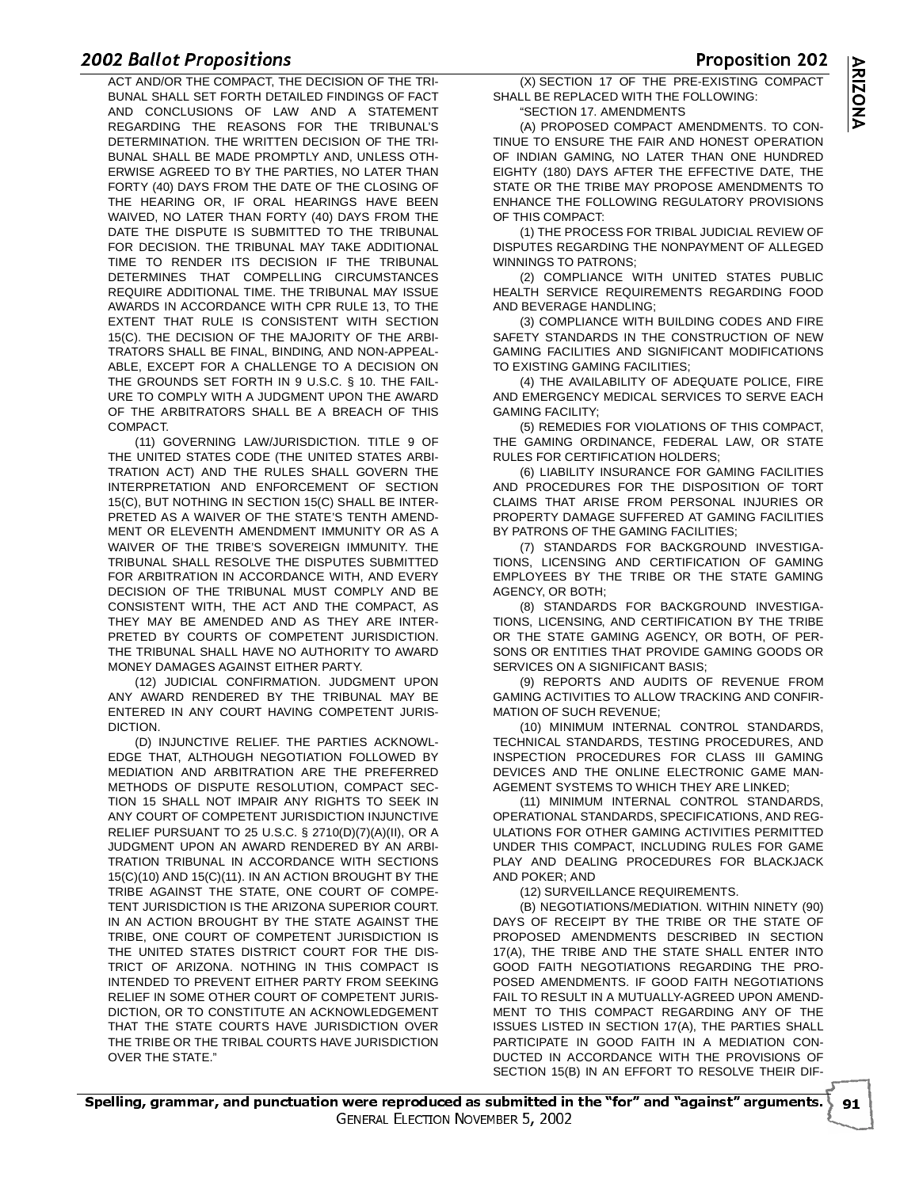# $\frac{200}{1}$

ACT AND/OR THE COMPACT, THE DECISION OF THE TRI- (X) SECTION 17 OF THE PRE-E) BUNAL SHALL SET FORTH DETAILED FINDINGS OF FACT AND CONCLUSIONS OF LAW AND A STATEMENT REGARDING THE REASONS FOR THE TRIBUNAL'S DETERMINATION. THE WRITTEN DECISION OF THE TRI-BUNAL SHALL BE MADE PROMPTLY AND, UNLESS OTH-ERWISE AGREED TO BY THE PARTIES, NO LATER THAN FORTY (40) DAYS FROM THE DATE OF THE CLOSING OF THE HEARING OR, IF ORAL HEARINGS HAVE BEEN WAIVED, NO LATER THAN FORTY (40) DAYS FROM THE DATE THE DISPUTE IS SUBMITTED TO THE TRIBUNAL FOR DECISION. THE TRIBUNAL MAY TAKE ADDITIONAL TIME TO RENDER ITS DECISION IF THE TRIBUNAL DETERMINES THAT COMPELLING CIRCUMSTANCES REQUIRE ADDITIONAL TIME. THE TRIBUNAL MAY ISSUE AWARDS IN ACCORDANCE WITH CPR RULE 13, TO THE EXTENT THAT RULE IS CONSISTENT WITH SECTION 15(C). THE DECISION OF THE MAJORITY OF THE ARBI-TRATORS SHALL BE FINAL, BINDING, AND NON-APPEAL-ABLE, EXCEPT FOR A CHALLENGE TO A DECISION ON THE GROUNDS SET FORTH IN 9 U.S.C. § 10. THE FAIL-URE TO COMPLY WITH A JUDGMENT UPON THE AWARD OF THE ARBITRATORS SHALL BE A BREACH OF THIS COMPACT.

(11) GOVERNING LAW/JURISDICTION. TITLE 9 OF THE UNITED STATES CODE (THE UNITED STATES ARBI-TRATION ACT) AND THE RULES SHALL GOVERN THE INTERPRETATION AND ENFORCEMENT OF SECTION 15(C), BUT NOTHING IN SECTION 15(C) SHALL BE INTER-PRETED AS A WAIVER OF THE STATE'S TENTH AMEND-MENT OR ELEVENTH AMENDMENT IMMUNITY OR AS A WAIVER OF THE TRIBE'S SOVEREIGN IMMUNITY. THE TRIBUNAL SHALL RESOLVE THE DISPUTES SUBMITTED FOR ARBITRATION IN ACCORDANCE WITH, AND EVERY DECISION OF THE TRIBUNAL MUST COMPLY AND BE CONSISTENT WITH, THE ACT AND THE COMPACT, AS THEY MAY BE AMENDED AND AS THEY ARE INTER-PRETED BY COURTS OF COMPETENT JURISDICTION. THE TRIBUNAL SHALL HAVE NO AUTHORITY TO AWARD MONEY DAMAGES AGAINST EITHER PARTY.

(12) JUDICIAL CONFIRMATION. JUDGMENT UPON ANY AWARD RENDERED BY THE TRIBUNAL MAY BE ENTERED IN ANY COURT HAVING COMPETENT JURIS-DICTION.

(D) INJUNCTIVE RELIEF. THE PARTIES ACKNOWL-EDGE THAT, ALTHOUGH NEGOTIATION FOLLOWED BY MEDIATION AND ARBITRATION ARE THE PREFERRED METHODS OF DISPUTE RESOLUTION, COMPACT SEC-TION 15 SHALL NOT IMPAIR ANY RIGHTS TO SEEK IN ANY COURT OF COMPETENT JURISDICTION INJUNCTIVE RELIEF PURSUANT TO 25 U.S.C. § 2710(D)(7)(A)(II), OR A JUDGMENT UPON AN AWARD RENDERED BY AN ARBI-TRATION TRIBUNAL IN ACCORDANCE WITH SECTIONS 15(C)(10) AND 15(C)(11). IN AN ACTION BROUGHT BY THE TRIBE AGAINST THE STATE, ONE COURT OF COMPE-TENT JURISDICTION IS THE ARIZONA SUPERIOR COURT. IN AN ACTION BROUGHT BY THE STATE AGAINST THE TRIBE, ONE COURT OF COMPETENT JURISDICTION IS THE UNITED STATES DISTRICT COURT FOR THE DIS-TRICT OF ARIZONA. NOTHING IN THIS COMPACT IS INTENDED TO PREVENT EITHER PARTY FROM SEEKING RELIEF IN SOME OTHER COURT OF COMPETENT JURIS-DICTION, OR TO CONSTITUTE AN ACKNOWLEDGEMENT THAT THE STATE COURTS HAVE JURISDICTION OVER THE TRIBE OR THE TRIBAL COURTS HAVE JURISDICTION OVER THE STATE."

 (X) SECTION 17 OF THE PRE-EXISTING COMPACT SHALL BE REPLACED WITH THE FOLLOWING: "SECTION 17. AMENDMENTS

(A) PROPOSED COMPACT AMENDMENTS. TO CON-TINUE TO ENSURE THE FAIR AND HONEST OPERATION OF INDIAN GAMING, NO LATER THAN ONE HUNDRED EIGHTY (180) DAYS AFTER THE EFFECTIVE DATE, THE STATE OR THE TRIBE MAY PROPOSE AMENDMENTS TO ENHANCE THE FOLLOWING REGULATORY PROVISIONS OF THIS COMPACT:

(1) THE PROCESS FOR TRIBAL JUDICIAL REVIEW OF DISPUTES REGARDING THE NONPAYMENT OF ALLEGED WINNINGS TO PATRONS;

(2) COMPLIANCE WITH UNITED STATES PUBLIC HEALTH SERVICE REQUIREMENTS REGARDING FOOD AND BEVERAGE HANDLING;

(3) COMPLIANCE WITH BUILDING CODES AND FIRE SAFETY STANDARDS IN THE CONSTRUCTION OF NEW GAMING FACILITIES AND SIGNIFICANT MODIFICATIONS TO EXISTING GAMING FACILITIES;

(4) THE AVAILABILITY OF ADEQUATE POLICE, FIRE AND EMERGENCY MEDICAL SERVICES TO SERVE EACH GAMING FACILITY;

(5) REMEDIES FOR VIOLATIONS OF THIS COMPACT, THE GAMING ORDINANCE, FEDERAL LAW, OR STATE RULES FOR CERTIFICATION HOLDERS;

(6) LIABILITY INSURANCE FOR GAMING FACILITIES AND PROCEDURES FOR THE DISPOSITION OF TORT CLAIMS THAT ARISE FROM PERSONAL INJURIES OR PROPERTY DAMAGE SUFFERED AT GAMING FACILITIES BY PATRONS OF THE GAMING FACILITIES:

(7) STANDARDS FOR BACKGROUND INVESTIGA-TIONS, LICENSING AND CERTIFICATION OF GAMING EMPLOYEES BY THE TRIBE OR THE STATE GAMING AGENCY, OR BOTH;

(8) STANDARDS FOR BACKGROUND INVESTIGA-TIONS, LICENSING, AND CERTIFICATION BY THE TRIBE OR THE STATE GAMING AGENCY, OR BOTH, OF PER-SONS OR ENTITIES THAT PROVIDE GAMING GOODS OR SERVICES ON A SIGNIFICANT BASIS;

(9) REPORTS AND AUDITS OF REVENUE FROM GAMING ACTIVITIES TO ALLOW TRACKING AND CONFIR-MATION OF SUCH REVENUE;

(10) MINIMUM INTERNAL CONTROL STANDARDS, TECHNICAL STANDARDS, TESTING PROCEDURES, AND INSPECTION PROCEDURES FOR CLASS III GAMING DEVICES AND THE ONLINE ELECTRONIC GAME MAN-AGEMENT SYSTEMS TO WHICH THEY ARE LINKED;

(11) MINIMUM INTERNAL CONTROL STANDARDS, OPERATIONAL STANDARDS, SPECIFICATIONS, AND REG-ULATIONS FOR OTHER GAMING ACTIVITIES PERMITTED UNDER THIS COMPACT, INCLUDING RULES FOR GAME PLAY AND DEALING PROCEDURES FOR BLACKJACK AND POKER; AND

(12) SURVEILLANCE REQUIREMENTS.

(B) NEGOTIATIONS/MEDIATION. WITHIN NINETY (90) DAYS OF RECEIPT BY THE TRIBE OR THE STATE OF PROPOSED AMENDMENTS DESCRIBED IN SECTION 17(A), THE TRIBE AND THE STATE SHALL ENTER INTO GOOD FAITH NEGOTIATIONS REGARDING THE PRO-POSED AMENDMENTS. IF GOOD FAITH NEGOTIATIONS FAIL TO RESULT IN A MUTUALLY-AGREED UPON AMEND-MENT TO THIS COMPACT REGARDING ANY OF THE ISSUES LISTED IN SECTION 17(A), THE PARTIES SHALL PARTICIPATE IN GOOD FAITH IN A MEDIATION CON-DUCTED IN ACCORDANCE WITH THE PROVISIONS OF SECTION 15(B) IN AN EFFORT TO RESOLVE THEIR DIF-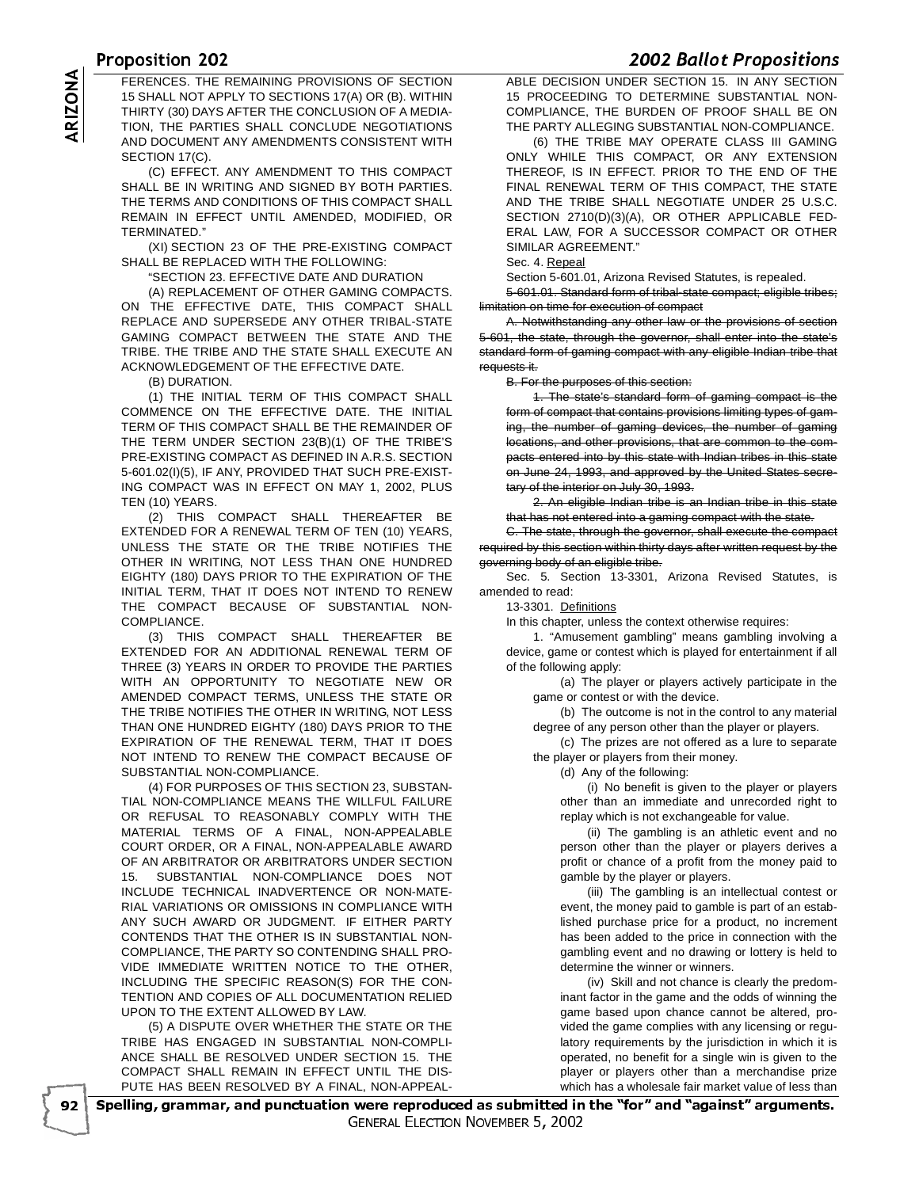<u>UPOSICION ZUZ</u><br>ESPENDER THE REMAINING RROUGHOUR OF REGITION AND REGIONAL UNRER. FERENCES. THE REMAINING PROVISIONS OF SECTION<br>15 SHALL NOT APPLY TO SECTIONS 17(A) OR (B). WITHIN<br>THIRTY (30) DAYS AFTER THE CONCLUSION OF A MEDIA-<br>TION, THE PARTIES SHALL CONCLUDE NEGOTIATIONS<br>AND DOCUMENT ANY AMENDMENTS 15 SHALL NOT APPLY TO SECTIONS 17(A) OR (B). WITHIN THIRTY (30) DAYS AFTER THE CONCLUSION OF A MEDIA-TION, THE PARTIES SHALL CONCLUDE NEGOTIATIONS AND DOCUMENT ANY AMENDMENTS CONSISTENT WITH SECTION 17(C).

(C) EFFECT. ANY AMENDMENT TO THIS COMPACT SHALL BE IN WRITING AND SIGNED BY BOTH PARTIES. THE TERMS AND CONDITIONS OF THIS COMPACT SHALL REMAIN IN EFFECT UNTIL AMENDED, MODIFIED, OR TERMINATED."

(XI) SECTION 23 OF THE PRE-EXISTING COMPACT SHALL BE REPLACED WITH THE FOLLOWING:

"SECTION 23. EFFECTIVE DATE AND DURATION

(A) REPLACEMENT OF OTHER GAMING COMPACTS. ON THE EFFECTIVE DATE, THIS COMPACT SHALL REPLACE AND SUPERSEDE ANY OTHER TRIBAL-STATE GAMING COMPACT BETWEEN THE STATE AND THE TRIBE. THE TRIBE AND THE STATE SHALL EXECUTE AN ACKNOWLEDGEMENT OF THE EFFECTIVE DATE.

(B) DURATION.

(1) THE INITIAL TERM OF THIS COMPACT SHALL COMMENCE ON THE EFFECTIVE DATE. THE INITIAL TERM OF THIS COMPACT SHALL BE THE REMAINDER OF THE TERM UNDER SECTION 23(B)(1) OF THE TRIBE'S PRE-EXISTING COMPACT AS DEFINED IN A.R.S. SECTION 5-601.02(I)(5), IF ANY, PROVIDED THAT SUCH PRE-EXIST-ING COMPACT WAS IN EFFECT ON MAY 1, 2002, PLUS TEN (10) YEARS.

(2) THIS COMPACT SHALL THEREAFTER BE EXTENDED FOR A RENEWAL TERM OF TEN (10) YEARS, UNLESS THE STATE OR THE TRIBE NOTIFIES THE OTHER IN WRITING, NOT LESS THAN ONE HUNDRED EIGHTY (180) DAYS PRIOR TO THE EXPIRATION OF THE INITIAL TERM, THAT IT DOES NOT INTEND TO RENEW THE COMPACT BECAUSE OF SUBSTANTIAL NON-COMPLIANCE.

(3) THIS COMPACT SHALL THEREAFTER BE EXTENDED FOR AN ADDITIONAL RENEWAL TERM OF THREE (3) YEARS IN ORDER TO PROVIDE THE PARTIES WITH AN OPPORTUNITY TO NEGOTIATE NEW OR AMENDED COMPACT TERMS, UNLESS THE STATE OR THE TRIBE NOTIFIES THE OTHER IN WRITING, NOT LESS THAN ONE HUNDRED EIGHTY (180) DAYS PRIOR TO THE EXPIRATION OF THE RENEWAL TERM, THAT IT DOES NOT INTEND TO RENEW THE COMPACT BECAUSE OF SUBSTANTIAL NON-COMPLIANCE.

(4) FOR PURPOSES OF THIS SECTION 23, SUBSTAN-TIAL NON-COMPLIANCE MEANS THE WILLFUL FAILURE OR REFUSAL TO REASONABLY COMPLY WITH THE MATERIAL TERMS OF A FINAL, NON-APPEALABLE COURT ORDER, OR A FINAL, NON-APPEALABLE AWARD OF AN ARBITRATOR OR ARBITRATORS UNDER SECTION 15. SUBSTANTIAL NON-COMPLIANCE DOES NOT INCLUDE TECHNICAL INADVERTENCE OR NON-MATE-RIAL VARIATIONS OR OMISSIONS IN COMPLIANCE WITH ANY SUCH AWARD OR JUDGMENT. IF EITHER PARTY CONTENDS THAT THE OTHER IS IN SUBSTANTIAL NON-COMPLIANCE, THE PARTY SO CONTENDING SHALL PRO-VIDE IMMEDIATE WRITTEN NOTICE TO THE OTHER, INCLUDING THE SPECIFIC REASON(S) FOR THE CON-TENTION AND COPIES OF ALL DOCUMENTATION RELIED UPON TO THE EXTENT ALLOWED BY LAW.

(5) A DISPUTE OVER WHETHER THE STATE OR THE TRIBE HAS ENGAGED IN SUBSTANTIAL NON-COMPLI-ANCE SHALL BE RESOLVED UNDER SECTION 15. THE COMPACT SHALL REMAIN IN EFFECT UNTIL THE DIS-PUTE HAS BEEN RESOLVED BY A FINAL, NON-APPEAL-

**ABLE DECISION UNDER SECTION 15. IN ANY SECTION** 15 PROCEEDING TO DETERMINE SUBSTANTIAL NON-COMPLIANCE, THE BURDEN OF PROOF SHALL BE ON THE PARTY ALLEGING SUBSTANTIAL NON-COMPLIANCE.

(6) THE TRIBE MAY OPERATE CLASS III GAMING ONLY WHILE THIS COMPACT, OR ANY EXTENSION THEREOF, IS IN EFFECT. PRIOR TO THE END OF THE FINAL RENEWAL TERM OF THIS COMPACT, THE STATE AND THE TRIBE SHALL NEGOTIATE UNDER 25 U.S.C. SECTION 2710(D)(3)(A), OR OTHER APPLICABLE FED-ERAL LAW, FOR A SUCCESSOR COMPACT OR OTHER SIMILAR AGREEMENT."

Sec. 4. Repeal

Section 5-601.01, Arizona Revised Statutes, is repealed.

5-601.01. Standard form of tribal-state compact; eligible tribes; limitation on time for execution of compact

A. Notwithstanding any other law or the provisions of section 5-601, the state, through the governor, shall enter into the state's standard form of gaming compact with any eligible Indian tribe that requests it.

B. For the purposes of this section:

1. The state's standard form of gaming compact is the form of compact that contains provisions limiting types of gaming, the number of gaming devices, the number of gaming locations, and other provisions, that are common to the compacts entered into by this state with Indian tribes in this state on June 24, 1993, and approved by the United States secretary of the interior on July 30, 1993.

2. An eligible Indian tribe is an Indian tribe in this state that has not entered into a gaming compact with the state.

C. The state, through the governor, shall execute the compact required by this section within thirty days after written request by the governing body of an eligible tribe.

Sec. 5. Section 13-3301, Arizona Revised Statutes, is amended to read:

13-3301. Definitions

In this chapter, unless the context otherwise requires:

1. "Amusement gambling" means gambling involving a device, game or contest which is played for entertainment if all of the following apply:

(a) The player or players actively participate in the game or contest or with the device.

(b) The outcome is not in the control to any material degree of any person other than the player or players.

(c) The prizes are not offered as a lure to separate the player or players from their money.

(d) Any of the following:

(i) No benefit is given to the player or players other than an immediate and unrecorded right to replay which is not exchangeable for value.

(ii) The gambling is an athletic event and no person other than the player or players derives a profit or chance of a profit from the money paid to gamble by the player or players.

(iii) The gambling is an intellectual contest or event, the money paid to gamble is part of an established purchase price for a product, no increment has been added to the price in connection with the gambling event and no drawing or lottery is held to determine the winner or winners.

(iv) Skill and not chance is clearly the predominant factor in the game and the odds of winning the game based upon chance cannot be altered, provided the game complies with any licensing or regulatory requirements by the jurisdiction in which it is operated, no benefit for a single win is given to the player or players other than a merchandise prize which has a wholesale fair market value of less than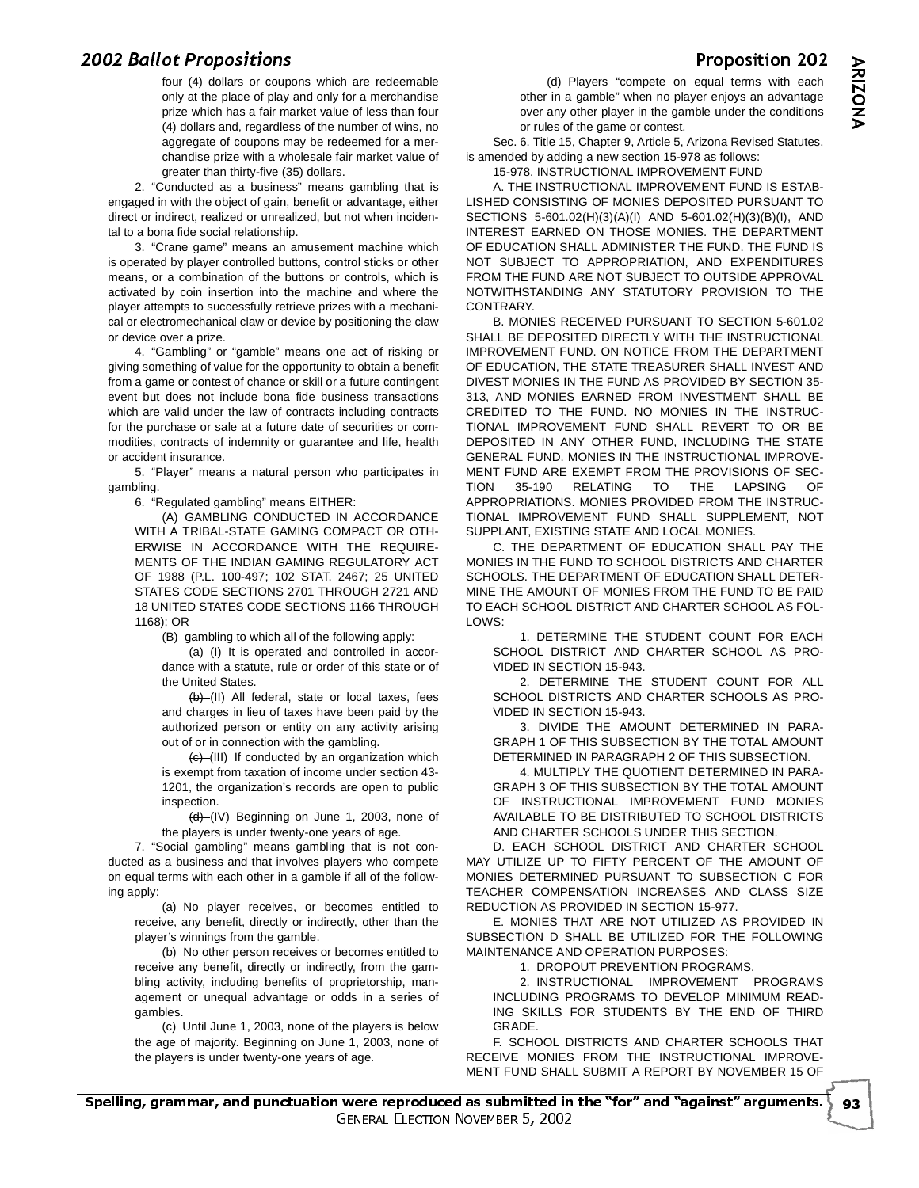or repositions<br>four (4) dollars or coupons which are redeemable (d) Players "compete on equ only at the place of play and only for a merchandise prize which has a fair market value of less than four (4) dollars and, regardless of the number of wins, no aggregate of coupons may be redeemed for a merchandise prize with a wholesale fair market value of greater than thirty-five (35) dollars.

2. "Conducted as a business" means gambling that is engaged in with the object of gain, benefit or advantage, either direct or indirect, realized or unrealized, but not when incidental to a bona fide social relationship.

3. "Crane game" means an amusement machine which is operated by player controlled buttons, control sticks or other means, or a combination of the buttons or controls, which is activated by coin insertion into the machine and where the player attempts to successfully retrieve prizes with a mechanical or electromechanical claw or device by positioning the claw or device over a prize.

4. "Gambling" or "gamble" means one act of risking or giving something of value for the opportunity to obtain a benefit from a game or contest of chance or skill or a future contingent event but does not include bona fide business transactions which are valid under the law of contracts including contracts for the purchase or sale at a future date of securities or commodities, contracts of indemnity or guarantee and life, health or accident insurance.

5. "Player" means a natural person who participates in gambling.

6. "Regulated gambling" means EITHER:

(A) GAMBLING CONDUCTED IN ACCORDANCE WITH A TRIBAL-STATE GAMING COMPACT OR OTH-ERWISE IN ACCORDANCE WITH THE REQUIRE-MENTS OF THE INDIAN GAMING REGULATORY ACT OF 1988 (P.L. 100-497; 102 STAT. 2467; 25 UNITED STATES CODE SECTIONS 2701 THROUGH 2721 AND 18 UNITED STATES CODE SECTIONS 1166 THROUGH 1168); OR

(B) gambling to which all of the following apply:

 $(a)$  (I) It is operated and controlled in accordance with a statute, rule or order of this state or of the United States.

(b) (II) All federal, state or local taxes, fees and charges in lieu of taxes have been paid by the authorized person or entity on any activity arising out of or in connection with the gambling.

 $(e)$  (III) If conducted by an organization which is exempt from taxation of income under section 43- 1201, the organization's records are open to public inspection.

(d) (IV) Beginning on June 1, 2003, none of the players is under twenty-one years of age.

7. "Social gambling" means gambling that is not conducted as a business and that involves players who compete on equal terms with each other in a gamble if all of the following apply:

(a) No player receives, or becomes entitled to receive, any benefit, directly or indirectly, other than the player's winnings from the gamble.

(b) No other person receives or becomes entitled to receive any benefit, directly or indirectly, from the gambling activity, including benefits of proprietorship, management or unequal advantage or odds in a series of gambles.

(c) Until June 1, 2003, none of the players is below the age of majority. Beginning on June 1, 2003, none of the players is under twenty-one years of age.

(d) Players "compete on equal terms with each other in a gamble" when no player enjoys an advantage over any other player in the gamble under the conditions or rules of the game or contest.

Sec. 6. Title 15, Chapter 9, Article 5, Arizona Revised Statutes, is amended by adding a new section 15-978 as follows:

## 15-978. INSTRUCTIONAL IMPROVEMENT FUND

A. THE INSTRUCTIONAL IMPROVEMENT FUND IS ESTAB-LISHED CONSISTING OF MONIES DEPOSITED PURSUANT TO SECTIONS 5-601.02(H)(3)(A)(I) AND 5-601.02(H)(3)(B)(I), AND INTEREST EARNED ON THOSE MONIES. THE DEPARTMENT OF EDUCATION SHALL ADMINISTER THE FUND. THE FUND IS NOT SUBJECT TO APPROPRIATION, AND EXPENDITURES FROM THE FUND ARE NOT SUBJECT TO OUTSIDE APPROVAL NOTWITHSTANDING ANY STATUTORY PROVISION TO THE CONTRARY.

B. MONIES RECEIVED PURSUANT TO SECTION 5-601.02 SHALL BE DEPOSITED DIRECTLY WITH THE INSTRUCTIONAL IMPROVEMENT FUND. ON NOTICE FROM THE DEPARTMENT OF EDUCATION, THE STATE TREASURER SHALL INVEST AND DIVEST MONIES IN THE FUND AS PROVIDED BY SECTION 35- 313, AND MONIES EARNED FROM INVESTMENT SHALL BE CREDITED TO THE FUND. NO MONIES IN THE INSTRUC-TIONAL IMPROVEMENT FUND SHALL REVERT TO OR BE DEPOSITED IN ANY OTHER FUND, INCLUDING THE STATE GENERAL FUND. MONIES IN THE INSTRUCTIONAL IMPROVE-MENT FUND ARE EXEMPT FROM THE PROVISIONS OF SEC-TION 35-190 RELATING TO THE LAPSING OF APPROPRIATIONS. MONIES PROVIDED FROM THE INSTRUC-TIONAL IMPROVEMENT FUND SHALL SUPPLEMENT, NOT SUPPLANT, EXISTING STATE AND LOCAL MONIES.

C. THE DEPARTMENT OF EDUCATION SHALL PAY THE MONIES IN THE FUND TO SCHOOL DISTRICTS AND CHARTER SCHOOLS. THE DEPARTMENT OF EDUCATION SHALL DETER-MINE THE AMOUNT OF MONIES FROM THE FUND TO BE PAID TO EACH SCHOOL DISTRICT AND CHARTER SCHOOL AS FOL-LOWS:

1. DETERMINE THE STUDENT COUNT FOR EACH SCHOOL DISTRICT AND CHARTER SCHOOL AS PRO-VIDED IN SECTION 15-943.

2. DETERMINE THE STUDENT COUNT FOR ALL SCHOOL DISTRICTS AND CHARTER SCHOOLS AS PRO-VIDED IN SECTION 15-943.

3. DIVIDE THE AMOUNT DETERMINED IN PARA-GRAPH 1 OF THIS SUBSECTION BY THE TOTAL AMOUNT DETERMINED IN PARAGRAPH 2 OF THIS SUBSECTION.

4. MULTIPLY THE QUOTIENT DETERMINED IN PARA-GRAPH 3 OF THIS SUBSECTION BY THE TOTAL AMOUNT OF INSTRUCTIONAL IMPROVEMENT FUND MONIES AVAILABLE TO BE DISTRIBUTED TO SCHOOL DISTRICTS AND CHARTER SCHOOLS UNDER THIS SECTION.

D. EACH SCHOOL DISTRICT AND CHARTER SCHOOL MAY UTILIZE UP TO FIFTY PERCENT OF THE AMOUNT OF MONIES DETERMINED PURSUANT TO SUBSECTION C FOR TEACHER COMPENSATION INCREASES AND CLASS SIZE REDUCTION AS PROVIDED IN SECTION 15-977.

E. MONIES THAT ARE NOT UTILIZED AS PROVIDED IN SUBSECTION D SHALL BE UTILIZED FOR THE FOLLOWING MAINTENANCE AND OPERATION PURPOSES:

1. DROPOUT PREVENTION PROGRAMS.

2. INSTRUCTIONAL IMPROVEMENT PROGRAMS INCLUDING PROGRAMS TO DEVELOP MINIMUM READ-ING SKILLS FOR STUDENTS BY THE END OF THIRD GRADE.

▶ 93

F. SCHOOL DISTRICTS AND CHARTER SCHOOLS THAT RECEIVE MONIES FROM THE INSTRUCTIONAL IMPROVE-MENT FUND SHALL SUBMIT A REPORT BY NOVEMBER 15 OF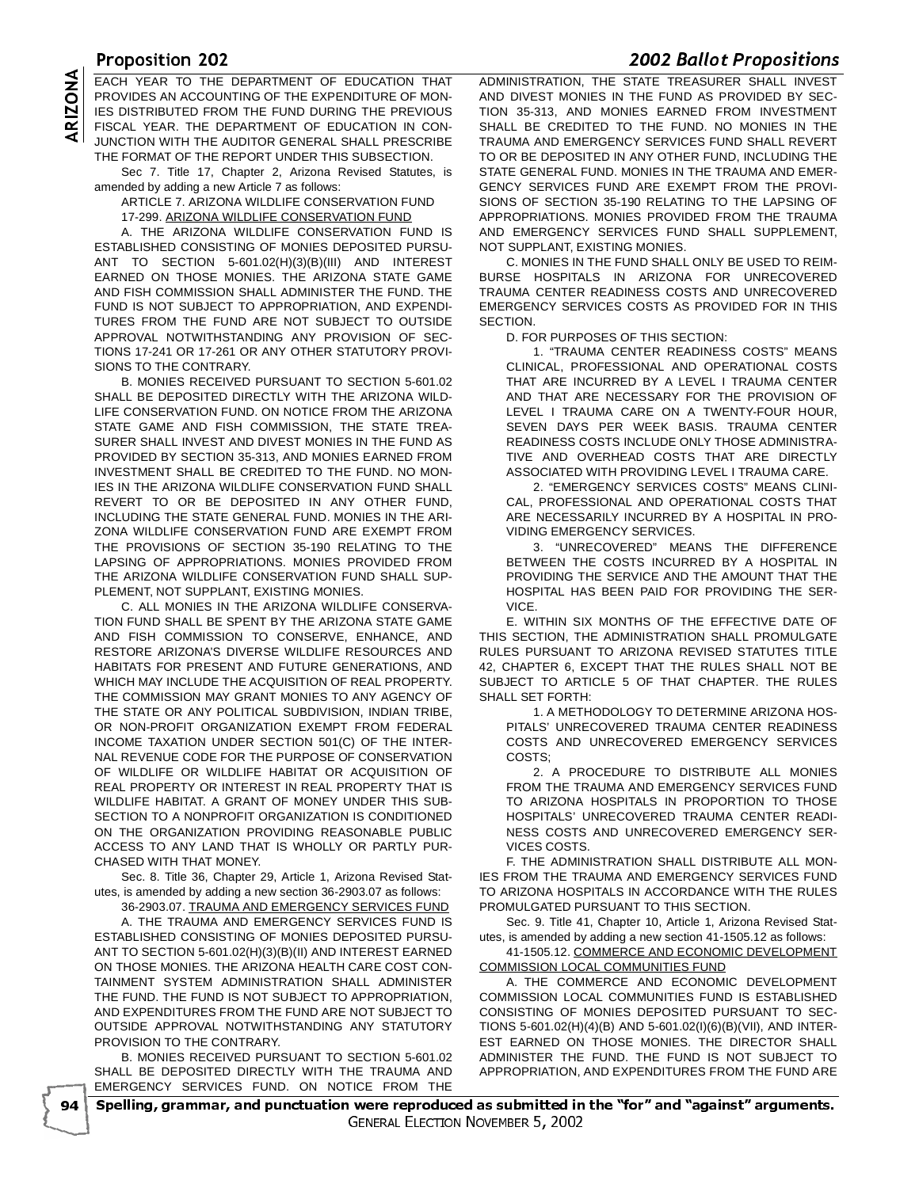THOPOSITION EVERY PERSONAL OF FRUSTRAL THAT A DIMINOTRATION THE OTHER EACH YEAR TO THE DEPARTMENT OF EDUCATION THAT<br>
PROVIDES AN ACCOUNTING OF THE EXPENDITURE OF MON-<br>
IES DISTRIBUTED FROM THE FUND DURING THE PREVIOUS<br>
FISCAL YEAR. THE DEPARTMENT OF EDUCATION IN CON-<br>
JUNCTION WITH THE AUDIT PROVIDES AN ACCOUNTING OF THE EXPENDITURE OF MON-IES DISTRIBUTED FROM THE FUND DURING THE PREVIOUS FISCAL YEAR. THE DEPARTMENT OF EDUCATION IN CON-JUNCTION WITH THE AUDITOR GENERAL SHALL PRESCRIBE THE FORMAT OF THE REPORT UNDER THIS SUBSECTION.

Sec 7. Title 17, Chapter 2, Arizona Revised Statutes, is amended by adding a new Article 7 as follows:

ARTICLE 7. ARIZONA WILDLIFE CONSERVATION FUND 17-299. ARIZONA WILDLIFE CONSERVATION FUND

A. THE ARIZONA WILDLIFE CONSERVATION FUND IS ESTABLISHED CONSISTING OF MONIES DEPOSITED PURSU-ANT TO SECTION 5-601.02(H)(3)(B)(III) AND INTEREST EARNED ON THOSE MONIES. THE ARIZONA STATE GAME AND FISH COMMISSION SHALL ADMINISTER THE FUND. THE FUND IS NOT SUBJECT TO APPROPRIATION, AND EXPENDI-TURES FROM THE FUND ARE NOT SUBJECT TO OUTSIDE APPROVAL NOTWITHSTANDING ANY PROVISION OF SEC-TIONS 17-241 OR 17-261 OR ANY OTHER STATUTORY PROVI-SIONS TO THE CONTRARY.

B. MONIES RECEIVED PURSUANT TO SECTION 5-601.02 SHALL BE DEPOSITED DIRECTLY WITH THE ARIZONA WILD-LIFE CONSERVATION FUND. ON NOTICE FROM THE ARIZONA STATE GAME AND FISH COMMISSION, THE STATE TREA-SURER SHALL INVEST AND DIVEST MONIES IN THE FUND AS PROVIDED BY SECTION 35-313, AND MONIES EARNED FROM INVESTMENT SHALL BE CREDITED TO THE FUND. NO MON-IES IN THE ARIZONA WILDLIFE CONSERVATION FUND SHALL REVERT TO OR BE DEPOSITED IN ANY OTHER FUND, INCLUDING THE STATE GENERAL FUND. MONIES IN THE ARI-ZONA WILDLIFE CONSERVATION FUND ARE EXEMPT FROM THE PROVISIONS OF SECTION 35-190 RELATING TO THE LAPSING OF APPROPRIATIONS. MONIES PROVIDED FROM THE ARIZONA WILDLIFE CONSERVATION FUND SHALL SUP-PLEMENT, NOT SUPPLANT, EXISTING MONIES.

C. ALL MONIES IN THE ARIZONA WILDLIFE CONSERVA-TION FUND SHALL BE SPENT BY THE ARIZONA STATE GAME AND FISH COMMISSION TO CONSERVE, ENHANCE, AND RESTORE ARIZONA'S DIVERSE WILDLIFE RESOURCES AND HABITATS FOR PRESENT AND FUTURE GENERATIONS, AND WHICH MAY INCLUDE THE ACQUISITION OF REAL PROPERTY. THE COMMISSION MAY GRANT MONIES TO ANY AGENCY OF THE STATE OR ANY POLITICAL SUBDIVISION, INDIAN TRIBE, OR NON-PROFIT ORGANIZATION EXEMPT FROM FEDERAL INCOME TAXATION UNDER SECTION 501(C) OF THE INTER-NAL REVENUE CODE FOR THE PURPOSE OF CONSERVATION OF WILDLIFE OR WILDLIFE HABITAT OR ACQUISITION OF REAL PROPERTY OR INTEREST IN REAL PROPERTY THAT IS WILDLIFE HABITAT. A GRANT OF MONEY UNDER THIS SUB-SECTION TO A NONPROFIT ORGANIZATION IS CONDITIONED ON THE ORGANIZATION PROVIDING REASONABLE PUBLIC ACCESS TO ANY LAND THAT IS WHOLLY OR PARTLY PUR-CHASED WITH THAT MONEY.

Sec. 8. Title 36, Chapter 29, Article 1, Arizona Revised Statutes, is amended by adding a new section 36-2903.07 as follows:

36-2903.07. TRAUMA AND EMERGENCY SERVICES FUND A. THE TRAUMA AND EMERGENCY SERVICES FUND IS ESTABLISHED CONSISTING OF MONIES DEPOSITED PURSU-ANT TO SECTION 5-601.02(H)(3)(B)(II) AND INTEREST EARNED ON THOSE MONIES. THE ARIZONA HEALTH CARE COST CON-TAINMENT SYSTEM ADMINISTRATION SHALL ADMINISTER THE FUND. THE FUND IS NOT SUBJECT TO APPROPRIATION, AND EXPENDITURES FROM THE FUND ARE NOT SUBJECT TO OUTSIDE APPROVAL NOTWITHSTANDING ANY STATUTORY PROVISION TO THE CONTRARY.

B. MONIES RECEIVED PURSUANT TO SECTION 5-601.02 SHALL BE DEPOSITED DIRECTLY WITH THE TRAUMA AND EMERGENCY SERVICES FUND. ON NOTICE FROM THE

- 

 ADMINISTRATION, THE STATE TREASURER SHALL INVEST AND DIVEST MONIES IN THE FUND AS PROVIDED BY SEC-TION 35-313, AND MONIES EARNED FROM INVESTMENT SHALL BE CREDITED TO THE FUND. NO MONIES IN THE TRAUMA AND EMERGENCY SERVICES FUND SHALL REVERT TO OR BE DEPOSITED IN ANY OTHER FUND, INCLUDING THE STATE GENERAL FUND. MONIES IN THE TRAUMA AND EMER-GENCY SERVICES FUND ARE EXEMPT FROM THE PROVI-SIONS OF SECTION 35-190 RELATING TO THE LAPSING OF APPROPRIATIONS. MONIES PROVIDED FROM THE TRAUMA AND EMERGENCY SERVICES FUND SHALL SUPPLEMENT, NOT SUPPLANT, EXISTING MONIES.

C. MONIES IN THE FUND SHALL ONLY BE USED TO REIM-BURSE HOSPITALS IN ARIZONA FOR UNRECOVERED TRAUMA CENTER READINESS COSTS AND UNRECOVERED EMERGENCY SERVICES COSTS AS PROVIDED FOR IN THIS SECTION.

D. FOR PURPOSES OF THIS SECTION:

1. "TRAUMA CENTER READINESS COSTS" MEANS CLINICAL, PROFESSIONAL AND OPERATIONAL COSTS THAT ARE INCURRED BY A LEVEL I TRAUMA CENTER AND THAT ARE NECESSARY FOR THE PROVISION OF LEVEL I TRAUMA CARE ON A TWENTY-FOUR HOUR, SEVEN DAYS PER WEEK BASIS. TRAUMA CENTER READINESS COSTS INCLUDE ONLY THOSE ADMINISTRA-TIVE AND OVERHEAD COSTS THAT ARE DIRECTLY ASSOCIATED WITH PROVIDING LEVEL I TRAUMA CARE.

2. "EMERGENCY SERVICES COSTS" MEANS CLINI-CAL, PROFESSIONAL AND OPERATIONAL COSTS THAT ARE NECESSARILY INCURRED BY A HOSPITAL IN PRO-VIDING EMERGENCY SERVICES.

3. "UNRECOVERED" MEANS THE DIFFERENCE BETWEEN THE COSTS INCURRED BY A HOSPITAL IN PROVIDING THE SERVICE AND THE AMOUNT THAT THE HOSPITAL HAS BEEN PAID FOR PROVIDING THE SER-VICE.

E. WITHIN SIX MONTHS OF THE EFFECTIVE DATE OF THIS SECTION, THE ADMINISTRATION SHALL PROMULGATE RULES PURSUANT TO ARIZONA REVISED STATUTES TITLE 42, CHAPTER 6, EXCEPT THAT THE RULES SHALL NOT BE SUBJECT TO ARTICLE 5 OF THAT CHAPTER. THE RULES SHALL SET FORTH:

1. A METHODOLOGY TO DETERMINE ARIZONA HOS-PITALS' UNRECOVERED TRAUMA CENTER READINESS COSTS AND UNRECOVERED EMERGENCY SERVICES COSTS;

2. A PROCEDURE TO DISTRIBUTE ALL MONIES FROM THE TRAUMA AND EMERGENCY SERVICES FUND TO ARIZONA HOSPITALS IN PROPORTION TO THOSE HOSPITALS' UNRECOVERED TRAUMA CENTER READI-NESS COSTS AND UNRECOVERED EMERGENCY SER-VICES COSTS.

F. THE ADMINISTRATION SHALL DISTRIBUTE ALL MON-IES FROM THE TRAUMA AND EMERGENCY SERVICES FUND TO ARIZONA HOSPITALS IN ACCORDANCE WITH THE RULES PROMULGATED PURSUANT TO THIS SECTION.

Sec. 9. Title 41, Chapter 10, Article 1, Arizona Revised Statutes, is amended by adding a new section 41-1505.12 as follows:

41-1505.12. COMMERCE AND ECONOMIC DEVELOPMENT COMMISSION LOCAL COMMUNITIES FUND

A. THE COMMERCE AND ECONOMIC DEVELOPMENT COMMISSION LOCAL COMMUNITIES FUND IS ESTABLISHED CONSISTING OF MONIES DEPOSITED PURSUANT TO SEC-TIONS 5-601.02(H)(4)(B) AND 5-601.02(I)(6)(B)(VII), AND INTER-EST EARNED ON THOSE MONIES. THE DIRECTOR SHALL ADMINISTER THE FUND. THE FUND IS NOT SUBJECT TO APPROPRIATION, AND EXPENDITURES FROM THE FUND ARE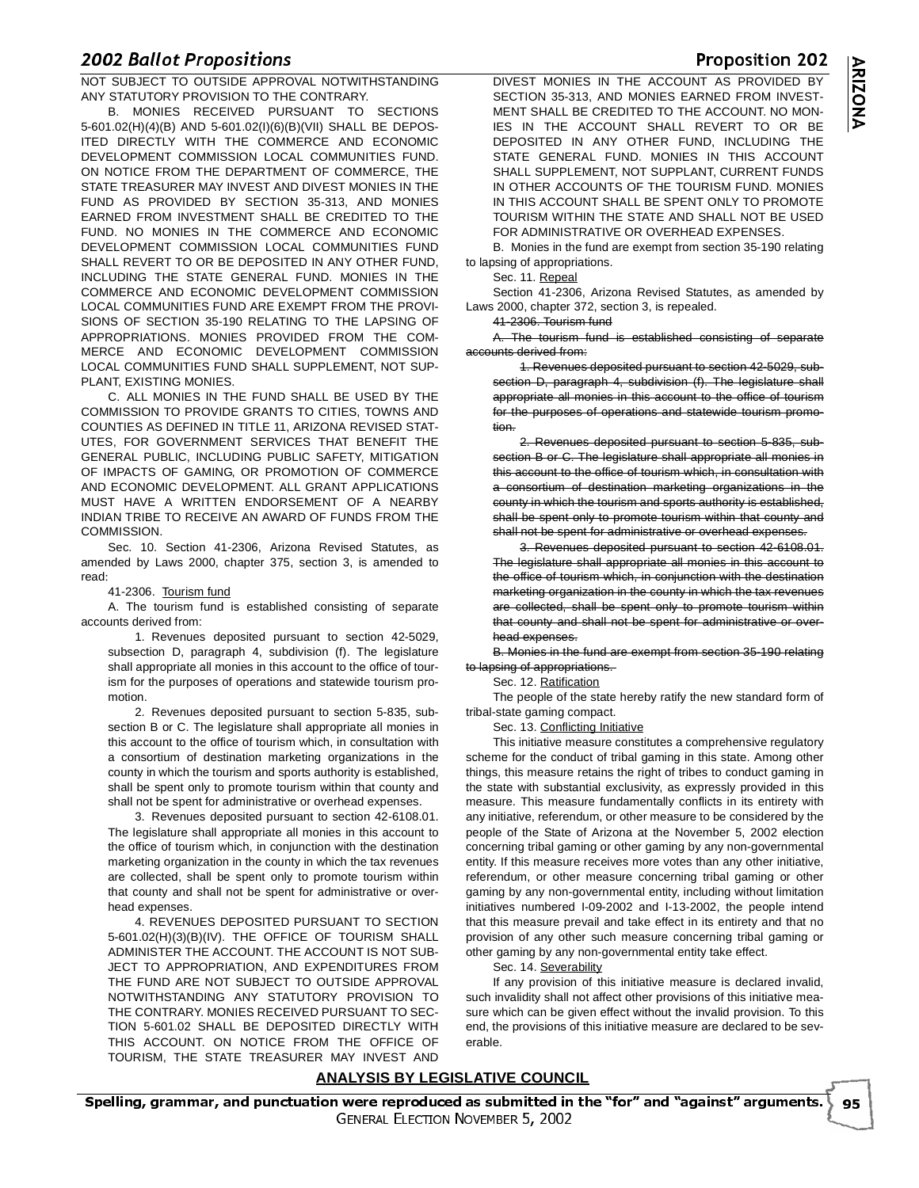-- 

 -NOT SUBJECT TO OUTSIDE APPROVAL NOTWITHSTANDING ANY STATUTORY PROVISION TO THE CONTRARY.

B. MONIES RECEIVED PURSUANT TO SECTIONS 5-601.02(H)(4)(B) AND 5-601.02(I)(6)(B)(VII) SHALL BE DEPOS-ITED DIRECTLY WITH THE COMMERCE AND ECONOMIC DEVELOPMENT COMMISSION LOCAL COMMUNITIES FUND. ON NOTICE FROM THE DEPARTMENT OF COMMERCE, THE STATE TREASURER MAY INVEST AND DIVEST MONIES IN THE FUND AS PROVIDED BY SECTION 35-313, AND MONIES EARNED FROM INVESTMENT SHALL BE CREDITED TO THE FUND. NO MONIES IN THE COMMERCE AND ECONOMIC DEVELOPMENT COMMISSION LOCAL COMMUNITIES FUND SHALL REVERT TO OR BE DEPOSITED IN ANY OTHER FUND, INCLUDING THE STATE GENERAL FUND. MONIES IN THE COMMERCE AND ECONOMIC DEVELOPMENT COMMISSION LOCAL COMMUNITIES FUND ARE EXEMPT FROM THE PROVI-SIONS OF SECTION 35-190 RELATING TO THE LAPSING OF APPROPRIATIONS. MONIES PROVIDED FROM THE COM-MERCE AND ECONOMIC DEVELOPMENT COMMISSION LOCAL COMMUNITIES FUND SHALL SUPPLEMENT, NOT SUP-PLANT, EXISTING MONIES.

C. ALL MONIES IN THE FUND SHALL BE USED BY THE COMMISSION TO PROVIDE GRANTS TO CITIES, TOWNS AND COUNTIES AS DEFINED IN TITLE 11, ARIZONA REVISED STAT-UTES, FOR GOVERNMENT SERVICES THAT BENEFIT THE GENERAL PUBLIC, INCLUDING PUBLIC SAFETY, MITIGATION OF IMPACTS OF GAMING, OR PROMOTION OF COMMERCE AND ECONOMIC DEVELOPMENT. ALL GRANT APPLICATIONS MUST HAVE A WRITTEN ENDORSEMENT OF A NEARBY INDIAN TRIBE TO RECEIVE AN AWARD OF FUNDS FROM THE **COMMISSION.** 

Sec. 10. Section 41-2306, Arizona Revised Statutes, as amended by Laws 2000, chapter 375, section 3, is amended to read:

41-2306. Tourism fund

A. The tourism fund is established consisting of separate accounts derived from:

1. Revenues deposited pursuant to section 42-5029, subsection D, paragraph 4, subdivision (f). The legislature shall appropriate all monies in this account to the office of tourism for the purposes of operations and statewide tourism promotion.

2. Revenues deposited pursuant to section 5-835, subsection B or C. The legislature shall appropriate all monies in this account to the office of tourism which, in consultation with a consortium of destination marketing organizations in the county in which the tourism and sports authority is established, shall be spent only to promote tourism within that county and shall not be spent for administrative or overhead expenses.

3. Revenues deposited pursuant to section 42-6108.01. The legislature shall appropriate all monies in this account to the office of tourism which, in conjunction with the destination marketing organization in the county in which the tax revenues are collected, shall be spent only to promote tourism within that county and shall not be spent for administrative or overhead expenses.

4. REVENUES DEPOSITED PURSUANT TO SECTION 5-601.02(H)(3)(B)(IV). THE OFFICE OF TOURISM SHALL ADMINISTER THE ACCOUNT. THE ACCOUNT IS NOT SUB-JECT TO APPROPRIATION, AND EXPENDITURES FROM THE FUND ARE NOT SUBJECT TO OUTSIDE APPROVAL NOTWITHSTANDING ANY STATUTORY PROVISION TO THE CONTRARY. MONIES RECEIVED PURSUANT TO SEC-TION 5-601.02 SHALL BE DEPOSITED DIRECTLY WITH THIS ACCOUNT. ON NOTICE FROM THE OFFICE OF TOURISM, THE STATE TREASURER MAY INVEST AND

 DIVEST MONIES IN THE ACCOUNT AS PROVIDED BY SECTION 35-313, AND MONIES EARNED FROM INVEST-MENT SHALL BE CREDITED TO THE ACCOUNT. NO MON-IES IN THE ACCOUNT SHALL REVERT TO OR BE DEPOSITED IN ANY OTHER FUND, INCLUDING THE STATE GENERAL FUND. MONIES IN THIS ACCOUNT SHALL SUPPLEMENT, NOT SUPPLANT, CURRENT FUNDS IN OTHER ACCOUNTS OF THE TOURISM FUND. MONIES IN THIS ACCOUNT SHALL BE SPENT ONLY TO PROMOTE TOURISM WITHIN THE STATE AND SHALL NOT BE USED FOR ADMINISTRATIVE OR OVERHEAD EXPENSES.

B. Monies in the fund are exempt from section 35-190 relating to lapsing of appropriations.

Sec. 11. Repeal

Section 41-2306, Arizona Revised Statutes, as amended by Laws 2000, chapter 372, section 3, is repealed.

41-2306. Tourism fund

A. The tourism fund is established consisting of separate accounts derived from:

1. Revenues deposited pursuant to section 42-5029, subsection D, paragraph 4, subdivision (f). The legislature shall appropriate all monies in this account to the office of tourism for the purposes of operations and statewide tourism promotion.

2. Revenues deposited pursuant to section 5-835, subsection B or C. The legislature shall appropriate all monies in this account to the office of tourism which, in consultation with a consortium of destination marketing organizations in the county in which the tourism and sports authority is established, shall be spent only to promote tourism within that county and shall not be spent for administrative or overhead expenses.

3. Revenues deposited pursuant to section 42-6108.01. The legislature shall appropriate all monies in this account to the office of tourism which, in conjunction with the destination marketing organization in the county in which the tax revenues are collected, shall be spent only to promote tourism within that county and shall not be spent for administrative or overhead expenses.

B. Monies in the fund are exempt from section 35-190 relating to lapsing of appropriations.

Sec. 12. Ratification

The people of the state hereby ratify the new standard form of tribal-state gaming compact.

Sec. 13. Conflicting Initiative

This initiative measure constitutes a comprehensive regulatory scheme for the conduct of tribal gaming in this state. Among other things, this measure retains the right of tribes to conduct gaming in the state with substantial exclusivity, as expressly provided in this measure. This measure fundamentally conflicts in its entirety with any initiative, referendum, or other measure to be considered by the people of the State of Arizona at the November 5, 2002 election concerning tribal gaming or other gaming by any non-governmental entity. If this measure receives more votes than any other initiative, referendum, or other measure concerning tribal gaming or other gaming by any non-governmental entity, including without limitation initiatives numbered I-09-2002 and I-13-2002, the people intend that this measure prevail and take effect in its entirety and that no provision of any other such measure concerning tribal gaming or other gaming by any non-governmental entity take effect.

Sec. 14. Severability

If any provision of this initiative measure is declared invalid, such invalidity shall not affect other provisions of this initiative measure which can be given effect without the invalid provision. To this end, the provisions of this initiative measure are declared to be severable.

## **ANALYSIS BY LEGISLATIVE COUNCIL**

Proposition 202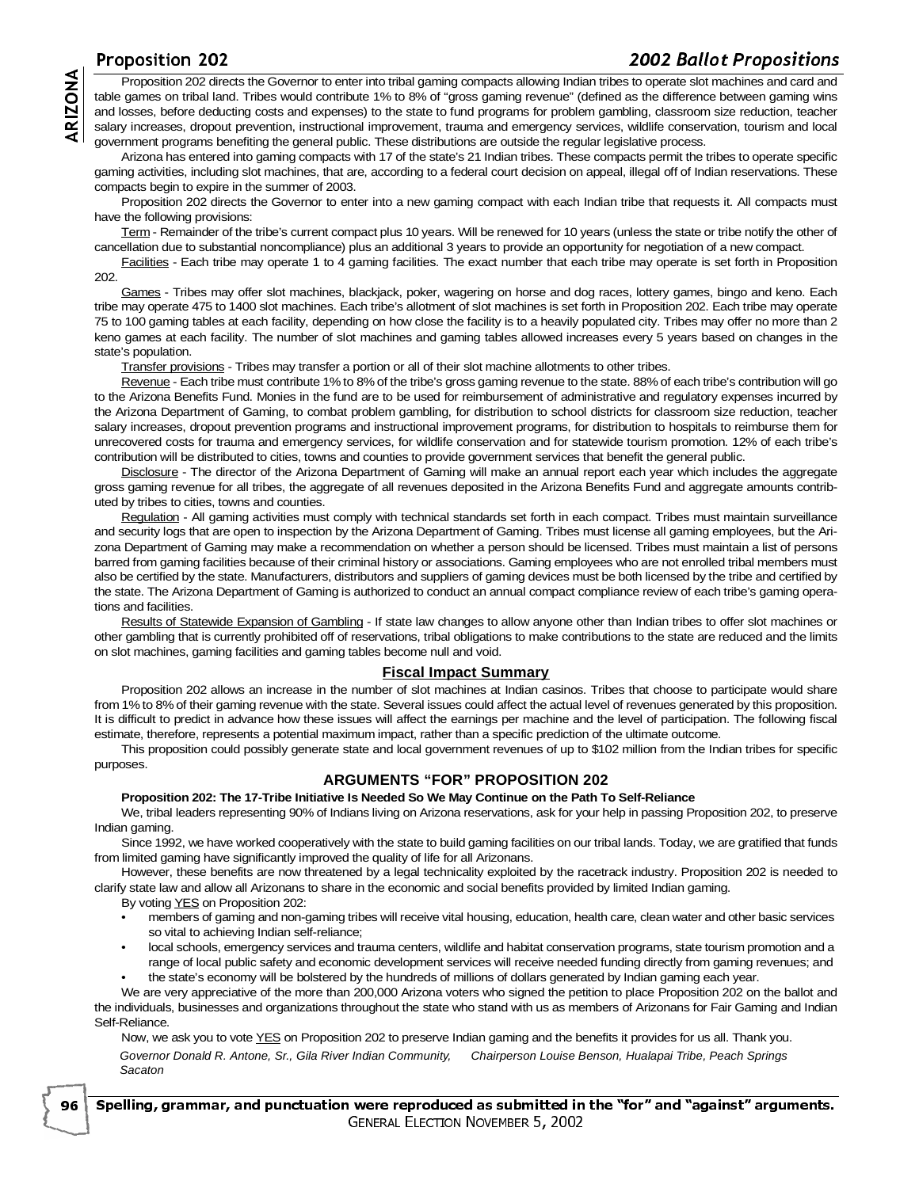<u>- 2002 Duttor Fropositions</u> Proposition 202 directs the Governor to enter into tribal gaming compacts allowing Indian tribes to operate slot machines and card and the sample of the state to trive of "gross gaming revenue" (defined as the difference b table games on tribal land. Tribes would contribute 1% to 8% of "gross gaming revenue" (defined as the difference between gaming wins and losses, before deducting costs and expenses) to the state to fund programs for problem gambling, classroom size reduction, teacher salary increases, dropout prevention, instructional improvement, trauma and emergency services, wildlife conservation, tourism and local government programs benefiting the general public. These distributions are outside the regular legislative process.

Arizona has entered into gaming compacts with 17 of the state's 21 Indian tribes. These compacts permit the tribes to operate specific gaming activities, including slot machines, that are, according to a federal court decision on appeal, illegal off of Indian reservations. These compacts begin to expire in the summer of 2003.

Proposition 202 directs the Governor to enter into a new gaming compact with each Indian tribe that requests it. All compacts must have the following provisions:

Term - Remainder of the tribe's current compact plus 10 years. Will be renewed for 10 years (unless the state or tribe notify the other of cancellation due to substantial noncompliance) plus an additional 3 years to provide an opportunity for negotiation of a new compact.

Facilities - Each tribe may operate 1 to 4 gaming facilities. The exact number that each tribe may operate is set forth in Proposition 202.

Games - Tribes may offer slot machines, blackjack, poker, wagering on horse and dog races, lottery games, bingo and keno. Each tribe may operate 475 to 1400 slot machines. Each tribe's allotment of slot machines is set forth in Proposition 202. Each tribe may operate 75 to 100 gaming tables at each facility, depending on how close the facility is to a heavily populated city. Tribes may offer no more than 2 keno games at each facility. The number of slot machines and gaming tables allowed increases every 5 years based on changes in the state's population.

Transfer provisions - Tribes may transfer a portion or all of their slot machine allotments to other tribes.

Revenue - Each tribe must contribute 1% to 8% of the tribe's gross gaming revenue to the state. 88% of each tribe's contribution will go to the Arizona Benefits Fund. Monies in the fund are to be used for reimbursement of administrative and regulatory expenses incurred by the Arizona Department of Gaming, to combat problem gambling, for distribution to school districts for classroom size reduction, teacher salary increases, dropout prevention programs and instructional improvement programs, for distribution to hospitals to reimburse them for unrecovered costs for trauma and emergency services, for wildlife conservation and for statewide tourism promotion. 12% of each tribe's contribution will be distributed to cities, towns and counties to provide government services that benefit the general public.

Disclosure - The director of the Arizona Department of Gaming will make an annual report each year which includes the aggregate gross gaming revenue for all tribes, the aggregate of all revenues deposited in the Arizona Benefits Fund and aggregate amounts contributed by tribes to cities, towns and counties.

Regulation - All gaming activities must comply with technical standards set forth in each compact. Tribes must maintain surveillance and security logs that are open to inspection by the Arizona Department of Gaming. Tribes must license all gaming employees, but the Arizona Department of Gaming may make a recommendation on whether a person should be licensed. Tribes must maintain a list of persons barred from gaming facilities because of their criminal history or associations. Gaming employees who are not enrolled tribal members must also be certified by the state. Manufacturers, distributors and suppliers of gaming devices must be both licensed by the tribe and certified by the state. The Arizona Department of Gaming is authorized to conduct an annual compact compliance review of each tribe's gaming operations and facilities.

Results of Statewide Expansion of Gambling - If state law changes to allow anyone other than Indian tribes to offer slot machines or other gambling that is currently prohibited off of reservations, tribal obligations to make contributions to the state are reduced and the limits on slot machines, gaming facilities and gaming tables become null and void.

### **Fiscal Impact Summary**

Proposition 202 allows an increase in the number of slot machines at Indian casinos. Tribes that choose to participate would share from 1% to 8% of their gaming revenue with the state. Several issues could affect the actual level of revenues generated by this proposition. It is difficult to predict in advance how these issues will affect the earnings per machine and the level of participation. The following fiscal estimate, therefore, represents a potential maximum impact, rather than a specific prediction of the ultimate outcome.

This proposition could possibly generate state and local government revenues of up to \$102 million from the Indian tribes for specific purposes.

## **ARGUMENTS "FOR" PROPOSITION 202**

#### **Proposition 202: The 17-Tribe Initiative Is Needed So We May Continue on the Path To Self-Reliance**

We, tribal leaders representing 90% of Indians living on Arizona reservations, ask for your help in passing Proposition 202, to preserve Indian gaming.

Since 1992, we have worked cooperatively with the state to build gaming facilities on our tribal lands. Today, we are gratified that funds from limited gaming have significantly improved the quality of life for all Arizonans.

However, these benefits are now threatened by a legal technicality exploited by the racetrack industry. Proposition 202 is needed to clarify state law and allow all Arizonans to share in the economic and social benefits provided by limited Indian gaming.

By voting YES on Proposition 202:

96

- members of gaming and non-gaming tribes will receive vital housing, education, health care, clean water and other basic services so vital to achieving Indian self-reliance;
- local schools, emergency services and trauma centers, wildlife and habitat conservation programs, state tourism promotion and a range of local public safety and economic development services will receive needed funding directly from gaming revenues; and
	- the state's economy will be bolstered by the hundreds of millions of dollars generated by Indian gaming each year.

We are very appreciative of the more than 200,000 Arizona voters who signed the petition to place Proposition 202 on the ballot and the individuals, businesses and organizations throughout the state who stand with us as members of Arizonans for Fair Gaming and Indian Self-Reliance.

Now, we ask you to vote YES on Proposition 202 to preserve Indian gaming and the benefits it provides for us all. Thank you. Governor Donald R. Antone, Sr., Gila River Indian Community, Sacaton Chairperson Louise Benson, Hualapai Tribe, Peach Springs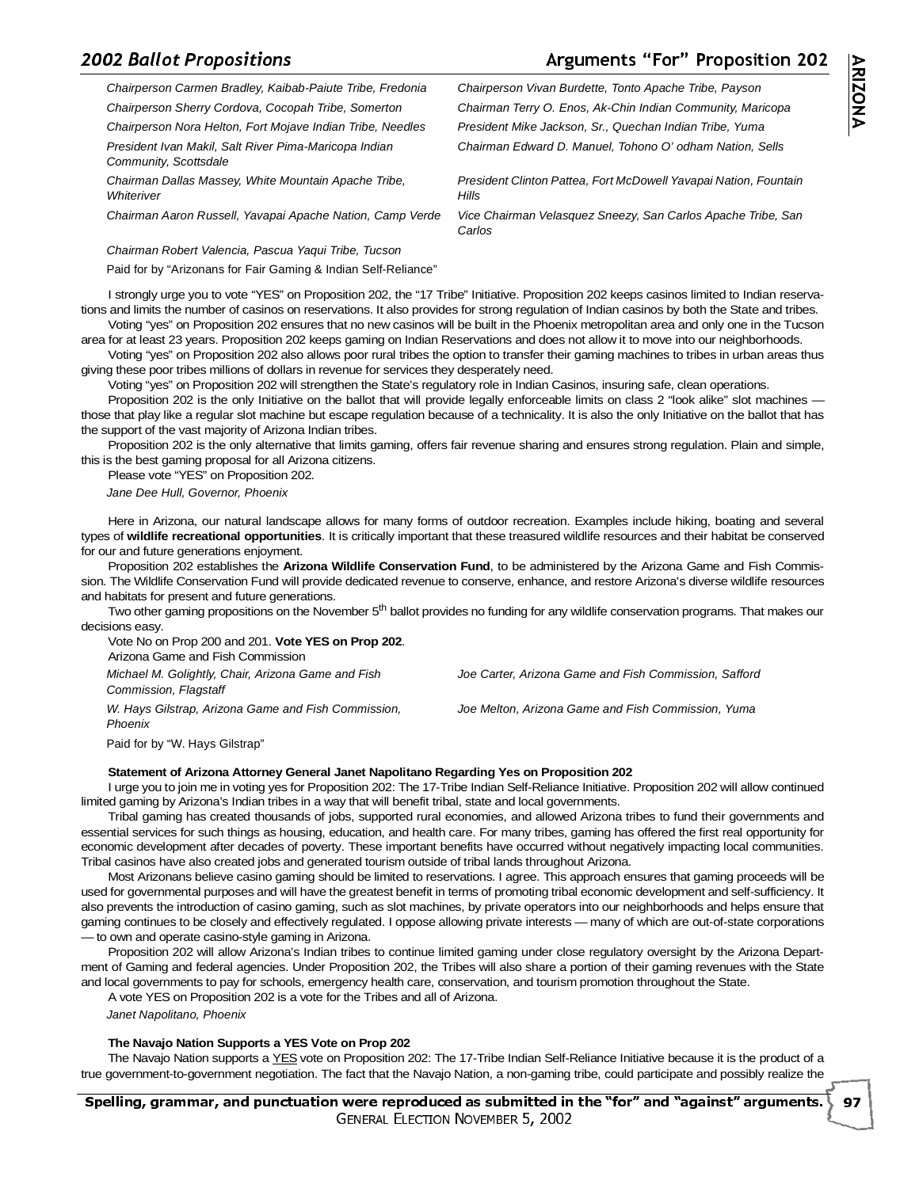# -- 

 -

## guments "For" Proposition 202

Chairman Edward D. Manuel, Tohono O' odham Nation, Sells

President Clinton Pattea, Fort McDowell Yavapai Nation, Fountain

**ARIZON** ১

Chairperson Carmen Bradley, Kaibab-Paiute Tribe, Fredonia Chairperson Vivan Burdette, Tonto Apache Tribe, Payson Chairperson Sherry Cordova, Cocopah Tribe, Somerton Chairman Terry O. Enos, Ak-Chin Indian Community, Maricopa Chairperson Nora Helton, Fort Mojave Indian Tribe, Needles President Mike Jackson, Sr., Quechan Indian Tribe, Yuma

President Ivan Makil, Salt River Pima-Maricopa Indian Community, Scottsdale

Chairman Dallas Massey, White Mountain Apache Tribe, **Whiteriver** 

Chairman Aaron Russell, Yavapai Apache Nation, Camp Verde Vice Chairman Velasquez Sneezy, San Carlos Apache Tribe, San

Chairman Robert Valencia, Pascua Yaqui Tribe, Tucson

Paid for by "Arizonans for Fair Gaming & Indian Self-Reliance"

I strongly urge you to vote "YES" on Proposition 202, the "17 Tribe" Initiative. Proposition 202 keeps casinos limited to Indian reservations and limits the number of casinos on reservations. It also provides for strong regulation of Indian casinos by both the State and tribes. Voting "yes" on Proposition 202 ensures that no new casinos will be built in the Phoenix metropolitan area and only one in the Tucson

**Hills** 

Carlos

area for at least 23 years. Proposition 202 keeps gaming on Indian Reservations and does not allow it to move into our neighborhoods. Voting "yes" on Proposition 202 also allows poor rural tribes the option to transfer their gaming machines to tribes in urban areas thus

giving these poor tribes millions of dollars in revenue for services they desperately need.

Voting "yes" on Proposition 202 will strengthen the State's regulatory role in Indian Casinos, insuring safe, clean operations.

Proposition 202 is the only Initiative on the ballot that will provide legally enforceable limits on class 2 "look alike" slot machines those that play like a regular slot machine but escape regulation because of a technicality. It is also the only Initiative on the ballot that has the support of the vast majority of Arizona Indian tribes.

Proposition 202 is the only alternative that limits gaming, offers fair revenue sharing and ensures strong regulation. Plain and simple, this is the best gaming proposal for all Arizona citizens.

Please vote "YES" on Proposition 202.

Jane Dee Hull, Governor, Phoenix

Here in Arizona, our natural landscape allows for many forms of outdoor recreation. Examples include hiking, boating and several types of **wildlife recreational opportunities**. It is critically important that these treasured wildlife resources and their habitat be conserved for our and future generations enjoyment.

Proposition 202 establishes the **Arizona Wildlife Conservation Fund**, to be administered by the Arizona Game and Fish Commission. The Wildlife Conservation Fund will provide dedicated revenue to conserve, enhance, and restore Arizona's diverse wildlife resources and habitats for present and future generations.

Two other gaming propositions on the November 5<sup>th</sup> ballot provides no funding for any wildlife conservation programs. That makes our decisions easy.

Vote No on Prop 200 and 201. **Vote YES on Prop 202**. Arizona Game and Fish Commission

Michael M. Golightly, Chair, Arizona Game and Fish Commission, Flagstaff

W. Hays Gilstrap, Arizona Game and Fish Commission, Phoenix

Joe Carter, Arizona Game and Fish Commission, Safford

Joe Melton, Arizona Game and Fish Commission, Yuma

Paid for by "W. Hays Gilstrap"

### **Statement of Arizona Attorney General Janet Napolitano Regarding Yes on Proposition 202**

I urge you to join me in voting yes for Proposition 202: The 17-Tribe Indian Self-Reliance Initiative. Proposition 202 will allow continued limited gaming by Arizona's Indian tribes in a way that will benefit tribal, state and local governments.

Tribal gaming has created thousands of jobs, supported rural economies, and allowed Arizona tribes to fund their governments and essential services for such things as housing, education, and health care. For many tribes, gaming has offered the first real opportunity for economic development after decades of poverty. These important benefits have occurred without negatively impacting local communities. Tribal casinos have also created jobs and generated tourism outside of tribal lands throughout Arizona.

Most Arizonans believe casino gaming should be limited to reservations. I agree. This approach ensures that gaming proceeds will be used for governmental purposes and will have the greatest benefit in terms of promoting tribal economic development and self-sufficiency. It also prevents the introduction of casino gaming, such as slot machines, by private operators into our neighborhoods and helps ensure that gaming continues to be closely and effectively regulated. I oppose allowing private interests — many of which are out-of-state corporations — to own and operate casino-style gaming in Arizona.

Proposition 202 will allow Arizona's Indian tribes to continue limited gaming under close regulatory oversight by the Arizona Department of Gaming and federal agencies. Under Proposition 202, the Tribes will also share a portion of their gaming revenues with the State and local governments to pay for schools, emergency health care, conservation, and tourism promotion throughout the State.

A vote YES on Proposition 202 is a vote for the Tribes and all of Arizona.

Janet Napolitano, Phoenix

### **The Navajo Nation Supports a YES Vote on Prop 202**

The Navajo Nation supports a YES vote on Proposition 202: The 17-Tribe Indian Self-Reliance Initiative because it is the product of a true government-to-government negotiation. The fact that the Navajo Nation, a non-gaming tribe, could participate and possibly realize the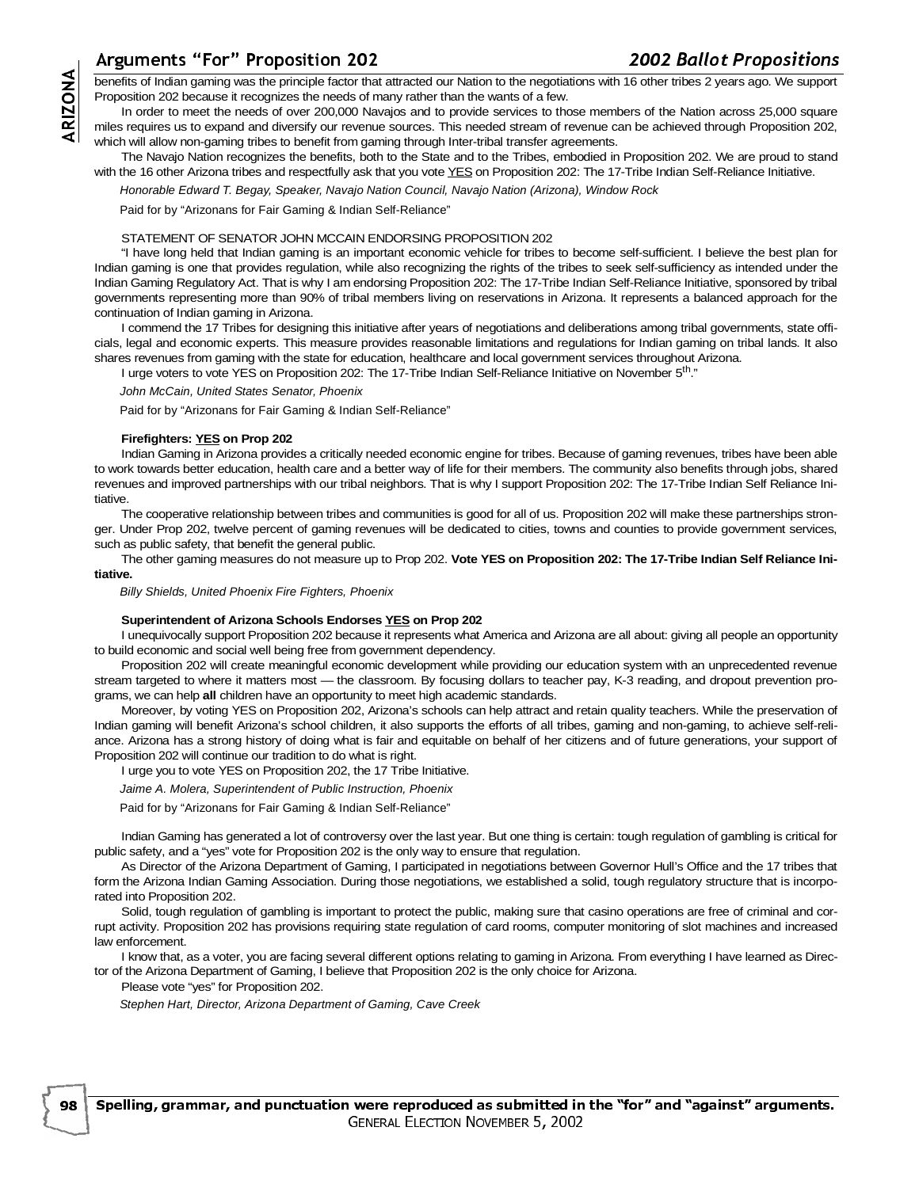# guments "For" Proposition 202

 -- 

 benefits of Indian gaming was the principle factor that attracted our Nation to the negotiations with 16 other tribes 2 years ago. We support Proposition 202 because it recognizes the needs of many rather than the wants of a few.

Ar<br>
ben<br>
Prop<br>
mile<br>
with<br>
with<br>
with<br>
lndi<br>
lndi<br>
lndi In order to meet the needs of over 200,000 Navajos and to provide services to those members of the Nation across 25,000 square miles requires us to expand and diversify our revenue sources. This needed stream of revenue can be achieved through Proposition 202, which will allow non-gaming tribes to benefit from gaming through Inter-tribal transfer agreements.

The Navajo Nation recognizes the benefits, both to the State and to the Tribes, embodied in Proposition 202. We are proud to stand with the 16 other Arizona tribes and respectfully ask that you vote YES on Proposition 202: The 17-Tribe Indian Self-Reliance Initiative.

Honorable Edward T. Begay, Speaker, Navajo Nation Council, Navajo Nation (Arizona), Window Rock

Paid for by "Arizonans for Fair Gaming & Indian Self-Reliance"

#### STATEMENT OF SENATOR JOHN MCCAIN ENDORSING PROPOSITION 202

"I have long held that Indian gaming is an important economic vehicle for tribes to become self-sufficient. I believe the best plan for Indian gaming is one that provides regulation, while also recognizing the rights of the tribes to seek self-sufficiency as intended under the Indian Gaming Regulatory Act. That is why I am endorsing Proposition 202: The 17-Tribe Indian Self-Reliance Initiative, sponsored by tribal governments representing more than 90% of tribal members living on reservations in Arizona. It represents a balanced approach for the continuation of Indian gaming in Arizona.

I commend the 17 Tribes for designing this initiative after years of negotiations and deliberations among tribal governments, state officials, legal and economic experts. This measure provides reasonable limitations and regulations for Indian gaming on tribal lands. It also shares revenues from gaming with the state for education, healthcare and local government services throughout Arizona.

I urge voters to vote YES on Proposition 202: The 17-Tribe Indian Self-Reliance Initiative on November 5th."

John McCain, United States Senator, Phoenix

Paid for by "Arizonans for Fair Gaming & Indian Self-Reliance"

#### **Firefighters: YES on Prop 202**

Indian Gaming in Arizona provides a critically needed economic engine for tribes. Because of gaming revenues, tribes have been able to work towards better education, health care and a better way of life for their members. The community also benefits through jobs, shared revenues and improved partnerships with our tribal neighbors. That is why I support Proposition 202: The 17-Tribe Indian Self Reliance Initiative.

The cooperative relationship between tribes and communities is good for all of us. Proposition 202 will make these partnerships stronger. Under Prop 202, twelve percent of gaming revenues will be dedicated to cities, towns and counties to provide government services, such as public safety, that benefit the general public.

The other gaming measures do not measure up to Prop 202. **Vote YES on Proposition 202: The 17-Tribe Indian Self Reliance Initiative.**

Billy Shields, United Phoenix Fire Fighters, Phoenix

### **Superintendent of Arizona Schools Endorses YES on Prop 202**

I unequivocally support Proposition 202 because it represents what America and Arizona are all about: giving all people an opportunity to build economic and social well being free from government dependency.

Proposition 202 will create meaningful economic development while providing our education system with an unprecedented revenue stream targeted to where it matters most — the classroom. By focusing dollars to teacher pay, K-3 reading, and dropout prevention programs, we can help **all** children have an opportunity to meet high academic standards.

Moreover, by voting YES on Proposition 202, Arizona's schools can help attract and retain quality teachers. While the preservation of Indian gaming will benefit Arizona's school children, it also supports the efforts of all tribes, gaming and non-gaming, to achieve self-reliance. Arizona has a strong history of doing what is fair and equitable on behalf of her citizens and of future generations, your support of Proposition 202 will continue our tradition to do what is right.

I urge you to vote YES on Proposition 202, the 17 Tribe Initiative.

Jaime A. Molera, Superintendent of Public Instruction, Phoenix

Paid for by "Arizonans for Fair Gaming & Indian Self-Reliance"

Indian Gaming has generated a lot of controversy over the last year. But one thing is certain: tough regulation of gambling is critical for public safety, and a "yes" vote for Proposition 202 is the only way to ensure that regulation.

As Director of the Arizona Department of Gaming, I participated in negotiations between Governor Hull's Office and the 17 tribes that form the Arizona Indian Gaming Association. During those negotiations, we established a solid, tough regulatory structure that is incorporated into Proposition 202.

Solid, tough regulation of gambling is important to protect the public, making sure that casino operations are free of criminal and corrupt activity. Proposition 202 has provisions requiring state regulation of card rooms, computer monitoring of slot machines and increased law enforcement.

I know that, as a voter, you are facing several different options relating to gaming in Arizona. From everything I have learned as Director of the Arizona Department of Gaming, I believe that Proposition 202 is the only choice for Arizona.

Please vote "yes" for Proposition 202.

98

Stephen Hart, Director, Arizona Department of Gaming, Cave Creek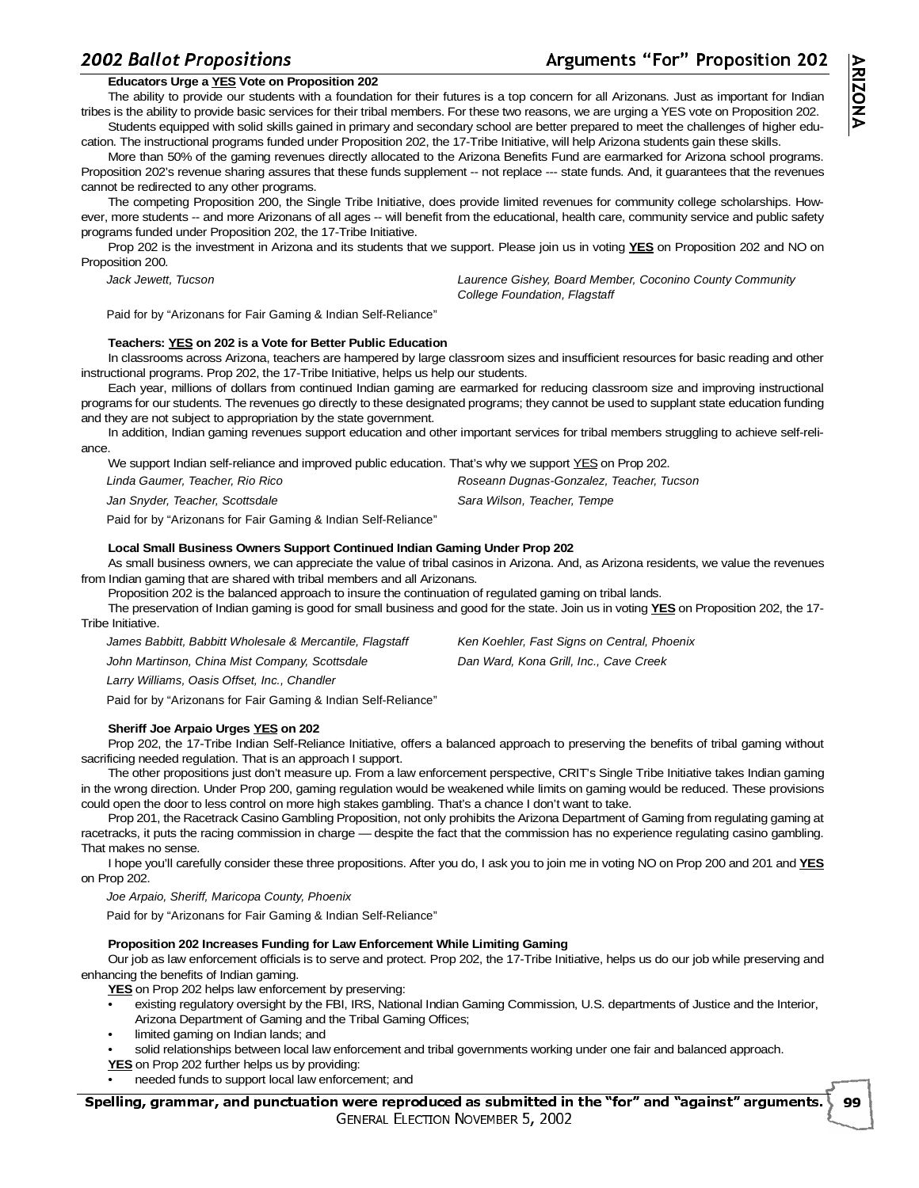# **Educators Urge a YES Vote on Proposition 202**

The ability to provide our students with a foundation for their futures is a top concern for all Arizonans. Just as important for Indian tribes is the ability to provide basic services for their tribal members. For these two reasons, we are urging a YES vote on Proposition 202. Students equipped with solid skills gained in primary and secondary school are better prepared to meet the challenges of higher edu-

cation. The instructional programs funded under Proposition 202, the 17-Tribe Initiative, will help Arizona students gain these skills. More than 50% of the gaming revenues directly allocated to the Arizona Benefits Fund are earmarked for Arizona school programs. Proposition 202's revenue sharing assures that these funds supplement -- not replace --- state funds. And, it guarantees that the revenues cannot be redirected to any other programs.

The competing Proposition 200, the Single Tribe Initiative, does provide limited revenues for community college scholarships. However, more students -- and more Arizonans of all ages -- will benefit from the educational, health care, community service and public safety programs funded under Proposition 202, the 17-Tribe Initiative.

Prop 202 is the investment in Arizona and its students that we support. Please join us in voting **YES** on Proposition 202 and NO on Proposition 200.

| Jack Jewett, Tucson | Laurence Gishey, Board Member, Coconino County Community |
|---------------------|----------------------------------------------------------|
|                     | College Foundation, Flagstaff                            |

Paid for by "Arizonans for Fair Gaming & Indian Self-Reliance"

### **Teachers: YES on 202 is a Vote for Better Public Education**

In classrooms across Arizona, teachers are hampered by large classroom sizes and insufficient resources for basic reading and other instructional programs. Prop 202, the 17-Tribe Initiative, helps us help our students.

Each year, millions of dollars from continued Indian gaming are earmarked for reducing classroom size and improving instructional programs for our students. The revenues go directly to these designated programs; they cannot be used to supplant state education funding and they are not subject to appropriation by the state government.

In addition, Indian gaming revenues support education and other important services for tribal members struggling to achieve self-reliance.

| We support Indian self-reliance and improved public education. That's why we support YES on Prop 202. |                                          |
|-------------------------------------------------------------------------------------------------------|------------------------------------------|
| Linda Gaumer. Teacher. Rio Rico                                                                       | Roseann Dugnas-Gonzalez, Teacher, Tucson |
| Jan Snyder, Teacher, Scottsdale                                                                       | Sara Wilson, Teacher, Tempe              |

Paid for by "Arizonans for Fair Gaming & Indian Self-Reliance"

#### **Local Small Business Owners Support Continued Indian Gaming Under Prop 202**

As small business owners, we can appreciate the value of tribal casinos in Arizona. And, as Arizona residents, we value the revenues from Indian gaming that are shared with tribal members and all Arizonans.

Proposition 202 is the balanced approach to insure the continuation of regulated gaming on tribal lands.

The preservation of Indian gaming is good for small business and good for the state. Join us in voting **YES** on Proposition 202, the 17- Tribe Initiative.

| James Babbitt, Babbitt Wholesale & Mercantile, Flagstaff | Ken Koehler, Fast Signs on Central, Phoenix |
|----------------------------------------------------------|---------------------------------------------|
| John Martinson, China Mist Company, Scottsdale           | Dan Ward, Kona Grill, Inc., Cave Creek      |
| Larry Williams, Oasis Offset, Inc., Chandler             |                                             |

Paid for by "Arizonans for Fair Gaming & Indian Self-Reliance"

### **Sheriff Joe Arpaio Urges YES on 202**

Prop 202, the 17-Tribe Indian Self-Reliance Initiative, offers a balanced approach to preserving the benefits of tribal gaming without sacrificing needed regulation. That is an approach I support.

The other propositions just don't measure up. From a law enforcement perspective, CRIT's Single Tribe Initiative takes Indian gaming in the wrong direction. Under Prop 200, gaming regulation would be weakened while limits on gaming would be reduced. These provisions could open the door to less control on more high stakes gambling. That's a chance I don't want to take.

Prop 201, the Racetrack Casino Gambling Proposition, not only prohibits the Arizona Department of Gaming from regulating gaming at racetracks, it puts the racing commission in charge — despite the fact that the commission has no experience regulating casino gambling. That makes no sense.

I hope you'll carefully consider these three propositions. After you do, I ask you to join me in voting NO on Prop 200 and 201 and **YES** on Prop 202.

Joe Arpaio, Sheriff, Maricopa County, Phoenix

Paid for by "Arizonans for Fair Gaming & Indian Self-Reliance"

### **Proposition 202 Increases Funding for Law Enforcement While Limiting Gaming**

Our job as law enforcement officials is to serve and protect. Prop 202, the 17-Tribe Initiative, helps us do our job while preserving and enhancing the benefits of Indian gaming.

**YES** on Prop 202 helps law enforcement by preserving:

- existing regulatory oversight by the FBI, IRS, National Indian Gaming Commission, U.S. departments of Justice and the Interior,
- Arizona Department of Gaming and the Tribal Gaming Offices;
- limited gaming on Indian lands; and
- solid relationships between local law enforcement and tribal governments working under one fair and balanced approach.
- **YES** on Prop 202 further helps us by providing:
- needed funds to support local law enforcement; and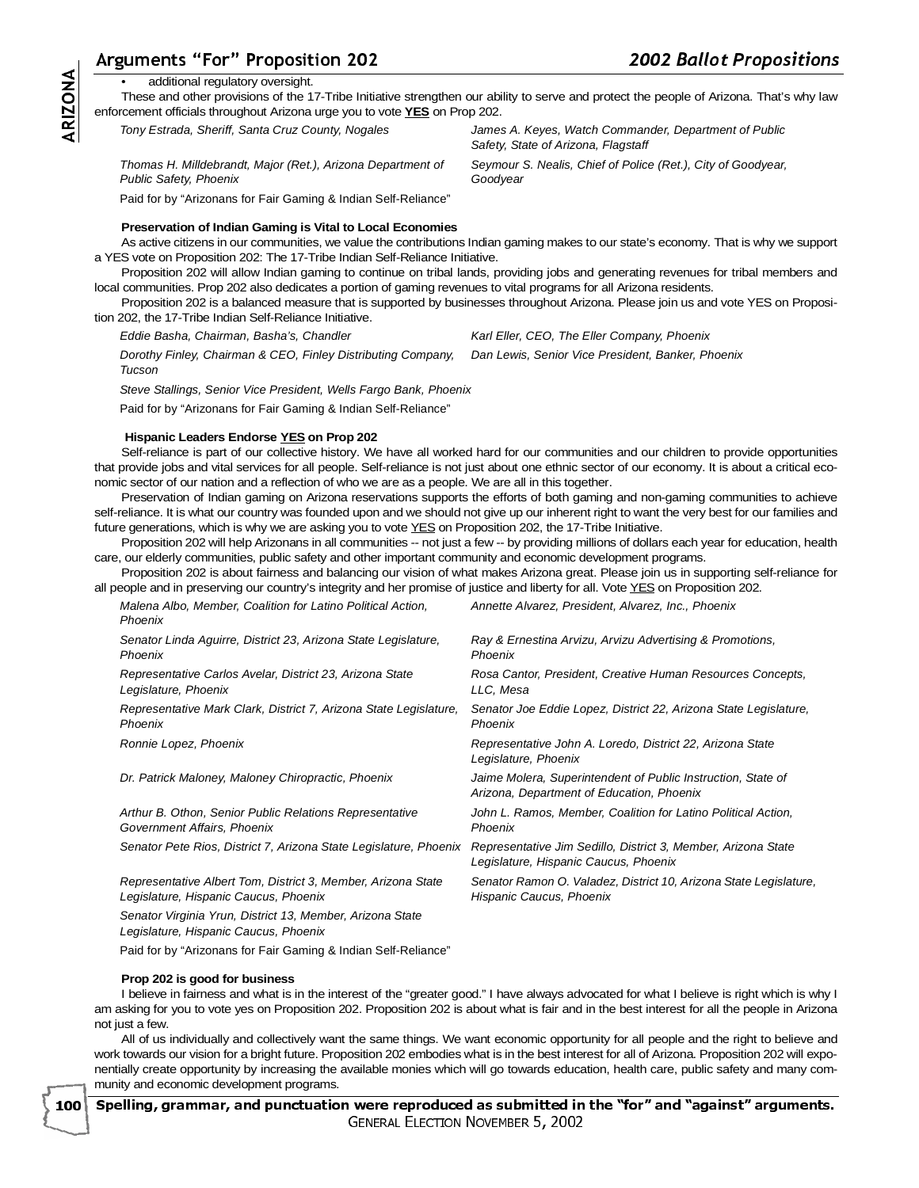# guments "For" Proposition 202

## additional regulatory oversight.

These and other provisions of the 17-Tribe Initiative strengthen our ability to serve and protect the people of Arizona. That's why law enforcement officials throughout Arizona urge you to vote **YES** on Prop 202.

**Goodyear** 

Tony Estrada, Sheriff, Santa Cruz County, Nogales James A. Keyes, Watch Commander, Department of Public

Thomas H. Milldebrandt, Major (Ret.), Arizona Department of Public Safety, Phoenix

Paid for by "Arizonans for Fair Gaming & Indian Self-Reliance"

### **Preservation of Indian Gaming is Vital to Local Economies**

 $\frac{\text{Ar}}{\text{enfc}}$ <br>a Yl As active citizens in our communities, we value the contributions Indian gaming makes to our state's economy. That is why we support a YES vote on Proposition 202: The 17-Tribe Indian Self-Reliance Initiative.

Proposition 202 will allow Indian gaming to continue on tribal lands, providing jobs and generating revenues for tribal members and local communities. Prop 202 also dedicates a portion of gaming revenues to vital programs for all Arizona residents.

Proposition 202 is a balanced measure that is supported by businesses throughout Arizona. Please join us and vote YES on Proposition 202, the 17-Tribe Indian Self-Reliance Initiative.

Eddie Basha, Chairman, Basha's, Chandler Karl Eller, CEO, The Eller Company, Phoenix

Safety, State of Arizona, Flagstaff

Seymour S. Nealis, Chief of Police (Ret.), City of Goodyear,

Dorothy Finley, Chairman & CEO, Finley Distributing Company, Tucson Dan Lewis, Senior Vice President, Banker, Phoenix

Steve Stallings, Senior Vice President, Wells Fargo Bank, Phoenix

Paid for by "Arizonans for Fair Gaming & Indian Self-Reliance"

### **Hispanic Leaders Endorse YES on Prop 202**

Self-reliance is part of our collective history. We have all worked hard for our communities and our children to provide opportunities that provide jobs and vital services for all people. Self-reliance is not just about one ethnic sector of our economy. It is about a critical economic sector of our nation and a reflection of who we are as a people. We are all in this together.

Preservation of Indian gaming on Arizona reservations supports the efforts of both gaming and non-gaming communities to achieve self-reliance. It is what our country was founded upon and we should not give up our inherent right to want the very best for our families and future generations, which is why we are asking you to vote YES on Proposition 202, the 17-Tribe Initiative.

Proposition 202 will help Arizonans in all communities -- not just a few -- by providing millions of dollars each year for education, health care, our elderly communities, public safety and other important community and economic development programs.

Proposition 202 is about fairness and balancing our vision of what makes Arizona great. Please join us in supporting self-reliance for all people and in preserving our country's integrity and her promise of justice and liberty for all. Vote YES on Proposition 202.

| Malena Albo, Member, Coalition for Latino Political Action,<br>Phoenix                                | Annette Alvarez, President, Alvarez, Inc., Phoenix                                                        |
|-------------------------------------------------------------------------------------------------------|-----------------------------------------------------------------------------------------------------------|
| Senator Linda Aguirre, District 23, Arizona State Legislature,<br>Phoenix                             | Ray & Ernestina Arvizu, Arvizu Advertising & Promotions,<br>Phoenix                                       |
| Representative Carlos Avelar, District 23, Arizona State<br>Legislature, Phoenix                      | Rosa Cantor, President, Creative Human Resources Concepts,<br>LLC, Mesa                                   |
| Representative Mark Clark, District 7, Arizona State Legislature,<br>Phoenix                          | Senator Joe Eddie Lopez, District 22, Arizona State Legislature,<br>Phoenix                               |
| Ronnie Lopez, Phoenix                                                                                 | Representative John A. Loredo, District 22, Arizona State<br>Legislature, Phoenix                         |
| Dr. Patrick Maloney, Maloney Chiropractic, Phoenix                                                    | Jaime Molera, Superintendent of Public Instruction, State of<br>Arizona, Department of Education, Phoenix |
| Arthur B. Othon, Senior Public Relations Representative<br>Government Affairs, Phoenix                | John L. Ramos, Member, Coalition for Latino Political Action,<br>Phoenix                                  |
| Senator Pete Rios, District 7, Arizona State Legislature, Phoenix                                     | Representative Jim Sedillo, District 3, Member, Arizona State<br>Legislature, Hispanic Caucus, Phoenix    |
| Representative Albert Tom, District 3, Member, Arizona State<br>Legislature, Hispanic Caucus, Phoenix | Senator Ramon O. Valadez, District 10, Arizona State Legislature,<br>Hispanic Caucus, Phoenix             |
| Senator Virginia Yrun, District 13, Member, Arizona State<br>Legislature, Hispanic Caucus, Phoenix    |                                                                                                           |
| Paid for by "Arizonans for Fair Gaming & Indian Self-Reliance"                                        |                                                                                                           |

### **Prop 202 is good for business**

I believe in fairness and what is in the interest of the "greater good." I have always advocated for what I believe is right which is why I am asking for you to vote yes on Proposition 202. Proposition 202 is about what is fair and in the best interest for all the people in Arizona not just a few.

All of us individually and collectively want the same things. We want economic opportunity for all people and the right to believe and work towards our vision for a bright future. Proposition 202 embodies what is in the best interest for all of Arizona. Proposition 202 will exponentially create opportunity by increasing the available monies which will go towards education, health care, public safety and many community and economic development programs.

Spelling, grammar, and punctuation were reproduced as submitted in the "for" and "against" arguments. --ELLET LON  $\frac{1}{2}$  $\overline{\phantom{a}}$ -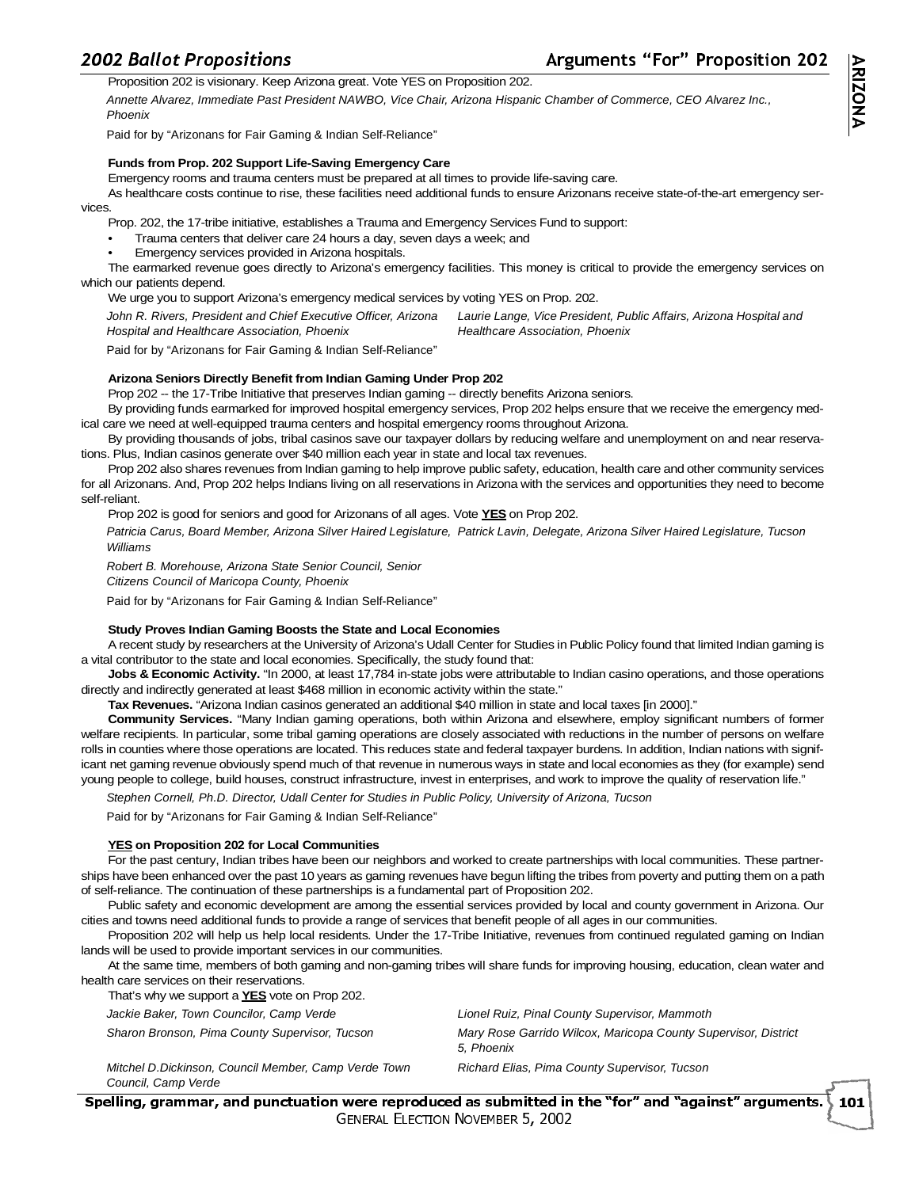# $\frac{200}{1}$

12 Ballot Propositions<br>Proposition 202 is visionary. Keep Arizona great. Vote YES on Proposition 202.

Annette Alvarez, Immediate Past President NAWBO, Vice Chair, Arizona Hispanic Chamber of Commerce, CEO Alvarez Inc., Phoenix

Paid for by "Arizonans for Fair Gaming & Indian Self-Reliance"

### **Funds from Prop. 202 Support Life-Saving Emergency Care**

Emergency rooms and trauma centers must be prepared at all times to provide life-saving care.

As healthcare costs continue to rise, these facilities need additional funds to ensure Arizonans receive state-of-the-art emergency services.

Prop. 202, the 17-tribe initiative, establishes a Trauma and Emergency Services Fund to support:

• Trauma centers that deliver care 24 hours a day, seven days a week; and

• Emergency services provided in Arizona hospitals.

The earmarked revenue goes directly to Arizona's emergency facilities. This money is critical to provide the emergency services on which our patients depend.

We urge you to support Arizona's emergency medical services by voting YES on Prop. 202.

John R. Rivers, President and Chief Executive Officer, Arizona Hospital and Healthcare Association, Phoenix Laurie Lange, Vice President, Public Affairs, Arizona Hospital and Healthcare Association, Phoenix

Paid for by "Arizonans for Fair Gaming & Indian Self-Reliance"

### **Arizona Seniors Directly Benefit from Indian Gaming Under Prop 202**

Prop 202 -- the 17-Tribe Initiative that preserves Indian gaming -- directly benefits Arizona seniors.

By providing funds earmarked for improved hospital emergency services, Prop 202 helps ensure that we receive the emergency medical care we need at well-equipped trauma centers and hospital emergency rooms throughout Arizona.

By providing thousands of jobs, tribal casinos save our taxpayer dollars by reducing welfare and unemployment on and near reservations. Plus, Indian casinos generate over \$40 million each year in state and local tax revenues.

Prop 202 also shares revenues from Indian gaming to help improve public safety, education, health care and other community services for all Arizonans. And, Prop 202 helps Indians living on all reservations in Arizona with the services and opportunities they need to become self-reliant.

Prop 202 is good for seniors and good for Arizonans of all ages. Vote **YES** on Prop 202.

Patricia Carus, Board Member, Arizona Silver Haired Legislature, Patrick Lavin, Delegate, Arizona Silver Haired Legislature, Tucson Williams

Robert B. Morehouse, Arizona State Senior Council, Senior Citizens Council of Maricopa County, Phoenix

Paid for by "Arizonans for Fair Gaming & Indian Self-Reliance"

### **Study Proves Indian Gaming Boosts the State and Local Economies**

A recent study by researchers at the University of Arizona's Udall Center for Studies in Public Policy found that limited Indian gaming is a vital contributor to the state and local economies. Specifically, the study found that:

**Jobs & Economic Activity.** "In 2000, at least 17,784 in-state jobs were attributable to Indian casino operations, and those operations directly and indirectly generated at least \$468 million in economic activity within the state."

**Tax Revenues.** "Arizona Indian casinos generated an additional \$40 million in state and local taxes [in 2000]."

**Community Services.** "Many Indian gaming operations, both within Arizona and elsewhere, employ significant numbers of former welfare recipients. In particular, some tribal gaming operations are closely associated with reductions in the number of persons on welfare rolls in counties where those operations are located. This reduces state and federal taxpayer burdens. In addition, Indian nations with significant net gaming revenue obviously spend much of that revenue in numerous ways in state and local economies as they (for example) send young people to college, build houses, construct infrastructure, invest in enterprises, and work to improve the quality of reservation life."

Stephen Cornell, Ph.D. Director, Udall Center for Studies in Public Policy, University of Arizona, Tucson

Paid for by "Arizonans for Fair Gaming & Indian Self-Reliance"

### **YES on Proposition 202 for Local Communities**

For the past century, Indian tribes have been our neighbors and worked to create partnerships with local communities. These partnerships have been enhanced over the past 10 years as gaming revenues have begun lifting the tribes from poverty and putting them on a path of self-reliance. The continuation of these partnerships is a fundamental part of Proposition 202.

Public safety and economic development are among the essential services provided by local and county government in Arizona. Our cities and towns need additional funds to provide a range of services that benefit people of all ages in our communities.

Proposition 202 will help us help local residents. Under the 17-Tribe Initiative, revenues from continued regulated gaming on Indian lands will be used to provide important services in our communities.

At the same time, members of both gaming and non-gaming tribes will share funds for improving housing, education, clean water and health care services on their reservations.

| That's why we support a YES vote on Prop 202.                                |                                                                              |
|------------------------------------------------------------------------------|------------------------------------------------------------------------------|
| Jackie Baker, Town Councilor, Camp Verde                                     | Lionel Ruiz, Pinal County Supervisor, Mammoth                                |
| Sharon Bronson, Pima County Supervisor, Tucson                               | Mary Rose Garrido Wilcox, Maricopa County Supervisor, District<br>5. Phoenix |
| Mitchel D. Dickinson, Council Member, Camp Verde Town<br>Council, Camp Verde | Richard Elias, Pima County Supervisor, Tucson                                |

Spelling, grammar, and punctuation were reproduced as submitted in the "for" and "against" arguments. --ELLUI ON **HOVERIDER** ST 2002  $\overline{a}$ - $\backslash$  101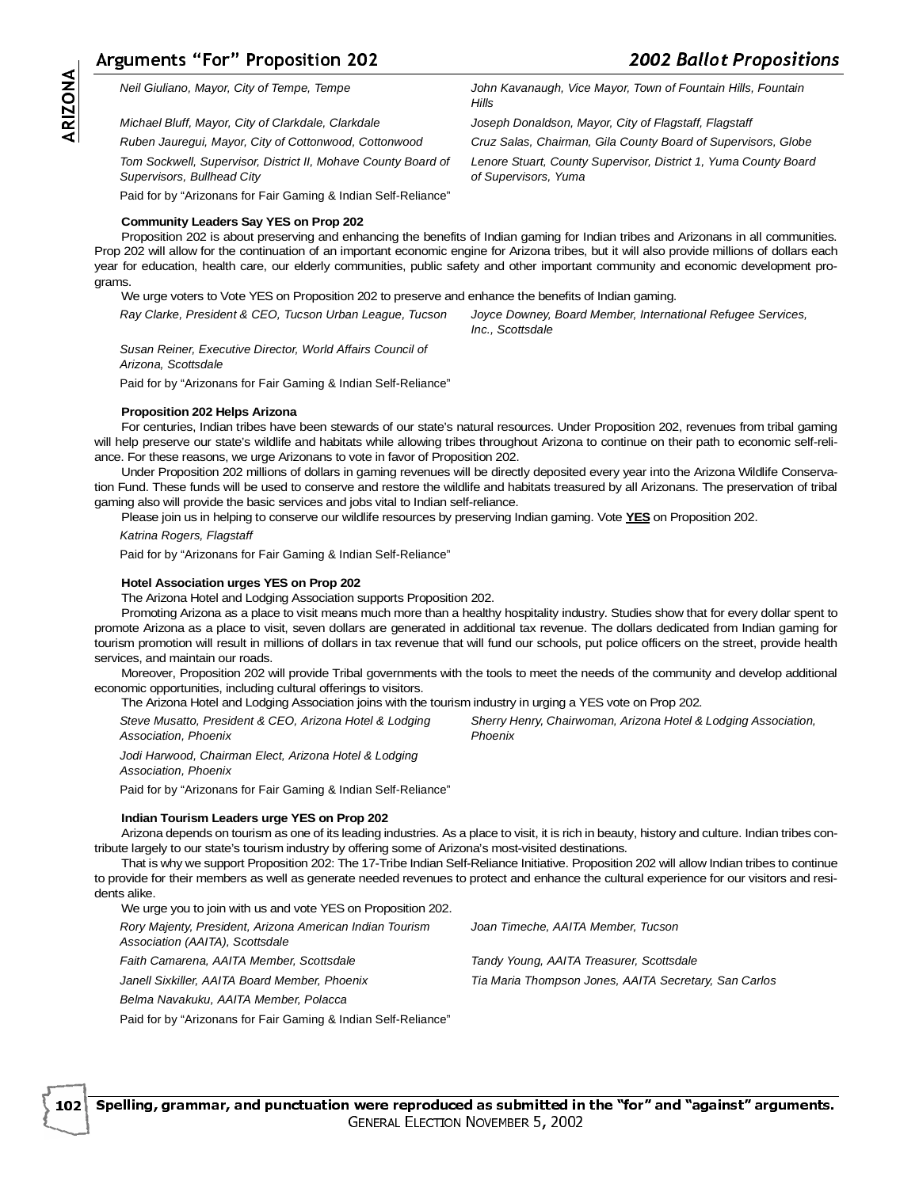**ARIZONA**  $\begin{bmatrix} 1 \\ 2 \end{bmatrix}$  $\frac{1}{2}$  

Neil Giuliano, Mayor, City of Tempe, Tempe John Kavanaugh, Vice Mayor, Town of Fountain Hills, Fountain

Michael Bluff, Mayor, City of Clarkdale, Clarkdale Joseph Donaldson, Mayor, City of Flagstaff, Flagstaff

Ruben Jauregui, Mayor, City of Cottonwood, Cottonwood Cruz Salas, Chairman, Gila County Board of Supervisors, Globe

Tom Sockwell, Supervisor, District II, Mohave County Board of Supervisors, Bullhead City

Paid for by "Arizonans for Fair Gaming & Indian Self-Reliance"

### **Community Leaders Say YES on Prop 202**

 $\begin{array}{c}\n \begin{array}{c}\n \text{Ar} \\
 \hline\n \end{array}\n \end{array}$ Proposition 202 is about preserving and enhancing the benefits of Indian gaming for Indian tribes and Arizonans in all communities. Prop 202 will allow for the continuation of an important economic engine for Arizona tribes, but it will also provide millions of dollars each year for education, health care, our elderly communities, public safety and other important community and economic development programs.

**Hills** 

of Supervisors, Yuma

We urge voters to Vote YES on Proposition 202 to preserve and enhance the benefits of Indian gaming.

Ray Clarke, President & CEO, Tucson Urban League, Tucson Joyce Downey, Board Member, International Refugee Services, Inc., Scottsdale

Lenore Stuart, County Supervisor, District 1, Yuma County Board

Susan Reiner, Executive Director, World Affairs Council of Arizona, Scottsdale

Paid for by "Arizonans for Fair Gaming & Indian Self-Reliance"

### **Proposition 202 Helps Arizona**

For centuries, Indian tribes have been stewards of our state's natural resources. Under Proposition 202, revenues from tribal gaming will help preserve our state's wildlife and habitats while allowing tribes throughout Arizona to continue on their path to economic self-reliance. For these reasons, we urge Arizonans to vote in favor of Proposition 202.

Under Proposition 202 millions of dollars in gaming revenues will be directly deposited every year into the Arizona Wildlife Conservation Fund. These funds will be used to conserve and restore the wildlife and habitats treasured by all Arizonans. The preservation of tribal gaming also will provide the basic services and jobs vital to Indian self-reliance.

Please join us in helping to conserve our wildlife resources by preserving Indian gaming. Vote **YES** on Proposition 202.

Katrina Rogers, Flagstaff

Paid for by "Arizonans for Fair Gaming & Indian Self-Reliance"

### **Hotel Association urges YES on Prop 202**

The Arizona Hotel and Lodging Association supports Proposition 202.

Promoting Arizona as a place to visit means much more than a healthy hospitality industry. Studies show that for every dollar spent to promote Arizona as a place to visit, seven dollars are generated in additional tax revenue. The dollars dedicated from Indian gaming for tourism promotion will result in millions of dollars in tax revenue that will fund our schools, put police officers on the street, provide health services, and maintain our roads.

Moreover, Proposition 202 will provide Tribal governments with the tools to meet the needs of the community and develop additional economic opportunities, including cultural offerings to visitors.

The Arizona Hotel and Lodging Association joins with the tourism industry in urging a YES vote on Prop 202.

Steve Musatto, President & CEO, Arizona Hotel & Lodging Association, Phoenix

Sherry Henry, Chairwoman, Arizona Hotel & Lodging Association, Phoenix

Jodi Harwood, Chairman Elect, Arizona Hotel & Lodging Association, Phoenix

Paid for by "Arizonans for Fair Gaming & Indian Self-Reliance"

### **Indian Tourism Leaders urge YES on Prop 202**

Arizona depends on tourism as one of its leading industries. As a place to visit, it is rich in beauty, history and culture. Indian tribes contribute largely to our state's tourism industry by offering some of Arizona's most-visited destinations.

That is why we support Proposition 202: The 17-Tribe Indian Self-Reliance Initiative. Proposition 202 will allow Indian tribes to continue to provide for their members as well as generate needed revenues to protect and enhance the cultural experience for our visitors and residents alike.

We urge you to join with us and vote YES on Proposition 202.

Rory Majenty, President, Arizona American Indian Tourism

Association (AAITA), Scottsdale

Faith Camarena, AAITA Member, Scottsdale Tandy Young, AAITA Treasurer, Scottsdale

Janell Sixkiller, AAITA Board Member, Phoenix Tia Maria Thompson Jones, AAITA Secretary, San Carlos

Belma Navakuku, AAITA Member, Polacca

Paid for by "Arizonans for Fair Gaming & Indian Self-Reliance"

--

ELLET LON

Spelling, grammar, and punctuation were reproduced as submitted in the "for" and "against" arguments.

 $\overline{\phantom{a}}$ 

-

 $\frac{1}{2}$ 

Joan Timeche, AAITA Member, Tucson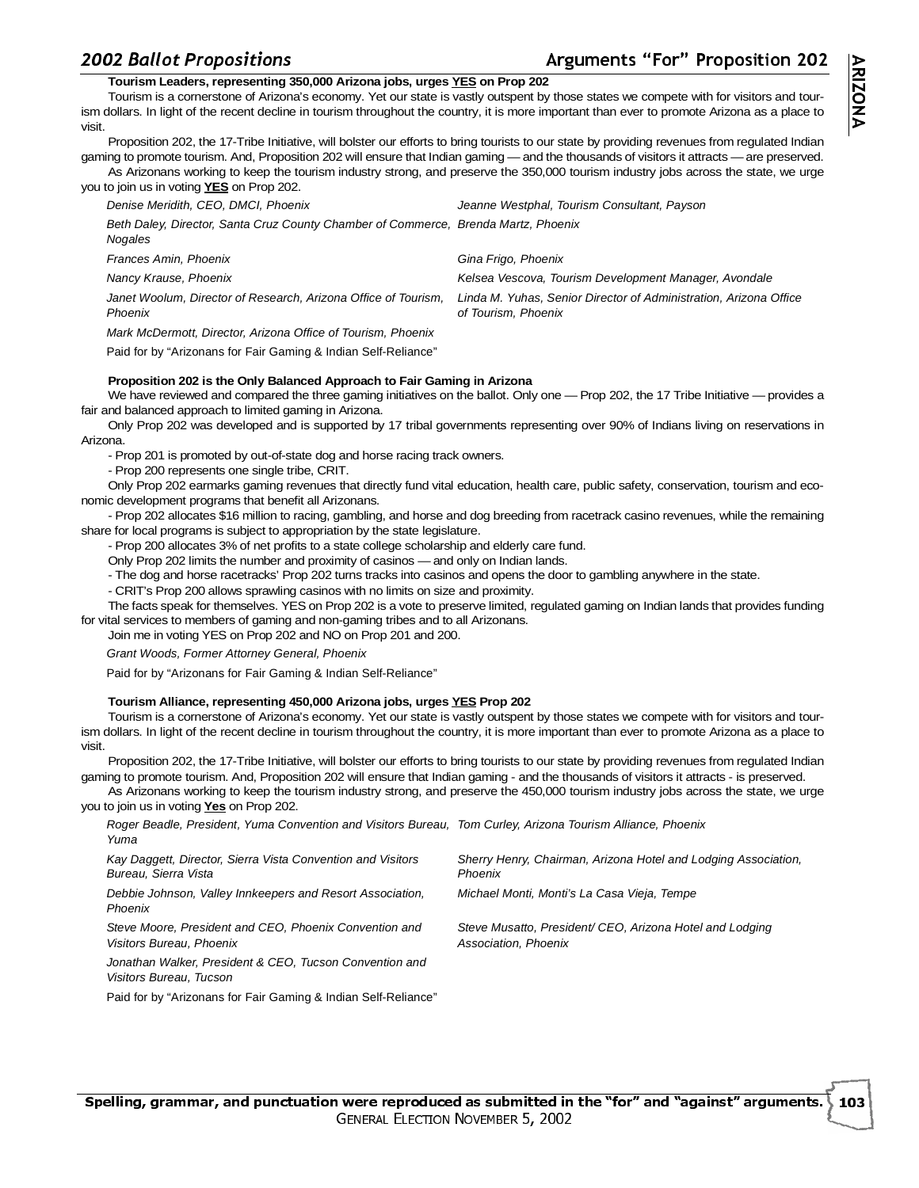# guments "For" Proposition 202

# -**Tourism Leaders, representing 350,000 Arizona jobs, urges YES on Prop 202**

Tourism is a cornerstone of Arizona's economy. Yet our state is vastly outspent by those states we compete with for visitors and tourism dollars. In light of the recent decline in tourism throughout the country, it is more important than ever to promote Arizona as a place to visit.

Proposition 202, the 17-Tribe Initiative, will bolster our efforts to bring tourists to our state by providing revenues from regulated Indian gaming to promote tourism. And, Proposition 202 will ensure that Indian gaming — and the thousands of visitors it attracts —are preserved. As Arizonans working to keep the tourism industry strong, and preserve the 350,000 tourism industry jobs across the state, we urge

| you to join us in voting <b>YES</b> on Prop 202.                                              |                                                                                          |
|-----------------------------------------------------------------------------------------------|------------------------------------------------------------------------------------------|
| Denise Meridith, CEO, DMCI, Phoenix                                                           | Jeanne Westphal, Tourism Consultant, Payson                                              |
| Beth Daley, Director, Santa Cruz County Chamber of Commerce, Brenda Martz, Phoenix<br>Nogales |                                                                                          |
| Frances Amin, Phoenix                                                                         | Gina Frigo, Phoenix                                                                      |
| Nancy Krause, Phoenix                                                                         | Kelsea Vescova, Tourism Development Manager, Avondale                                    |
| Janet Woolum, Director of Research, Arizona Office of Tourism,<br>Phoenix                     | Linda M. Yuhas, Senior Director of Administration, Arizona Office<br>of Tourism. Phoenix |
| Mark McDermott, Director, Arizona Office of Tourism, Phoenix                                  |                                                                                          |
|                                                                                               |                                                                                          |

Paid for by "Arizonans for Fair Gaming & Indian Self-Reliance"

### **Proposition 202 is the Only Balanced Approach to Fair Gaming in Arizona**

We have reviewed and compared the three gaming initiatives on the ballot. Only one — Prop 202, the 17 Tribe Initiative — provides a fair and balanced approach to limited gaming in Arizona.

Only Prop 202 was developed and is supported by 17 tribal governments representing over 90% of Indians living on reservations in Arizona.

- Prop 201 is promoted by out-of-state dog and horse racing track owners.

- Prop 200 represents one single tribe, CRIT.

Only Prop 202 earmarks gaming revenues that directly fund vital education, health care, public safety, conservation, tourism and economic development programs that benefit all Arizonans.

- Prop 202 allocates \$16 million to racing, gambling, and horse and dog breeding from racetrack casino revenues, while the remaining share for local programs is subject to appropriation by the state legislature.

- Prop 200 allocates 3% of net profits to a state college scholarship and elderly care fund.

Only Prop 202 limits the number and proximity of casinos — and only on Indian lands.

- The dog and horse racetracks' Prop 202 turns tracks into casinos and opens the door to gambling anywhere in the state.

- CRIT's Prop 200 allows sprawling casinos with no limits on size and proximity.

The facts speak for themselves. YES on Prop 202 is a vote to preserve limited, regulated gaming on Indian lands that provides funding for vital services to members of gaming and non-gaming tribes and to all Arizonans.

Join me in voting YES on Prop 202 and NO on Prop 201 and 200.

Grant Woods, Former Attorney General, Phoenix

Paid for by "Arizonans for Fair Gaming & Indian Self-Reliance"

### **Tourism Alliance, representing 450,000 Arizona jobs, urges YES Prop 202**

Tourism is a cornerstone of Arizona's economy. Yet our state is vastly outspent by those states we compete with for visitors and tourism dollars. In light of the recent decline in tourism throughout the country, it is more important than ever to promote Arizona as a place to visit.

Proposition 202, the 17-Tribe Initiative, will bolster our efforts to bring tourists to our state by providing revenues from regulated Indian gaming to promote tourism. And, Proposition 202 will ensure that Indian gaming - and the thousands of visitors it attracts - is preserved.

As Arizonans working to keep the tourism industry strong, and preserve the 450,000 tourism industry jobs across the state, we urge you to join us in voting **Yes** on Prop 202.

| Roger Beadle, President, Yuma Convention and Visitors Bureau, Tom Curley, Arizona Tourism Alliance, Phoenix<br>Yuma |                                                                                 |
|---------------------------------------------------------------------------------------------------------------------|---------------------------------------------------------------------------------|
| Kay Daggett, Director, Sierra Vista Convention and Visitors<br>Bureau, Sierra Vista                                 | Sherry Henry, Chairman, Arizona Hotel and Lodging Association,<br>Phoenix       |
| Debbie Johnson, Valley Innkeepers and Resort Association,<br>Phoenix                                                | Michael Monti, Monti's La Casa Vieia, Tempe                                     |
| Steve Moore, President and CEO, Phoenix Convention and<br>Visitors Bureau, Phoenix                                  | Steve Musatto, President/CEO, Arizona Hotel and Lodging<br>Association, Phoenix |
| Jonathan Walker, President & CEO, Tucson Convention and<br>Visitors Bureau, Tucson                                  |                                                                                 |

Paid for by "Arizonans for Fair Gaming & Indian Self-Reliance"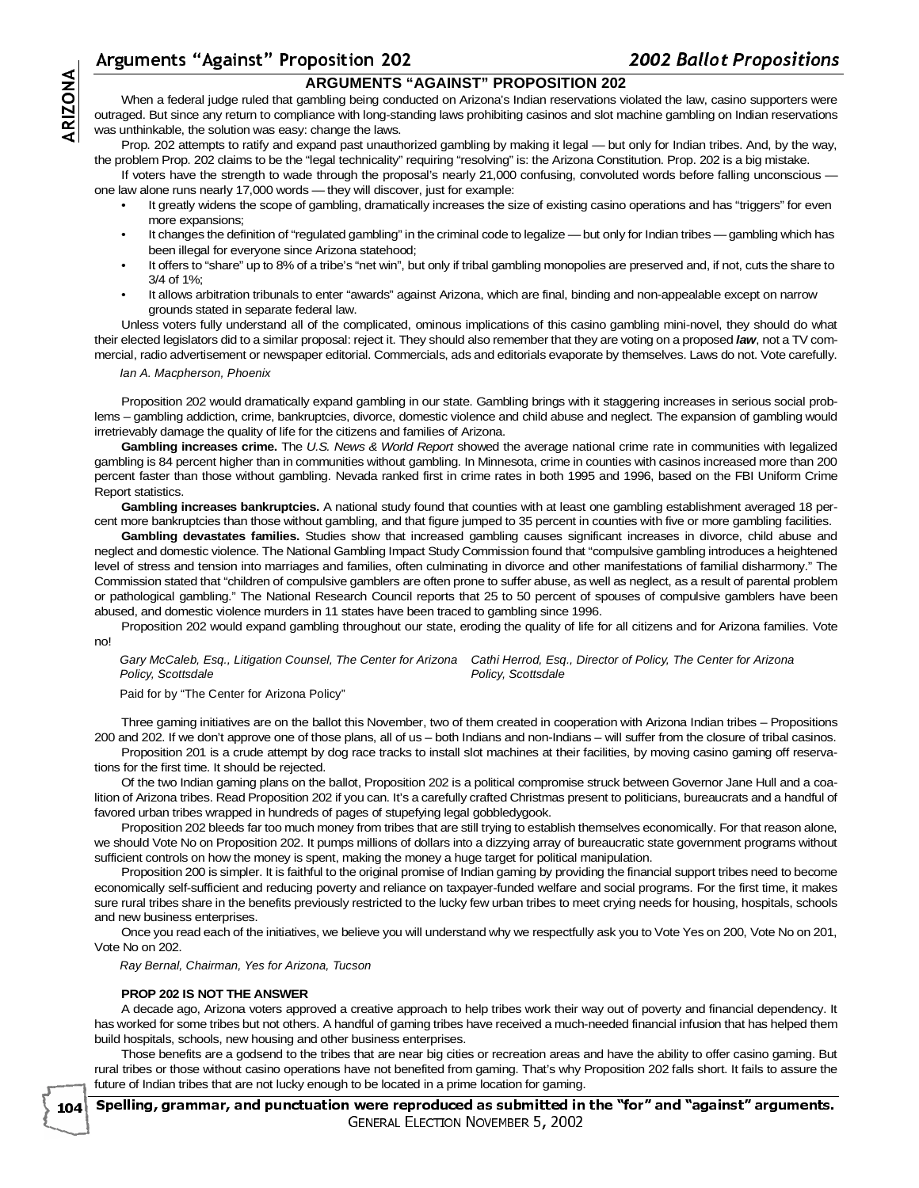# -**ARGUMENTS "AGAINST" PROPOSITION 202**

When a federal judge ruled that gambling being conducted on Arizona's Indian reservations violated the law, casino supporters were outraged. But since any return to compliance with long-standing laws prohibiting casinos and slot machine gambling on Indian reservations was unthinkable, the solution was easy: change the laws.

Ar<br>
outr<br>
outr<br>
was<br>
the<br>
one Prop. 202 attempts to ratify and expand past unauthorized gambling by making it legal — but only for Indian tribes. And, by the way, the problem Prop. 202 claims to be the "legal technicality" requiring "resolving" is: the Arizona Constitution. Prop. 202 is a big mistake.

If voters have the strength to wade through the proposal's nearly 21,000 confusing, convoluted words before falling unconscious one law alone runs nearly 17,000 words — they will discover, just for example:

- It greatly widens the scope of gambling, dramatically increases the size of existing casino operations and has "triggers" for even more expansions;
- It changes the definition of "regulated gambling" in the criminal code to legalize but only for Indian tribes gambling which has been illegal for everyone since Arizona statehood;
- It offers to "share" up to 8% of a tribe's "net win", but only if tribal gambling monopolies are preserved and, if not, cuts the share to 3/4 of 1%;
- It allows arbitration tribunals to enter "awards" against Arizona, which are final, binding and non-appealable except on narrow grounds stated in separate federal law.

Unless voters fully understand all of the complicated, ominous implications of this casino gambling mini-novel, they should do what their elected legislators did to a similar proposal: reject it. They should also remember that they are voting on a proposed **law**, not a TV commercial, radio advertisement or newspaper editorial. Commercials, ads and editorials evaporate by themselves. Laws do not. Vote carefully.

#### Ian A. Macpherson, Phoenix

Proposition 202 would dramatically expand gambling in our state. Gambling brings with it staggering increases in serious social problems – gambling addiction, crime, bankruptcies, divorce, domestic violence and child abuse and neglect. The expansion of gambling would irretrievably damage the quality of life for the citizens and families of Arizona.

**Gambling increases crime.** The U.S. News & World Report showed the average national crime rate in communities with legalized gambling is 84 percent higher than in communities without gambling. In Minnesota, crime in counties with casinos increased more than 200 percent faster than those without gambling. Nevada ranked first in crime rates in both 1995 and 1996, based on the FBI Uniform Crime Report statistics.

**Gambling increases bankruptcies.** A national study found that counties with at least one gambling establishment averaged 18 percent more bankruptcies than those without gambling, and that figure jumped to 35 percent in counties with five or more gambling facilities.

**Gambling devastates families.** Studies show that increased gambling causes significant increases in divorce, child abuse and neglect and domestic violence. The National Gambling Impact Study Commission found that "compulsive gambling introduces a heightened level of stress and tension into marriages and families, often culminating in divorce and other manifestations of familial disharmony." The Commission stated that "children of compulsive gamblers are often prone to suffer abuse, as well as neglect, as a result of parental problem or pathological gambling." The National Research Council reports that 25 to 50 percent of spouses of compulsive gamblers have been abused, and domestic violence murders in 11 states have been traced to gambling since 1996.

Proposition 202 would expand gambling throughout our state, eroding the quality of life for all citizens and for Arizona families. Vote no!

Gary McCaleb, Esq., Litigation Counsel, The Center for Arizona Cathi Herrod, Esq., Director of Policy, The Center for Arizona Policy, Scottsdale Policy, Scottsdale

#### Paid for by "The Center for Arizona Policy"

Three gaming initiatives are on the ballot this November, two of them created in cooperation with Arizona Indian tribes – Propositions 200 and 202. If we don't approve one of those plans, all of us – both Indians and non-Indians – will suffer from the closure of tribal casinos.

Proposition 201 is a crude attempt by dog race tracks to install slot machines at their facilities, by moving casino gaming off reservations for the first time. It should be rejected.

Of the two Indian gaming plans on the ballot, Proposition 202 is a political compromise struck between Governor Jane Hull and a coalition of Arizona tribes. Read Proposition 202 if you can. It's a carefully crafted Christmas present to politicians, bureaucrats and a handful of favored urban tribes wrapped in hundreds of pages of stupefying legal gobbledygook.

Proposition 202 bleeds far too much money from tribes that are still trying to establish themselves economically. For that reason alone, we should Vote No on Proposition 202. It pumps millions of dollars into a dizzying array of bureaucratic state government programs without sufficient controls on how the money is spent, making the money a huge target for political manipulation.

Proposition 200 is simpler. It is faithful to the original promise of Indian gaming by providing the financial support tribes need to become economically self-sufficient and reducing poverty and reliance on taxpayer-funded welfare and social programs. For the first time, it makes sure rural tribes share in the benefits previously restricted to the lucky few urban tribes to meet crying needs for housing, hospitals, schools and new business enterprises.

Once you read each of the initiatives, we believe you will understand why we respectfully ask you to Vote Yes on 200, Vote No on 201, Vote No on 202.

Ray Bernal, Chairman, Yes for Arizona, Tucson

### **PROP 202 IS NOT THE ANSWER**

104

A decade ago, Arizona voters approved a creative approach to help tribes work their way out of poverty and financial dependency. It has worked for some tribes but not others. A handful of gaming tribes have received a much-needed financial infusion that has helped them build hospitals, schools, new housing and other business enterprises.

Those benefits are a godsend to the tribes that are near big cities or recreation areas and have the ability to offer casino gaming. But rural tribes or those without casino operations have not benefited from gaming. That's why Proposition 202 falls short. It fails to assure the future of Indian tribes that are not lucky enough to be located in a prime location for gaming.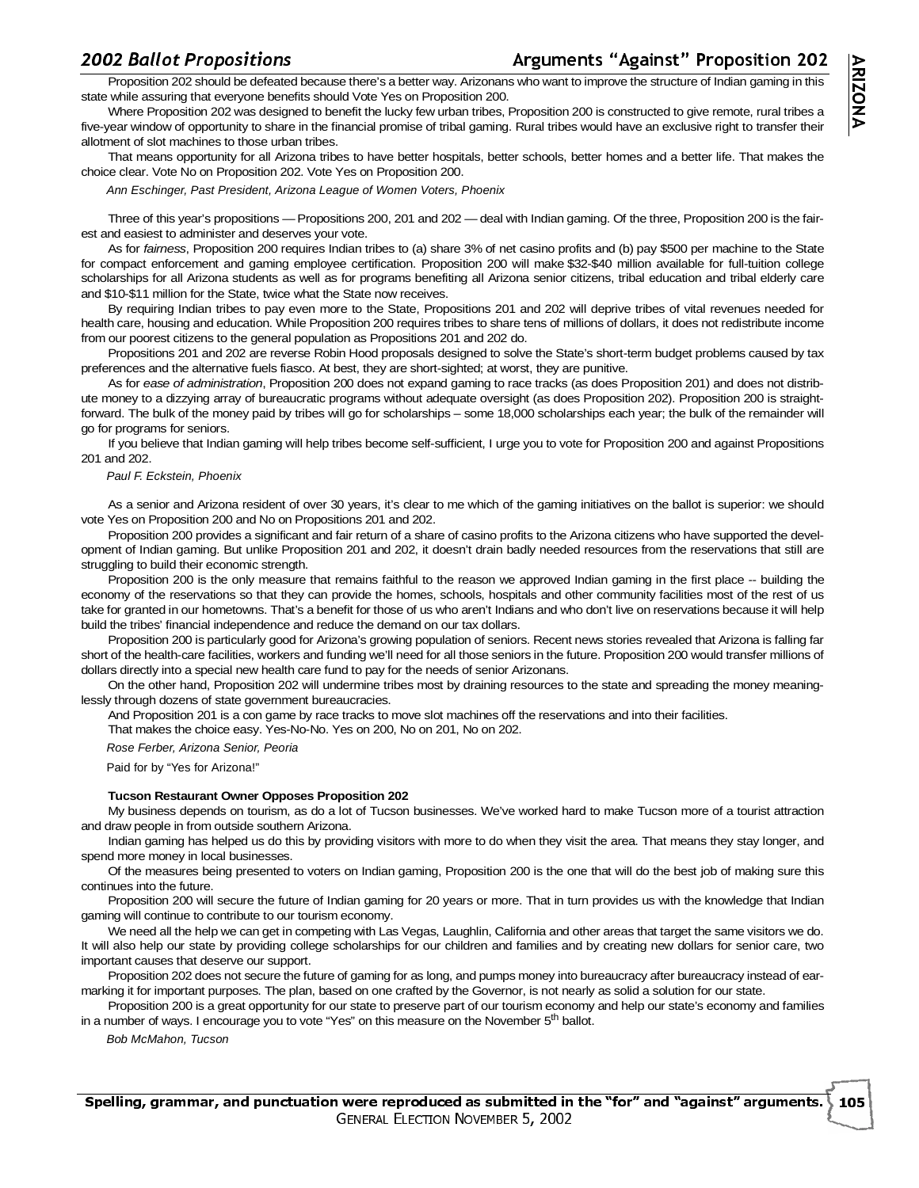# $\frac{200}{1}$

# guments "Against" Proposition 202

**ARIZON** 

১

12 Ballot Propositions<br>Proposition 202 should be defeated because there's a better way. Arizonans who want to improve the structure of Indian gaming in this state while assuring that everyone benefits should Vote Yes on Proposition 200.

Where Proposition 202 was designed to benefit the lucky few urban tribes, Proposition 200 is constructed to give remote, rural tribes a five-year window of opportunity to share in the financial promise of tribal gaming. Rural tribes would have an exclusive right to transfer their allotment of slot machines to those urban tribes.

That means opportunity for all Arizona tribes to have better hospitals, better schools, better homes and a better life. That makes the choice clear. Vote No on Proposition 202. Vote Yes on Proposition 200.

Ann Eschinger, Past President, Arizona League of Women Voters, Phoenix

Three of this year's propositions —Propositions 200, 201 and 202 — deal with Indian gaming. Of the three, Proposition 200 is the fairest and easiest to administer and deserves your vote.

As for fairness, Proposition 200 requires Indian tribes to (a) share 3% of net casino profits and (b) pay \$500 per machine to the State for compact enforcement and gaming employee certification. Proposition 200 will make \$32-\$40 million available for full-tuition college scholarships for all Arizona students as well as for programs benefiting all Arizona senior citizens, tribal education and tribal elderly care and \$10-\$11 million for the State, twice what the State now receives.

By requiring Indian tribes to pay even more to the State, Propositions 201 and 202 will deprive tribes of vital revenues needed for health care, housing and education. While Proposition 200 requires tribes to share tens of millions of dollars, it does not redistribute income from our poorest citizens to the general population as Propositions 201 and 202 do.

Propositions 201 and 202 are reverse Robin Hood proposals designed to solve the State's short-term budget problems caused by tax preferences and the alternative fuels fiasco. At best, they are short-sighted; at worst, they are punitive.

As for ease of administration, Proposition 200 does not expand gaming to race tracks (as does Proposition 201) and does not distribute money to a dizzying array of bureaucratic programs without adequate oversight (as does Proposition 202). Proposition 200 is straightforward. The bulk of the money paid by tribes will go for scholarships – some 18,000 scholarships each year; the bulk of the remainder will go for programs for seniors.

If you believe that Indian gaming will help tribes become self-sufficient, I urge you to vote for Proposition 200 and against Propositions 201 and 202.

#### Paul F. Eckstein, Phoenix

As a senior and Arizona resident of over 30 years, it's clear to me which of the gaming initiatives on the ballot is superior: we should vote Yes on Proposition 200 and No on Propositions 201 and 202.

Proposition 200 provides a significant and fair return of a share of casino profits to the Arizona citizens who have supported the development of Indian gaming. But unlike Proposition 201 and 202, it doesn't drain badly needed resources from the reservations that still are struggling to build their economic strength.

Proposition 200 is the only measure that remains faithful to the reason we approved Indian gaming in the first place -- building the economy of the reservations so that they can provide the homes, schools, hospitals and other community facilities most of the rest of us take for granted in our hometowns. That's a benefit for those of us who aren't Indians and who don't live on reservations because it will help build the tribes' financial independence and reduce the demand on our tax dollars.

Proposition 200 is particularly good for Arizona's growing population of seniors. Recent news stories revealed that Arizona is falling far short of the health-care facilities, workers and funding we'll need for all those seniors in the future. Proposition 200 would transfer millions of dollars directly into a special new health care fund to pay for the needs of senior Arizonans.

On the other hand, Proposition 202 will undermine tribes most by draining resources to the state and spreading the money meaninglessly through dozens of state government bureaucracies.

And Proposition 201 is a con game by race tracks to move slot machines off the reservations and into their facilities.

That makes the choice easy. Yes-No-No. Yes on 200, No on 201, No on 202.

Rose Ferber, Arizona Senior, Peoria

Paid for by "Yes for Arizona!"

### **Tucson Restaurant Owner Opposes Proposition 202**

My business depends on tourism, as do a lot of Tucson businesses. We've worked hard to make Tucson more of a tourist attraction and draw people in from outside southern Arizona.

Indian gaming has helped us do this by providing visitors with more to do when they visit the area. That means they stay longer, and spend more money in local businesses.

Of the measures being presented to voters on Indian gaming, Proposition 200 is the one that will do the best job of making sure this continues into the future.

Proposition 200 will secure the future of Indian gaming for 20 years or more. That in turn provides us with the knowledge that Indian gaming will continue to contribute to our tourism economy.

We need all the help we can get in competing with Las Vegas, Laughlin, California and other areas that target the same visitors we do. It will also help our state by providing college scholarships for our children and families and by creating new dollars for senior care, two important causes that deserve our support.

Proposition 202 does not secure the future of gaming for as long, and pumps money into bureaucracy after bureaucracy instead of earmarking it for important purposes. The plan, based on one crafted by the Governor, is not nearly as solid a solution for our state.

Proposition 200 is a great opportunity for our state to preserve part of our tourism economy and help our state's economy and families in a number of ways. I encourage you to vote "Yes" on this measure on the November  $5<sup>th</sup>$  ballot.

Bob McMahon, Tucson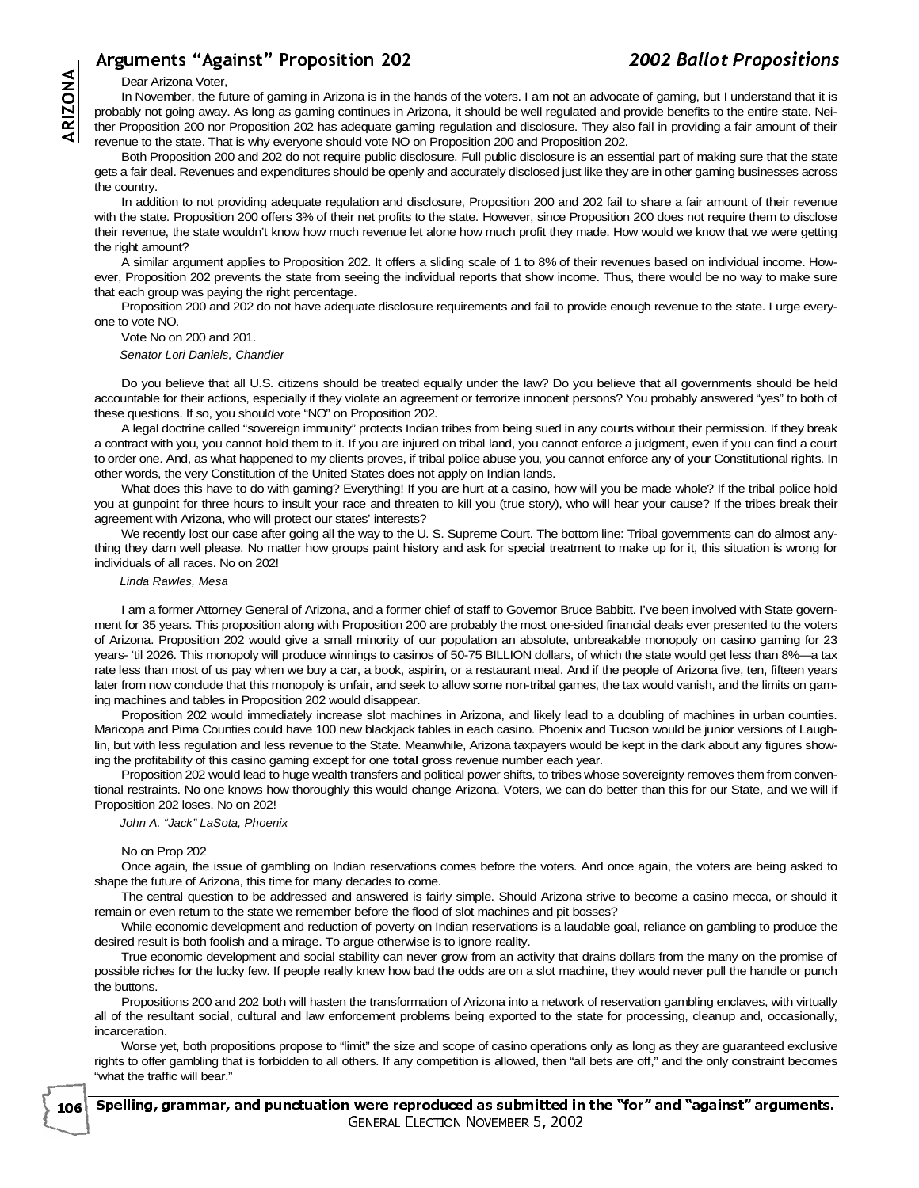# guments "Against" Proposition 202

#### Dear Arizona Voter,

In November, the future of gaming in Arizona is in the hands of the voters. I am not an advocate of gaming, but I understand that it is probably not going away. As long as gaming continues in Arizona, it should be well regulated and provide benefits to the entire state. Neither Proposition 200 nor Proposition 202 has adequate gaming regulation and disclosure. They also fail in providing a fair amount of their revenue to the state. That is why everyone should vote NO on Proposition 200 and Proposition 202.

Both Proposition 200 and 202 do not require public disclosure. Full public disclosure is an essential part of making sure that the state gets a fair deal. Revenues and expenditures should be openly and accurately disclosed just like they are in other gaming businesses across the country.

Arter protect and the series of the series of the series of the series of the series of the series of the series of the series of the series of the series of the series of the series of the series of the series of the seri In addition to not providing adequate regulation and disclosure, Proposition 200 and 202 fail to share a fair amount of their revenue with the state. Proposition 200 offers 3% of their net profits to the state. However, since Proposition 200 does not require them to disclose their revenue, the state wouldn't know how much revenue let alone how much profit they made. How would we know that we were getting the right amount?

A similar argument applies to Proposition 202. It offers a sliding scale of 1 to 8% of their revenues based on individual income. However, Proposition 202 prevents the state from seeing the individual reports that show income. Thus, there would be no way to make sure that each group was paying the right percentage.

Proposition 200 and 202 do not have adequate disclosure requirements and fail to provide enough revenue to the state. I urge everyone to vote NO.

Vote No on 200 and 201.

Senator Lori Daniels, Chandler

Do you believe that all U.S. citizens should be treated equally under the law? Do you believe that all governments should be held accountable for their actions, especially if they violate an agreement or terrorize innocent persons? You probably answered "yes" to both of these questions. If so, you should vote "NO" on Proposition 202.

A legal doctrine called "sovereign immunity" protects Indian tribes from being sued in any courts without their permission. If they break a contract with you, you cannot hold them to it. If you are injured on tribal land, you cannot enforce a judgment, even if you can find a court to order one. And, as what happened to my clients proves, if tribal police abuse you, you cannot enforce any of your Constitutional rights. In other words, the very Constitution of the United States does not apply on Indian lands.

What does this have to do with gaming? Everything! If you are hurt at a casino, how will you be made whole? If the tribal police hold you at gunpoint for three hours to insult your race and threaten to kill you (true story), who will hear your cause? If the tribes break their agreement with Arizona, who will protect our states' interests?

We recently lost our case after going all the way to the U. S. Supreme Court. The bottom line: Tribal governments can do almost anything they darn well please. No matter how groups paint history and ask for special treatment to make up for it, this situation is wrong for individuals of all races. No on 202!

#### Linda Rawles, Mesa

I am a former Attorney General of Arizona, and a former chief of staff to Governor Bruce Babbitt. I've been involved with State government for 35 years. This proposition along with Proposition 200 are probably the most one-sided financial deals ever presented to the voters of Arizona. Proposition 202 would give a small minority of our population an absolute, unbreakable monopoly on casino gaming for 23 years- 'til 2026. This monopoly will produce winnings to casinos of 50-75 BILLION dollars, of which the state would get less than 8%—a tax rate less than most of us pay when we buy a car, a book, aspirin, or a restaurant meal. And if the people of Arizona five, ten, fifteen years later from now conclude that this monopoly is unfair, and seek to allow some non-tribal games, the tax would vanish, and the limits on gaming machines and tables in Proposition 202 would disappear.

Proposition 202 would immediately increase slot machines in Arizona, and likely lead to a doubling of machines in urban counties. Maricopa and Pima Counties could have 100 new blackjack tables in each casino. Phoenix and Tucson would be junior versions of Laughlin, but with less regulation and less revenue to the State. Meanwhile, Arizona taxpayers would be kept in the dark about any figures showing the profitability of this casino gaming except for one **total** gross revenue number each year.

Proposition 202 would lead to huge wealth transfers and political power shifts, to tribes whose sovereignty removes them from conventional restraints. No one knows how thoroughly this would change Arizona. Voters, we can do better than this for our State, and we will if Proposition 202 loses. No on 202!

John A. "Jack" LaSota, Phoenix

#### No on Prop 202

Once again, the issue of gambling on Indian reservations comes before the voters. And once again, the voters are being asked to shape the future of Arizona, this time for many decades to come.

The central question to be addressed and answered is fairly simple. Should Arizona strive to become a casino mecca, or should it remain or even return to the state we remember before the flood of slot machines and pit bosses?

While economic development and reduction of poverty on Indian reservations is a laudable goal, reliance on gambling to produce the desired result is both foolish and a mirage. To argue otherwise is to ignore reality.

True economic development and social stability can never grow from an activity that drains dollars from the many on the promise of possible riches for the lucky few. If people really knew how bad the odds are on a slot machine, they would never pull the handle or punch the buttons.

Propositions 200 and 202 both will hasten the transformation of Arizona into a network of reservation gambling enclaves, with virtually all of the resultant social, cultural and law enforcement problems being exported to the state for processing, cleanup and, occasionally, incarceration.

Worse yet, both propositions propose to "limit" the size and scope of casino operations only as long as they are guaranteed exclusive rights to offer gambling that is forbidden to all others. If any competition is allowed, then "all bets are off," and the only constraint becomes "what the traffic will bear."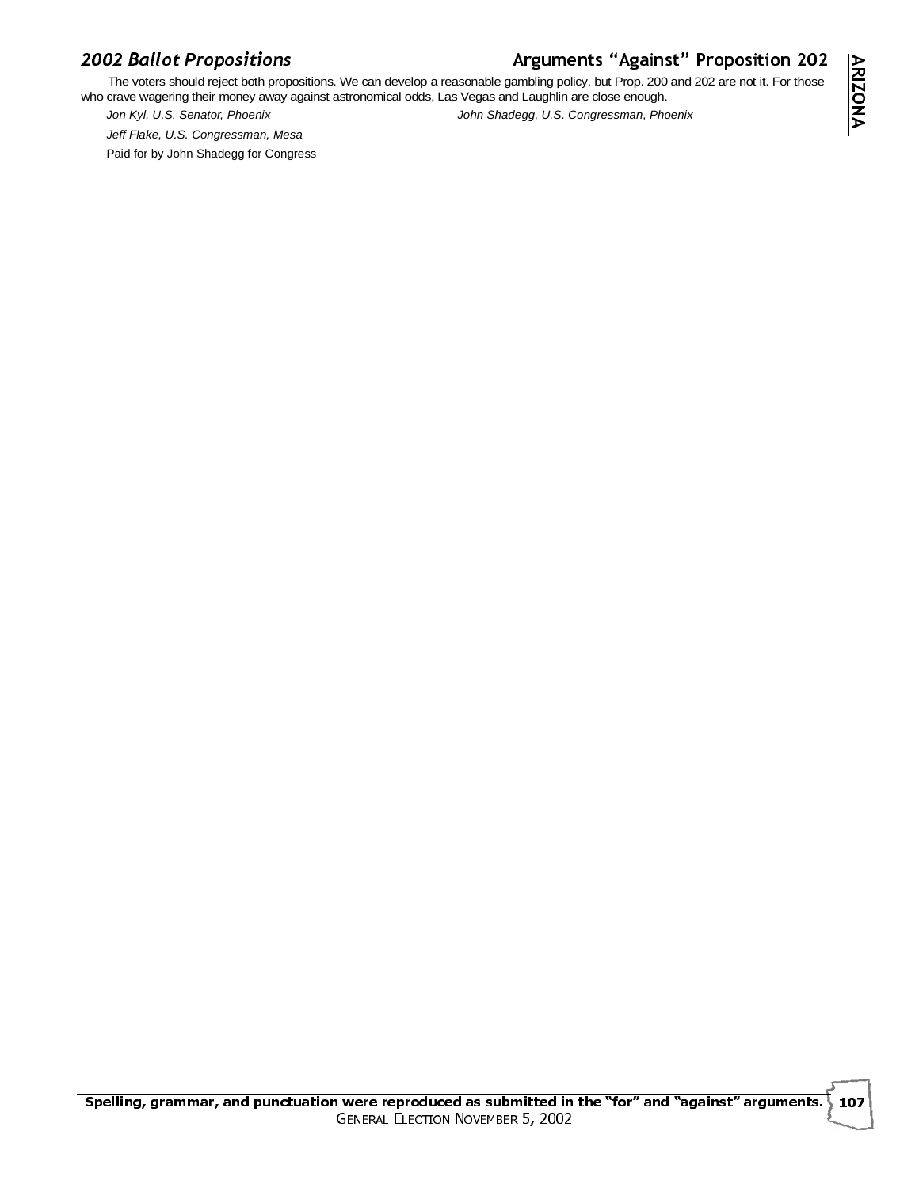# **2002 Ballot Propositions**

# guments "Against" Proposition 202

O2 Ballot Propositions<br>The voters should reject both propositions. We can develop a reasonable gambling policy, but Prop. 200 and 202 are not it. For those who crave wagering their money away against astronomical odds, Las Vegas and Laughlin are close enough.

Jeff Flake, U.S. Congressman, Mesa Paid for by John Shadegg for Congress

Jon Kyl, U.S. Senator, Phoenix John Shadegg, U.S. Congressman, Phoenix